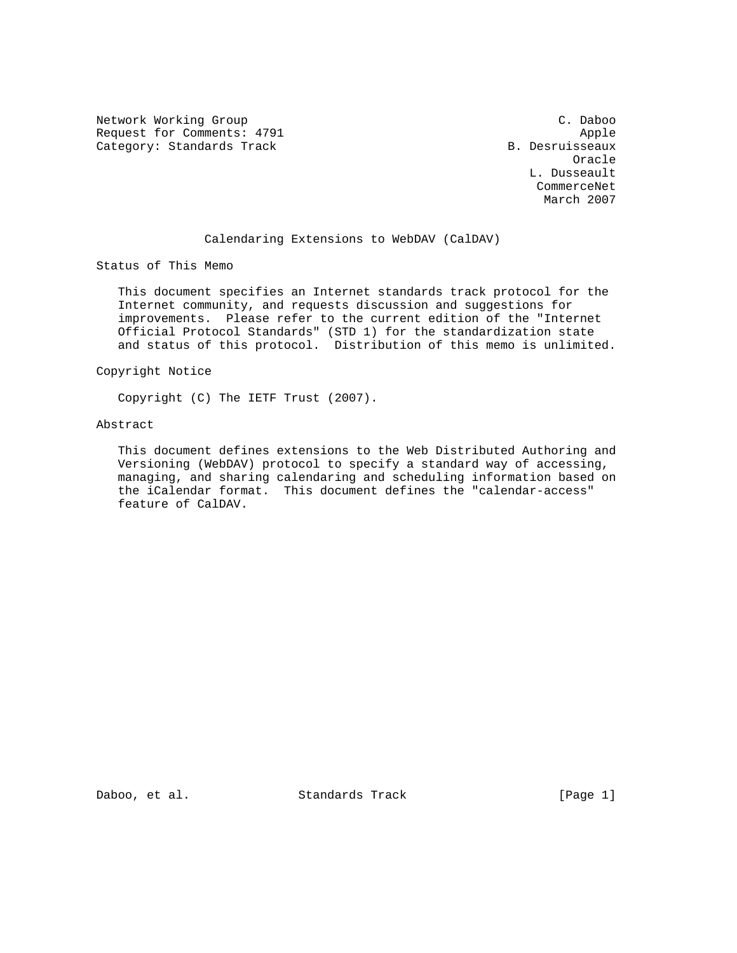Network Working Group<br>
Request for Comments: 4791 (2008) Apple Request for Comments: 4791 Apple Apple 2011<br>Category: Standards Track Apple 2012 Apple 2014 B. Desruisseaux Category: Standards Track

 Oracle L. Dusseault CommerceNet March 2007

### Calendaring Extensions to WebDAV (CalDAV)

Status of This Memo

 This document specifies an Internet standards track protocol for the Internet community, and requests discussion and suggestions for improvements. Please refer to the current edition of the "Internet Official Protocol Standards" (STD 1) for the standardization state and status of this protocol. Distribution of this memo is unlimited.

## Copyright Notice

Copyright (C) The IETF Trust (2007).

# Abstract

 This document defines extensions to the Web Distributed Authoring and Versioning (WebDAV) protocol to specify a standard way of accessing, managing, and sharing calendaring and scheduling information based on the iCalendar format. This document defines the "calendar-access" feature of CalDAV.

Daboo, et al. Standards Track [Page 1]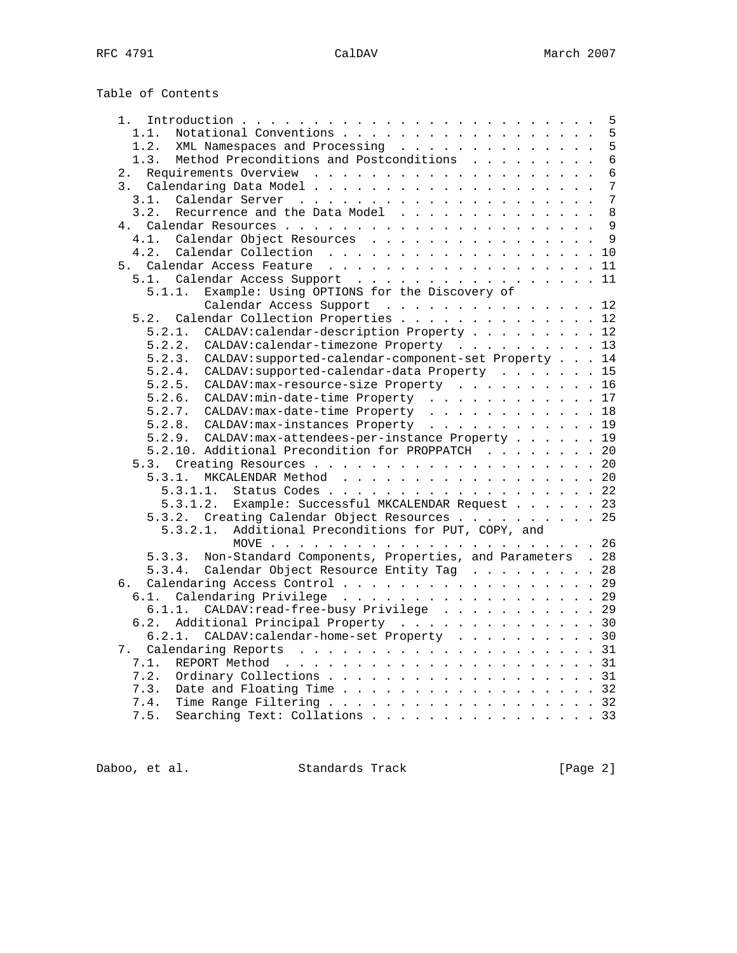Table of Contents

| 1.                                                                 | 5              |
|--------------------------------------------------------------------|----------------|
| Notational Conventions<br>1.1.                                     | 5              |
| XML Namespaces and Processing<br>1.2.                              | 5              |
| Method Preconditions and Postconditions<br>1.3.                    | $\overline{6}$ |
| 2.                                                                 | 6              |
|                                                                    | 7              |
| 3.1.                                                               | 7              |
| Recurrence and the Data Model<br>3.2.                              | 8              |
| 4 <sup>1</sup>                                                     | $\mathsf{Q}$   |
| Calendar Object Resources<br>4.1.                                  | 9              |
| 4.2.                                                               | 10             |
| 5.                                                                 | 11             |
|                                                                    |                |
| 5.1. Calendar Access Support                                       | 11             |
| Example: Using OPTIONS for the Discovery of<br>5.1.1.              |                |
| Calendar Access Support 12                                         |                |
| 5.2. Calendar Collection Properties                                | 12             |
| CALDAV: calendar-description Property 12<br>5.2.1.                 |                |
| 5.2.2.<br>CALDAV: calendar-timezone Property 13                    |                |
| CALDAV: supported-calendar-component-set Property 14<br>5.2.3.     |                |
| CALDAV: supported-calendar-data Property 15<br>5.2.4.              |                |
| 5.2.5. CALDAV: max-resource-size Property 16                       |                |
| 5.2.6. CALDAV: min-date-time Property 17                           |                |
| 5.2.7. CALDAV: max-date-time Property 18                           |                |
| 5.2.8. CALDAV: max-instances Property 19                           |                |
| CALDAV: max-attendees-per-instance Property<br>5.2.9.              | 19             |
| 5.2.10. Additional Precondition for PROPPATCH                      | 20             |
|                                                                    |                |
| 5.3.1.<br>MKCALENDAR Method                                        | 20             |
| 5.3.1.1.<br>Status Codes 22                                        |                |
| Example: Successful MKCALENDAR Request 23                          |                |
| 5.3.1.2.                                                           |                |
| 5.3.2. Creating Calendar Object Resources 25                       |                |
| Additional Preconditions for PUT, COPY, and<br>5.3.2.1.            |                |
|                                                                    |                |
| Non-Standard Components, Properties, and Parameters . 28<br>5.3.3. |                |
| Calendar Object Resource Entity Tag 28<br>5.3.4.                   |                |
| Calendaring Access Control 29<br>б.                                |                |
| Calendaring Privilege 29<br>6.1.                                   |                |
| CALDAV: read-free-busy Privilege 29<br>6.1.1.                      |                |
| 6.2.<br>Additional Principal Property 30                           |                |
| 6.2.1. CALDAV:calendar-home-set Property 30                        |                |
| 7.                                                                 |                |
| 7.1.                                                               |                |
| Ordinary Collections 31<br>7.2.                                    |                |
| Date and Floating Time 32<br>7.3.                                  |                |
| Time Range Filtering 32<br>7.4.                                    |                |
| Searching Text: Collations 33<br>7.5.                              |                |
|                                                                    |                |

Daboo, et al. Standards Track [Page 2]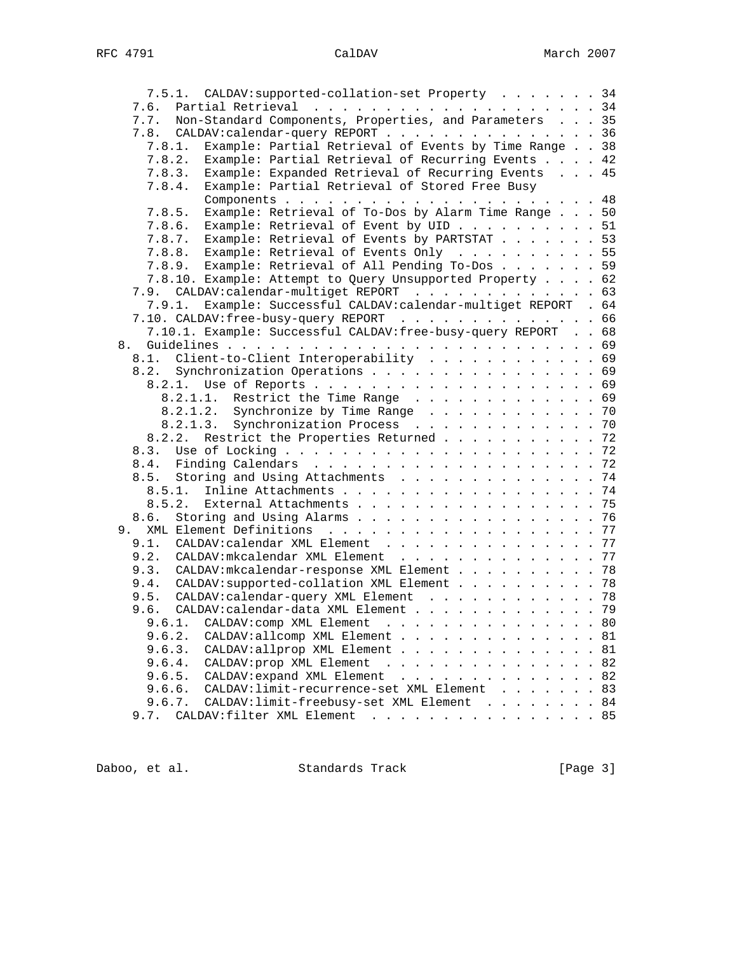| 7.5.1. CALDAV: supported-collation-set Property 34                 |    |
|--------------------------------------------------------------------|----|
|                                                                    |    |
| Non-Standard Components, Properties, and Parameters 35<br>7.7.     |    |
| CALDAV: calendar-query REPORT 36<br>7.8.                           |    |
| Example: Partial Retrieval of Events by Time Range 38<br>7.8.1.    |    |
| Example: Partial Retrieval of Recurring Events 42<br>7.8.2.        |    |
| Example: Expanded Retrieval of Recurring Events 45<br>7.8.3.       |    |
| Example: Partial Retrieval of Stored Free Busy<br>7.8.4.           |    |
|                                                                    |    |
| Example: Retrieval of To-Dos by Alarm Time Range 50<br>7.8.5.      |    |
| 7.8.6.                                                             |    |
| Example: Retrieval of Event by UID 51                              |    |
| 7.8.7. Example: Retrieval of Events by PARTSTAT 53                 |    |
| 7.8.8. Example: Retrieval of Events Only 55                        |    |
| 7.8.9. Example: Retrieval of All Pending To-Dos 59                 |    |
| 7.8.10. Example: Attempt to Query Unsupported Property 62          |    |
| 7.9. CALDAV: calendar-multiget REPORT 63                           |    |
| Example: Successful CALDAV:calendar-multiget REPORT . 64<br>7.9.1. |    |
| 7.10. CALDAV:free-busy-query REPORT 66                             |    |
| 7.10.1. Example: Successful CALDAV: free-busy-query REPORT 68      |    |
| 8.                                                                 |    |
| 8.1. Client-to-Client Interoperability 69                          |    |
| 8.2. Synchronization Operations 69                                 |    |
|                                                                    |    |
| 8.2.1.1. Restrict the Time Range 69                                |    |
| 8.2.1.2. Synchronize by Time Range 70                              |    |
| Synchronization Process 70<br>8.2.1.3.                             |    |
| Restrict the Properties Returned 72<br>8.2.2.                      |    |
| 8.3.                                                               |    |
|                                                                    |    |
| 8.5. Storing and Using Attachments 74                              |    |
| 8.5.1. Inline Attachments 74                                       |    |
| External Attachments 75<br>8.5.2.                                  |    |
| Storing and Using Alarms 76<br>8.6.                                |    |
|                                                                    | 77 |
| CALDAV: calendar XML Element 77<br>9.1.                            |    |
| 9.2.<br>CALDAV: mkcalendar XML Element 77                          |    |
| CALDAV: mkcalendar-response XML Element 78<br>9.3.                 |    |
| 9.4. CALDAV: supported-collation XML Element 78                    |    |
|                                                                    |    |
| 9.5. CALDAV: calendar-query XML Element 78                         |    |
| 9.6. CALDAV: calendar-data XML Element 79                          |    |
| CALDAV: comp XML Element 80<br>9.6.1.                              |    |
| 9.6.2.<br>CALDAV:allcomp XML Element 81                            |    |
| 9.6.3.<br>CALDAV:allprop XML Element                               | 81 |
| CALDAV: prop XML Element<br>9.6.4.<br>$\frac{1}{2}$                | 82 |
| CALDAV: expand XML Element<br>9.6.5.                               | 82 |
| CALDAV: limit-recurrence-set XML Element 83<br>9.6.6.              |    |
| CALDAV: limit-freebusy-set XML Element 84<br>9.6.7.                |    |
| CALDAV:filter XML Element 85<br>9.7.                               |    |

Daboo, et al. Standards Track [Page 3]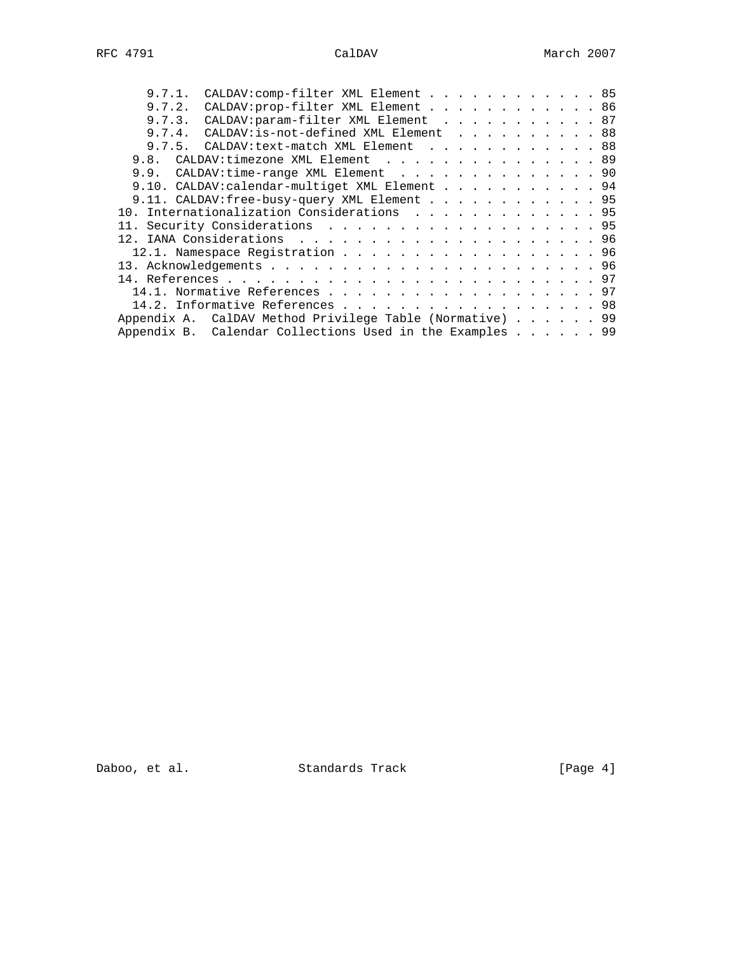| 9.7.2. CALDAV: prop-filter XML Element 86<br>9.7.3. CALDAV: param-filter XML Element 87<br>9.7.4. CALDAV: is-not-defined XML Element 88<br>9.7.5. CALDAV: text-match XML Element 88<br>9.8. CALDAV: timezone XML Element 89<br>9.9. CALDAV: time-range XML Element 90<br>9.10. CALDAV: calendar-multiget XML Element 94<br>9.11. CALDAV: free-busy-query XML Element 95<br>10. Internationalization Considerations 95<br>12.1. Namespace Registration 96 |
|----------------------------------------------------------------------------------------------------------------------------------------------------------------------------------------------------------------------------------------------------------------------------------------------------------------------------------------------------------------------------------------------------------------------------------------------------------|
|                                                                                                                                                                                                                                                                                                                                                                                                                                                          |
|                                                                                                                                                                                                                                                                                                                                                                                                                                                          |
|                                                                                                                                                                                                                                                                                                                                                                                                                                                          |
|                                                                                                                                                                                                                                                                                                                                                                                                                                                          |
|                                                                                                                                                                                                                                                                                                                                                                                                                                                          |
|                                                                                                                                                                                                                                                                                                                                                                                                                                                          |
|                                                                                                                                                                                                                                                                                                                                                                                                                                                          |
|                                                                                                                                                                                                                                                                                                                                                                                                                                                          |
|                                                                                                                                                                                                                                                                                                                                                                                                                                                          |
|                                                                                                                                                                                                                                                                                                                                                                                                                                                          |
|                                                                                                                                                                                                                                                                                                                                                                                                                                                          |
|                                                                                                                                                                                                                                                                                                                                                                                                                                                          |
|                                                                                                                                                                                                                                                                                                                                                                                                                                                          |
|                                                                                                                                                                                                                                                                                                                                                                                                                                                          |
| 14.1. Normative References 97                                                                                                                                                                                                                                                                                                                                                                                                                            |
| 14.2. Informative References 98                                                                                                                                                                                                                                                                                                                                                                                                                          |
| Appendix A. CalDAV Method Privilege Table (Normative) 99                                                                                                                                                                                                                                                                                                                                                                                                 |
| Appendix B. Calendar Collections Used in the Examples 99                                                                                                                                                                                                                                                                                                                                                                                                 |

Daboo, et al. Standards Track [Page 4]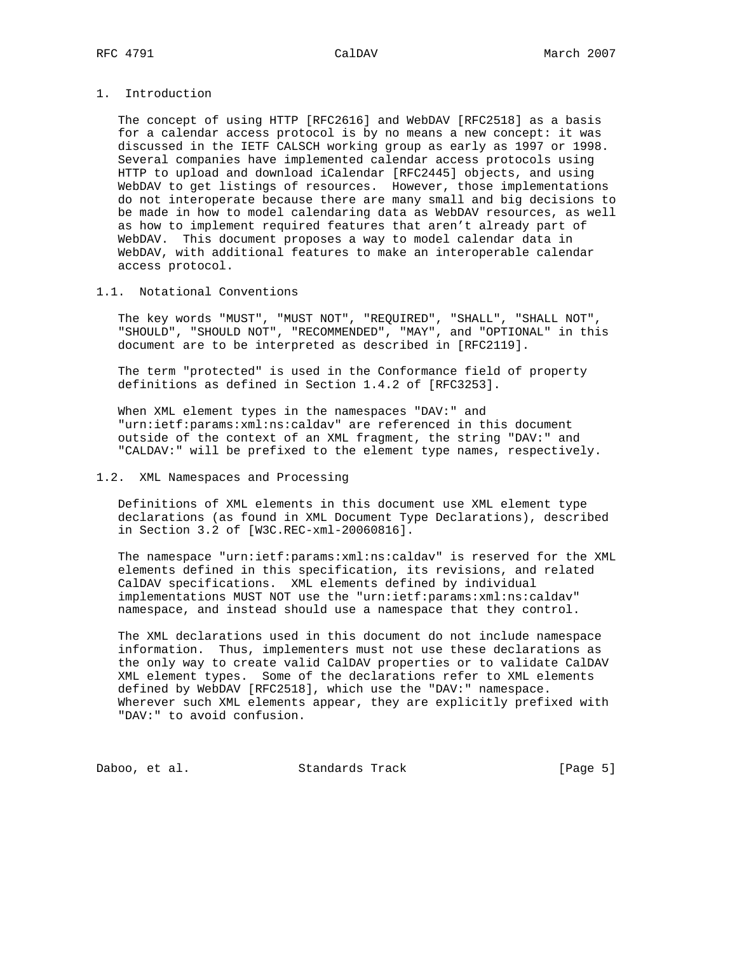# 1. Introduction

 The concept of using HTTP [RFC2616] and WebDAV [RFC2518] as a basis for a calendar access protocol is by no means a new concept: it was discussed in the IETF CALSCH working group as early as 1997 or 1998. Several companies have implemented calendar access protocols using HTTP to upload and download iCalendar [RFC2445] objects, and using WebDAV to get listings of resources. However, those implementations do not interoperate because there are many small and big decisions to be made in how to model calendaring data as WebDAV resources, as well as how to implement required features that aren't already part of WebDAV. This document proposes a way to model calendar data in WebDAV, with additional features to make an interoperable calendar access protocol.

# 1.1. Notational Conventions

 The key words "MUST", "MUST NOT", "REQUIRED", "SHALL", "SHALL NOT", "SHOULD", "SHOULD NOT", "RECOMMENDED", "MAY", and "OPTIONAL" in this document are to be interpreted as described in [RFC2119].

 The term "protected" is used in the Conformance field of property definitions as defined in Section 1.4.2 of [RFC3253].

 When XML element types in the namespaces "DAV:" and "urn:ietf:params:xml:ns:caldav" are referenced in this document outside of the context of an XML fragment, the string "DAV:" and "CALDAV:" will be prefixed to the element type names, respectively.

# 1.2. XML Namespaces and Processing

 Definitions of XML elements in this document use XML element type declarations (as found in XML Document Type Declarations), described in Section 3.2 of [W3C.REC-xml-20060816].

 The namespace "urn:ietf:params:xml:ns:caldav" is reserved for the XML elements defined in this specification, its revisions, and related CalDAV specifications. XML elements defined by individual implementations MUST NOT use the "urn:ietf:params:xml:ns:caldav" namespace, and instead should use a namespace that they control.

 The XML declarations used in this document do not include namespace information. Thus, implementers must not use these declarations as the only way to create valid CalDAV properties or to validate CalDAV XML element types. Some of the declarations refer to XML elements defined by WebDAV [RFC2518], which use the "DAV:" namespace. Wherever such XML elements appear, they are explicitly prefixed with "DAV:" to avoid confusion.

Daboo, et al. Standards Track [Page 5]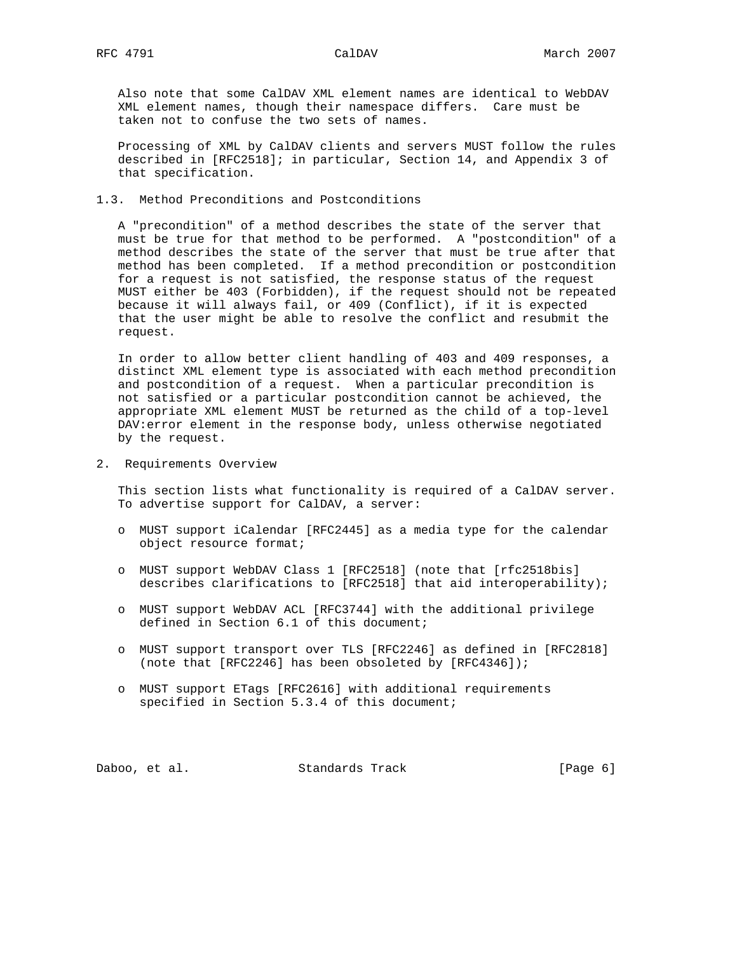Also note that some CalDAV XML element names are identical to WebDAV XML element names, though their namespace differs. Care must be taken not to confuse the two sets of names.

 Processing of XML by CalDAV clients and servers MUST follow the rules described in [RFC2518]; in particular, Section 14, and Appendix 3 of that specification.

# 1.3. Method Preconditions and Postconditions

 A "precondition" of a method describes the state of the server that must be true for that method to be performed. A "postcondition" of a method describes the state of the server that must be true after that method has been completed. If a method precondition or postcondition for a request is not satisfied, the response status of the request MUST either be 403 (Forbidden), if the request should not be repeated because it will always fail, or 409 (Conflict), if it is expected that the user might be able to resolve the conflict and resubmit the request.

 In order to allow better client handling of 403 and 409 responses, a distinct XML element type is associated with each method precondition and postcondition of a request. When a particular precondition is not satisfied or a particular postcondition cannot be achieved, the appropriate XML element MUST be returned as the child of a top-level DAV:error element in the response body, unless otherwise negotiated by the request.

2. Requirements Overview

 This section lists what functionality is required of a CalDAV server. To advertise support for CalDAV, a server:

- o MUST support iCalendar [RFC2445] as a media type for the calendar object resource format;
- o MUST support WebDAV Class 1 [RFC2518] (note that [rfc2518bis] describes clarifications to [RFC2518] that aid interoperability);
- o MUST support WebDAV ACL [RFC3744] with the additional privilege defined in Section 6.1 of this document;
- o MUST support transport over TLS [RFC2246] as defined in [RFC2818] (note that [RFC2246] has been obsoleted by [RFC4346]);
- o MUST support ETags [RFC2616] with additional requirements specified in Section 5.3.4 of this document;

Daboo, et al. Standards Track [Page 6]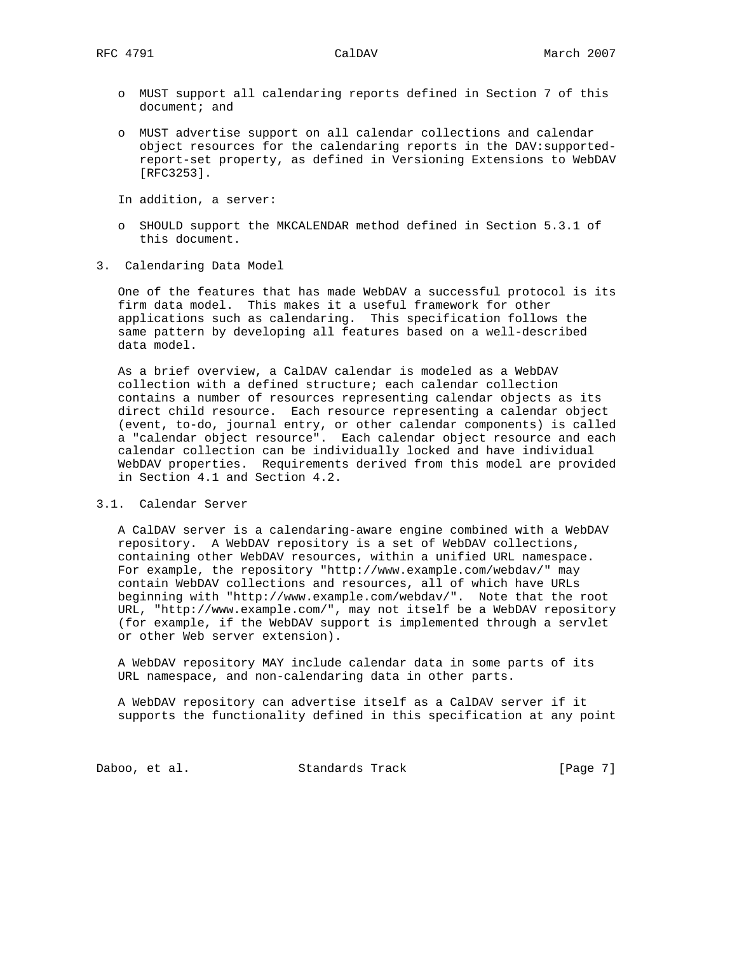- o MUST support all calendaring reports defined in Section 7 of this document; and
- o MUST advertise support on all calendar collections and calendar object resources for the calendaring reports in the DAV:supported report-set property, as defined in Versioning Extensions to WebDAV [RFC3253].

In addition, a server:

- o SHOULD support the MKCALENDAR method defined in Section 5.3.1 of this document.
- 3. Calendaring Data Model

 One of the features that has made WebDAV a successful protocol is its firm data model. This makes it a useful framework for other applications such as calendaring. This specification follows the same pattern by developing all features based on a well-described data model.

 As a brief overview, a CalDAV calendar is modeled as a WebDAV collection with a defined structure; each calendar collection contains a number of resources representing calendar objects as its direct child resource. Each resource representing a calendar object (event, to-do, journal entry, or other calendar components) is called a "calendar object resource". Each calendar object resource and each calendar collection can be individually locked and have individual WebDAV properties. Requirements derived from this model are provided in Section 4.1 and Section 4.2.

# 3.1. Calendar Server

 A CalDAV server is a calendaring-aware engine combined with a WebDAV repository. A WebDAV repository is a set of WebDAV collections, containing other WebDAV resources, within a unified URL namespace. For example, the repository "http://www.example.com/webdav/" may contain WebDAV collections and resources, all of which have URLs beginning with "http://www.example.com/webdav/". Note that the root URL, "http://www.example.com/", may not itself be a WebDAV repository (for example, if the WebDAV support is implemented through a servlet or other Web server extension).

 A WebDAV repository MAY include calendar data in some parts of its URL namespace, and non-calendaring data in other parts.

 A WebDAV repository can advertise itself as a CalDAV server if it supports the functionality defined in this specification at any point

Daboo, et al. Standards Track [Page 7]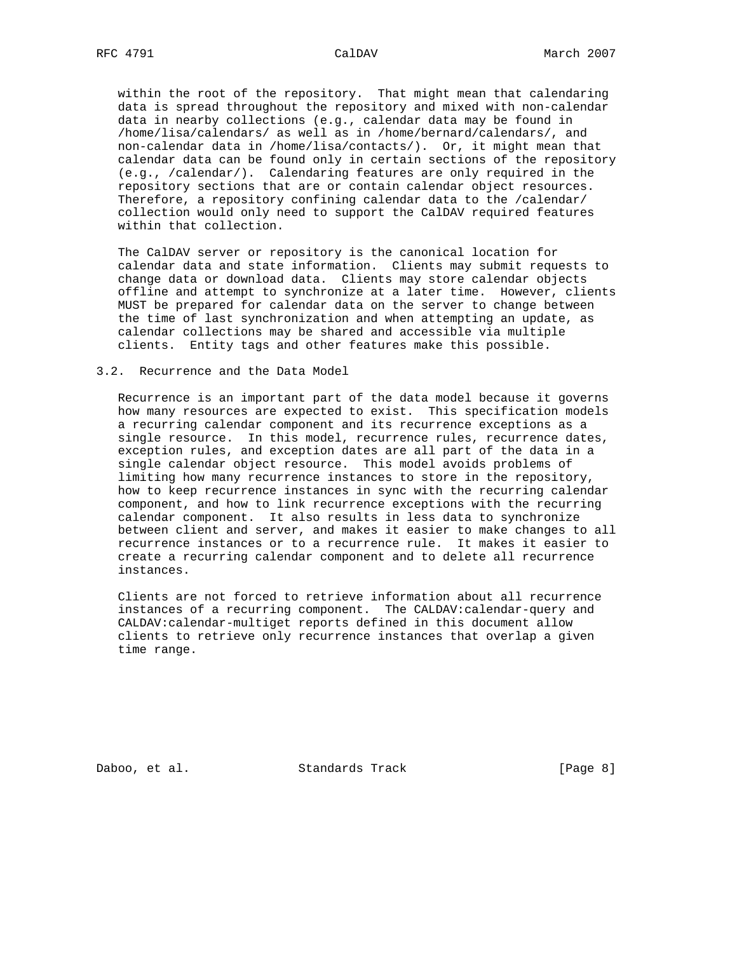within the root of the repository. That might mean that calendaring data is spread throughout the repository and mixed with non-calendar data in nearby collections (e.g., calendar data may be found in /home/lisa/calendars/ as well as in /home/bernard/calendars/, and non-calendar data in /home/lisa/contacts/). Or, it might mean that calendar data can be found only in certain sections of the repository (e.g., /calendar/). Calendaring features are only required in the repository sections that are or contain calendar object resources. Therefore, a repository confining calendar data to the /calendar/ collection would only need to support the CalDAV required features within that collection.

 The CalDAV server or repository is the canonical location for calendar data and state information. Clients may submit requests to change data or download data. Clients may store calendar objects offline and attempt to synchronize at a later time. However, clients MUST be prepared for calendar data on the server to change between the time of last synchronization and when attempting an update, as calendar collections may be shared and accessible via multiple clients. Entity tags and other features make this possible.

## 3.2. Recurrence and the Data Model

 Recurrence is an important part of the data model because it governs how many resources are expected to exist. This specification models a recurring calendar component and its recurrence exceptions as a single resource. In this model, recurrence rules, recurrence dates, exception rules, and exception dates are all part of the data in a single calendar object resource. This model avoids problems of limiting how many recurrence instances to store in the repository, how to keep recurrence instances in sync with the recurring calendar component, and how to link recurrence exceptions with the recurring calendar component. It also results in less data to synchronize between client and server, and makes it easier to make changes to all recurrence instances or to a recurrence rule. It makes it easier to create a recurring calendar component and to delete all recurrence instances.

 Clients are not forced to retrieve information about all recurrence instances of a recurring component. The CALDAV:calendar-query and CALDAV:calendar-multiget reports defined in this document allow clients to retrieve only recurrence instances that overlap a given time range.

Daboo, et al. Standards Track [Page 8]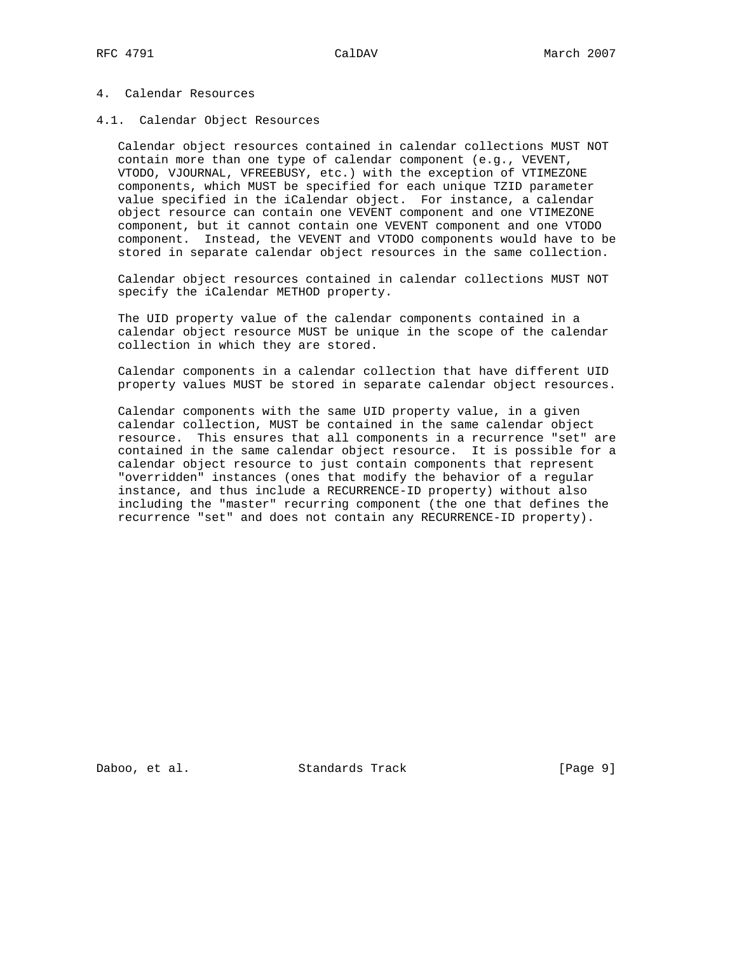## 4. Calendar Resources

### 4.1. Calendar Object Resources

 Calendar object resources contained in calendar collections MUST NOT contain more than one type of calendar component (e.g., VEVENT, VTODO, VJOURNAL, VFREEBUSY, etc.) with the exception of VTIMEZONE components, which MUST be specified for each unique TZID parameter value specified in the iCalendar object. For instance, a calendar object resource can contain one VEVENT component and one VTIMEZONE component, but it cannot contain one VEVENT component and one VTODO component. Instead, the VEVENT and VTODO components would have to be stored in separate calendar object resources in the same collection.

 Calendar object resources contained in calendar collections MUST NOT specify the iCalendar METHOD property.

 The UID property value of the calendar components contained in a calendar object resource MUST be unique in the scope of the calendar collection in which they are stored.

 Calendar components in a calendar collection that have different UID property values MUST be stored in separate calendar object resources.

 Calendar components with the same UID property value, in a given calendar collection, MUST be contained in the same calendar object resource. This ensures that all components in a recurrence "set" are contained in the same calendar object resource. It is possible for a calendar object resource to just contain components that represent "overridden" instances (ones that modify the behavior of a regular instance, and thus include a RECURRENCE-ID property) without also including the "master" recurring component (the one that defines the recurrence "set" and does not contain any RECURRENCE-ID property).

Daboo, et al. Standards Track [Page 9]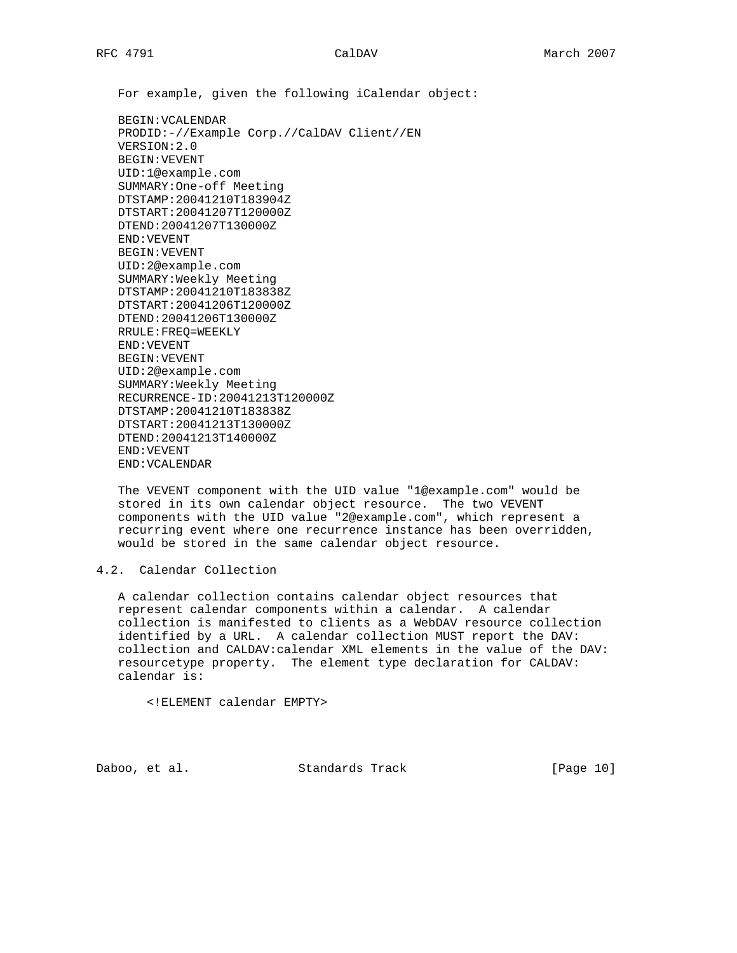For example, given the following iCalendar object:

 BEGIN:VCALENDAR PRODID:-//Example Corp.//CalDAV Client//EN VERSION:2.0 BEGIN:VEVENT UID:1@example.com SUMMARY:One-off Meeting DTSTAMP:20041210T183904Z DTSTART:20041207T120000Z DTEND:20041207T130000Z END:VEVENT BEGIN:VEVENT UID:2@example.com SUMMARY:Weekly Meeting DTSTAMP:20041210T183838Z DTSTART:20041206T120000Z DTEND:20041206T130000Z RRULE:FREQ=WEEKLY END:VEVENT BEGIN:VEVENT UID:2@example.com SUMMARY:Weekly Meeting RECURRENCE-ID:20041213T120000Z DTSTAMP:20041210T183838Z DTSTART:20041213T130000Z DTEND:20041213T140000Z END:VEVENT END:VCALENDAR

 The VEVENT component with the UID value "1@example.com" would be stored in its own calendar object resource. The two VEVENT components with the UID value "2@example.com", which represent a recurring event where one recurrence instance has been overridden, would be stored in the same calendar object resource.

# 4.2. Calendar Collection

 A calendar collection contains calendar object resources that represent calendar components within a calendar. A calendar collection is manifested to clients as a WebDAV resource collection identified by a URL. A calendar collection MUST report the DAV: collection and CALDAV:calendar XML elements in the value of the DAV: resourcetype property. The element type declaration for CALDAV: calendar is:

<!ELEMENT calendar EMPTY>

Daboo, et al. Standards Track [Page 10]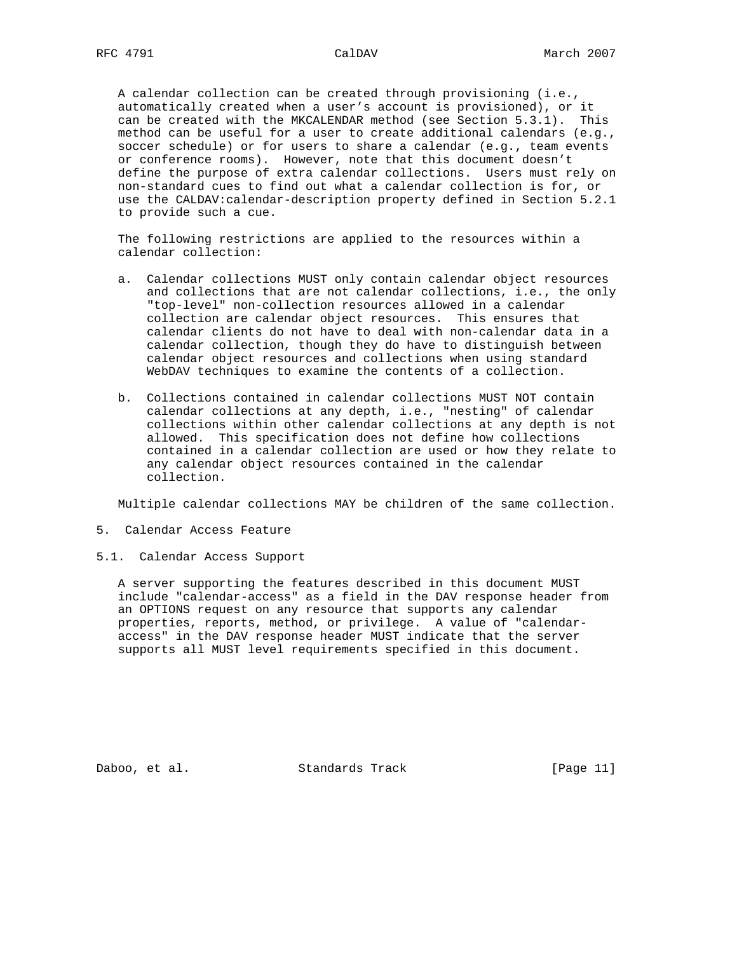A calendar collection can be created through provisioning (i.e., automatically created when a user's account is provisioned), or it can be created with the MKCALENDAR method (see Section 5.3.1). This method can be useful for a user to create additional calendars (e.g., soccer schedule) or for users to share a calendar (e.g., team events or conference rooms). However, note that this document doesn't define the purpose of extra calendar collections. Users must rely on non-standard cues to find out what a calendar collection is for, or use the CALDAV:calendar-description property defined in Section 5.2.1 to provide such a cue.

 The following restrictions are applied to the resources within a calendar collection:

- a. Calendar collections MUST only contain calendar object resources and collections that are not calendar collections, i.e., the only "top-level" non-collection resources allowed in a calendar collection are calendar object resources. This ensures that calendar clients do not have to deal with non-calendar data in a calendar collection, though they do have to distinguish between calendar object resources and collections when using standard WebDAV techniques to examine the contents of a collection.
- b. Collections contained in calendar collections MUST NOT contain calendar collections at any depth, i.e., "nesting" of calendar collections within other calendar collections at any depth is not allowed. This specification does not define how collections contained in a calendar collection are used or how they relate to any calendar object resources contained in the calendar collection.

Multiple calendar collections MAY be children of the same collection.

- 5. Calendar Access Feature
- 5.1. Calendar Access Support

 A server supporting the features described in this document MUST include "calendar-access" as a field in the DAV response header from an OPTIONS request on any resource that supports any calendar properties, reports, method, or privilege. A value of "calendar access" in the DAV response header MUST indicate that the server supports all MUST level requirements specified in this document.

Daboo, et al. Standards Track [Page 11]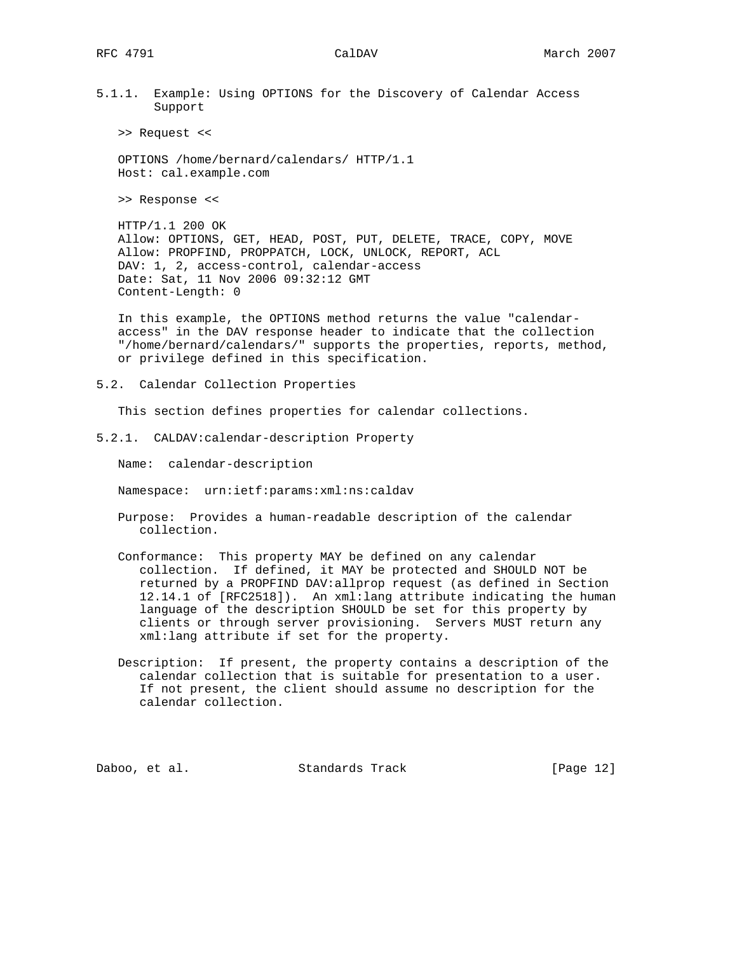5.1.1. Example: Using OPTIONS for the Discovery of Calendar Access Support

>> Request <<

 OPTIONS /home/bernard/calendars/ HTTP/1.1 Host: cal.example.com

>> Response <<

 HTTP/1.1 200 OK Allow: OPTIONS, GET, HEAD, POST, PUT, DELETE, TRACE, COPY, MOVE Allow: PROPFIND, PROPPATCH, LOCK, UNLOCK, REPORT, ACL DAV: 1, 2, access-control, calendar-access Date: Sat, 11 Nov 2006 09:32:12 GMT Content-Length: 0

 In this example, the OPTIONS method returns the value "calendar access" in the DAV response header to indicate that the collection "/home/bernard/calendars/" supports the properties, reports, method, or privilege defined in this specification.

5.2. Calendar Collection Properties

This section defines properties for calendar collections.

5.2.1. CALDAV:calendar-description Property

Name: calendar-description

Namespace: urn:ietf:params:xml:ns:caldav

- Purpose: Provides a human-readable description of the calendar collection.
- Conformance: This property MAY be defined on any calendar collection. If defined, it MAY be protected and SHOULD NOT be returned by a PROPFIND DAV:allprop request (as defined in Section 12.14.1 of [RFC2518]). An xml:lang attribute indicating the human language of the description SHOULD be set for this property by clients or through server provisioning. Servers MUST return any xml:lang attribute if set for the property.
- Description: If present, the property contains a description of the calendar collection that is suitable for presentation to a user. If not present, the client should assume no description for the calendar collection.

Daboo, et al. Standards Track [Page 12]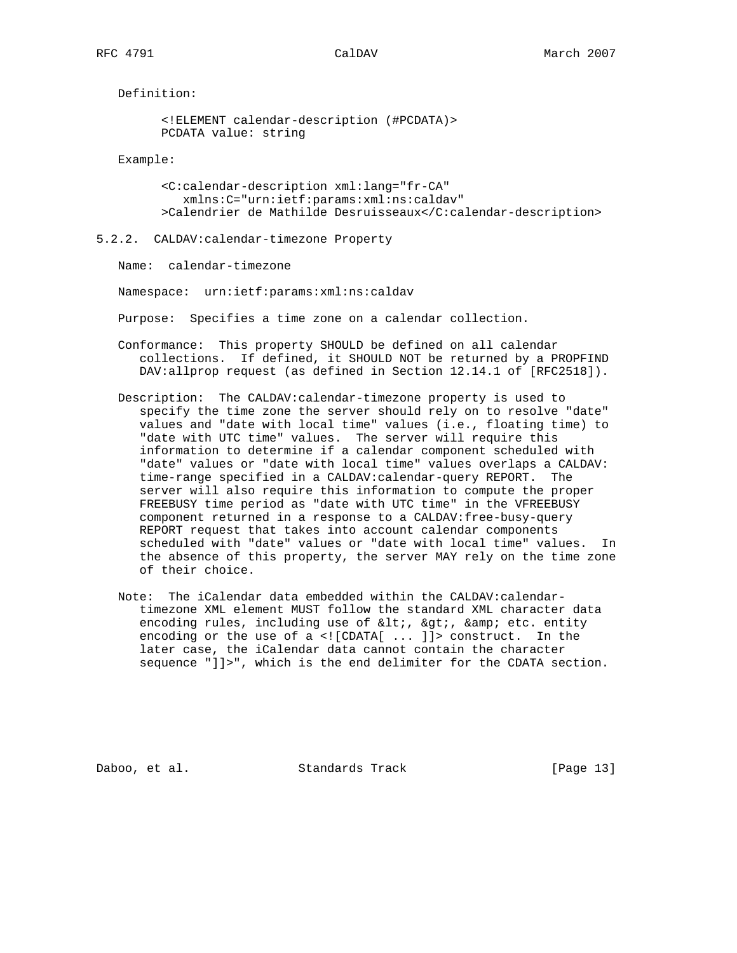Definition:

```
 <!ELEMENT calendar-description (#PCDATA)>
 PCDATA value: string
```
Example:

 <C:calendar-description xml:lang="fr-CA" xmlns:C="urn:ietf:params:xml:ns:caldav" >Calendrier de Mathilde Desruisseaux</C:calendar-description>

5.2.2. CALDAV:calendar-timezone Property

Name: calendar-timezone

Namespace: urn:ietf:params:xml:ns:caldav

Purpose: Specifies a time zone on a calendar collection.

- Conformance: This property SHOULD be defined on all calendar collections. If defined, it SHOULD NOT be returned by a PROPFIND DAV:allprop request (as defined in Section 12.14.1 of [RFC2518]).
- Description: The CALDAV:calendar-timezone property is used to specify the time zone the server should rely on to resolve "date" values and "date with local time" values (i.e., floating time) to "date with UTC time" values. The server will require this information to determine if a calendar component scheduled with "date" values or "date with local time" values overlaps a CALDAV: time-range specified in a CALDAV:calendar-query REPORT. The server will also require this information to compute the proper FREEBUSY time period as "date with UTC time" in the VFREEBUSY component returned in a response to a CALDAV:free-busy-query REPORT request that takes into account calendar components scheduled with "date" values or "date with local time" values. In the absence of this property, the server MAY rely on the time zone of their choice.
- Note: The iCalendar data embedded within the CALDAV:calendar timezone XML element MUST follow the standard XML character data encoding rules, including use of <, &gt;, &amp; etc. entity encoding or the use of a <![CDATA[ ... ]]> construct. In the later case, the iCalendar data cannot contain the character sequence "]]>", which is the end delimiter for the CDATA section.

Daboo, et al. Standards Track [Page 13]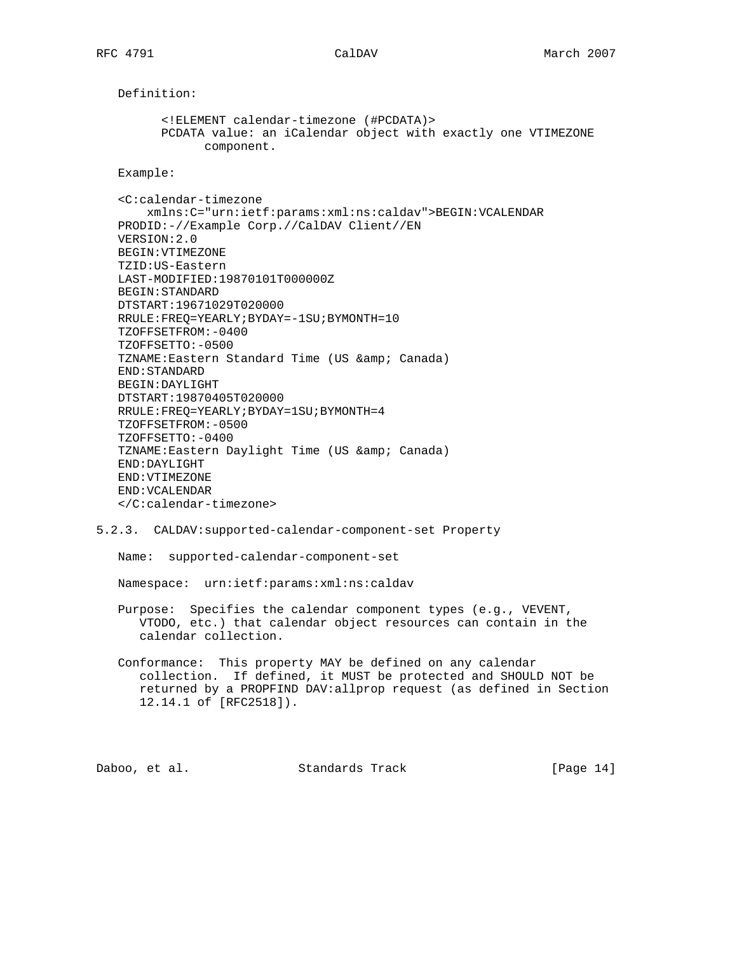Definition: <!ELEMENT calendar-timezone (#PCDATA)> PCDATA value: an iCalendar object with exactly one VTIMEZONE component. Example: <C:calendar-timezone xmlns:C="urn:ietf:params:xml:ns:caldav">BEGIN:VCALENDAR PRODID:-//Example Corp.//CalDAV Client//EN VERSION:2.0 BEGIN:VTIMEZONE TZID:US-Eastern LAST-MODIFIED:19870101T000000Z BEGIN:STANDARD DTSTART:19671029T020000 RRULE:FREQ=YEARLY;BYDAY=-1SU;BYMONTH=10 TZOFFSETFROM:-0400 TZOFFSETTO:-0500 TZNAME: Eastern Standard Time (US & amp; Canada) END:STANDARD BEGIN:DAYLIGHT DTSTART:19870405T020000 RRULE:FREQ=YEARLY;BYDAY=1SU;BYMONTH=4 TZOFFSETFROM:-0500 TZOFFSETTO:-0400 TZNAME: Eastern Daylight Time (US & amp; Canada) END:DAYLIGHT END:VTIMEZONE END:VCALENDAR </C:calendar-timezone>

# 5.2.3. CALDAV:supported-calendar-component-set Property

Name: supported-calendar-component-set

Namespace: urn:ietf:params:xml:ns:caldav

- Purpose: Specifies the calendar component types (e.g., VEVENT, VTODO, etc.) that calendar object resources can contain in the calendar collection.
- Conformance: This property MAY be defined on any calendar collection. If defined, it MUST be protected and SHOULD NOT be returned by a PROPFIND DAV:allprop request (as defined in Section 12.14.1 of [RFC2518]).

Daboo, et al. Standards Track [Page 14]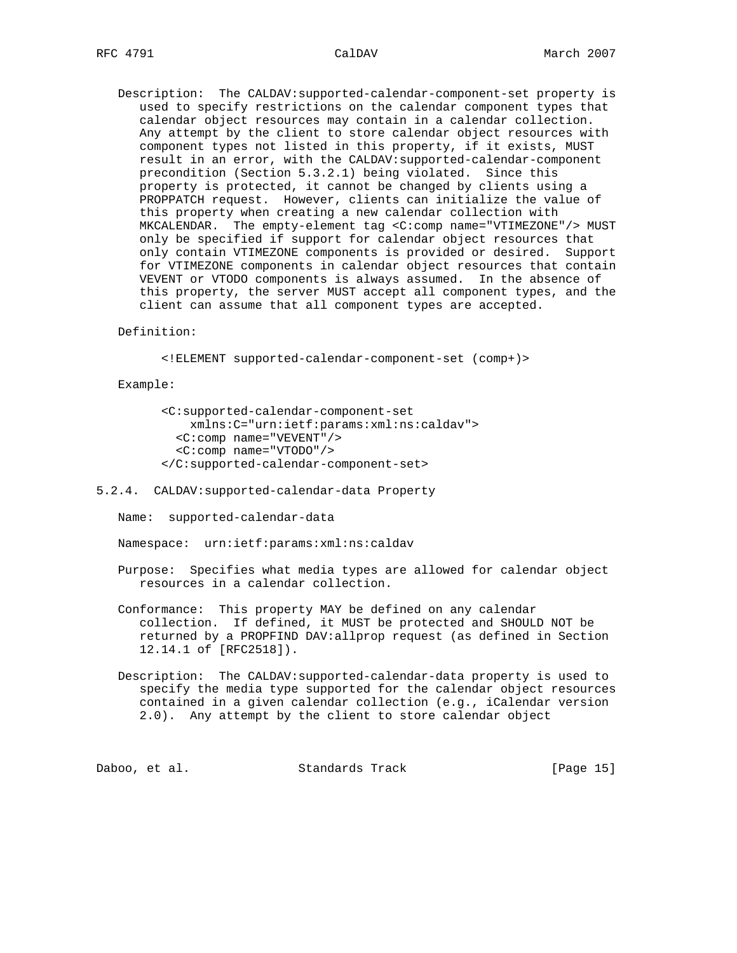Description: The CALDAV:supported-calendar-component-set property is used to specify restrictions on the calendar component types that calendar object resources may contain in a calendar collection. Any attempt by the client to store calendar object resources with component types not listed in this property, if it exists, MUST result in an error, with the CALDAV:supported-calendar-component precondition (Section 5.3.2.1) being violated. Since this property is protected, it cannot be changed by clients using a PROPPATCH request. However, clients can initialize the value of this property when creating a new calendar collection with MKCALENDAR. The empty-element tag <C:comp name="VTIMEZONE"/> MUST only be specified if support for calendar object resources that only contain VTIMEZONE components is provided or desired. Support for VTIMEZONE components in calendar object resources that contain VEVENT or VTODO components is always assumed. In the absence of this property, the server MUST accept all component types, and the client can assume that all component types are accepted.

# Definition:

<!ELEMENT supported-calendar-component-set (comp+)>

### Example:

 <C:supported-calendar-component-set xmlns:C="urn:ietf:params:xml:ns:caldav"> <C:comp name="VEVENT"/> <C:comp name="VTODO"/> </C:supported-calendar-component-set>

### 5.2.4. CALDAV:supported-calendar-data Property

Name: supported-calendar-data

Namespace: urn:ietf:params:xml:ns:caldav

 Purpose: Specifies what media types are allowed for calendar object resources in a calendar collection.

 Conformance: This property MAY be defined on any calendar collection. If defined, it MUST be protected and SHOULD NOT be returned by a PROPFIND DAV:allprop request (as defined in Section 12.14.1 of [RFC2518]).

 Description: The CALDAV:supported-calendar-data property is used to specify the media type supported for the calendar object resources contained in a given calendar collection (e.g., iCalendar version 2.0). Any attempt by the client to store calendar object

Daboo, et al. Standards Track [Page 15]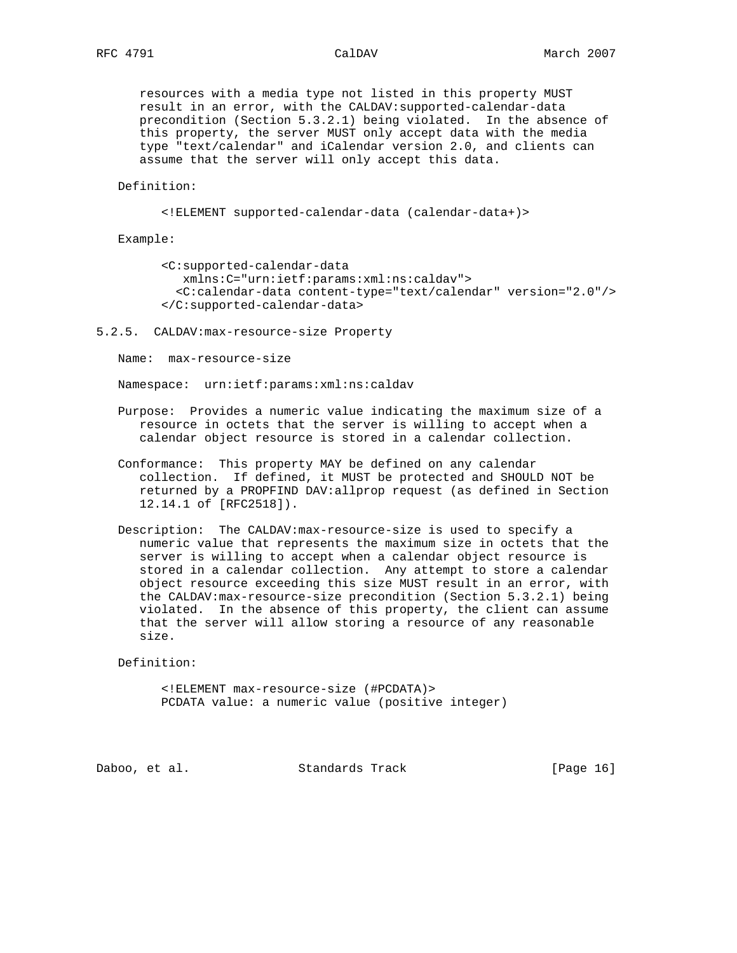resources with a media type not listed in this property MUST result in an error, with the CALDAV:supported-calendar-data precondition (Section 5.3.2.1) being violated. In the absence of this property, the server MUST only accept data with the media type "text/calendar" and iCalendar version 2.0, and clients can assume that the server will only accept this data.

## Definition:

```
 <!ELEMENT supported-calendar-data (calendar-data+)>
```
Example:

 <C:supported-calendar-data xmlns:C="urn:ietf:params:xml:ns:caldav"> <C:calendar-data content-type="text/calendar" version="2.0"/> </C:supported-calendar-data>

### 5.2.5. CALDAV:max-resource-size Property

Name: max-resource-size

Namespace: urn:ietf:params:xml:ns:caldav

- Purpose: Provides a numeric value indicating the maximum size of a resource in octets that the server is willing to accept when a calendar object resource is stored in a calendar collection.
- Conformance: This property MAY be defined on any calendar collection. If defined, it MUST be protected and SHOULD NOT be returned by a PROPFIND DAV:allprop request (as defined in Section 12.14.1 of [RFC2518]).
- Description: The CALDAV:max-resource-size is used to specify a numeric value that represents the maximum size in octets that the server is willing to accept when a calendar object resource is stored in a calendar collection. Any attempt to store a calendar object resource exceeding this size MUST result in an error, with the CALDAV:max-resource-size precondition (Section 5.3.2.1) being violated. In the absence of this property, the client can assume that the server will allow storing a resource of any reasonable size.

Definition:

 <!ELEMENT max-resource-size (#PCDATA)> PCDATA value: a numeric value (positive integer)

Daboo, et al. Standards Track [Page 16]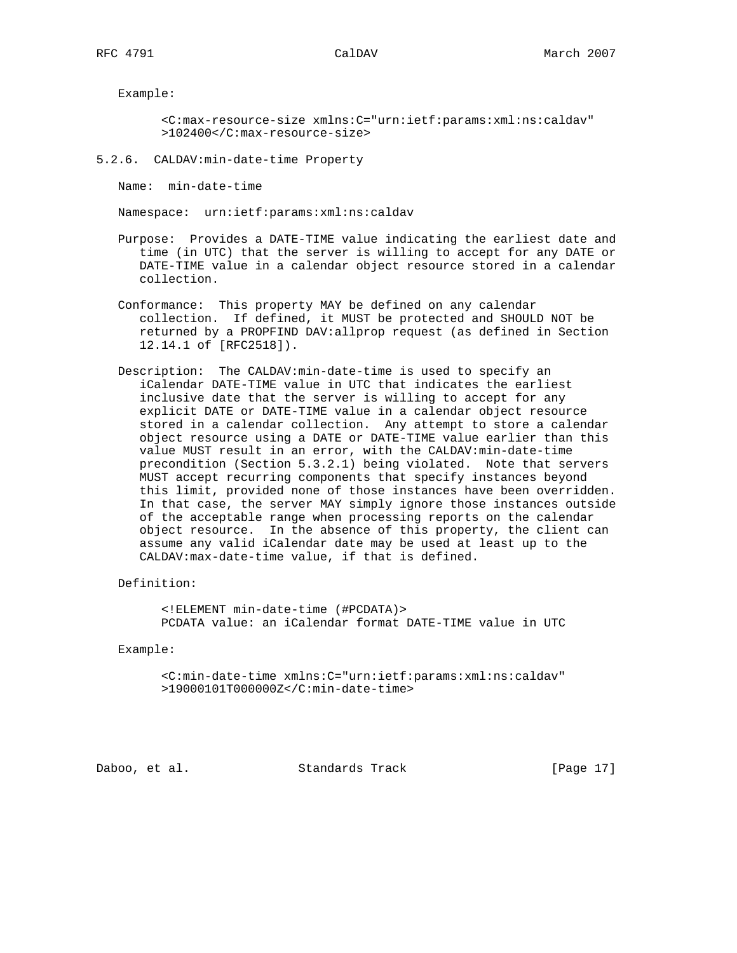Example:

 <C:max-resource-size xmlns:C="urn:ietf:params:xml:ns:caldav" >102400</C:max-resource-size>

5.2.6. CALDAV:min-date-time Property

Name: min-date-time

Namespace: urn:ietf:params:xml:ns:caldav

- Purpose: Provides a DATE-TIME value indicating the earliest date and time (in UTC) that the server is willing to accept for any DATE or DATE-TIME value in a calendar object resource stored in a calendar collection.
- Conformance: This property MAY be defined on any calendar collection. If defined, it MUST be protected and SHOULD NOT be returned by a PROPFIND DAV:allprop request (as defined in Section 12.14.1 of [RFC2518]).
- Description: The CALDAV:min-date-time is used to specify an iCalendar DATE-TIME value in UTC that indicates the earliest inclusive date that the server is willing to accept for any explicit DATE or DATE-TIME value in a calendar object resource stored in a calendar collection. Any attempt to store a calendar object resource using a DATE or DATE-TIME value earlier than this value MUST result in an error, with the CALDAV:min-date-time precondition (Section 5.3.2.1) being violated. Note that servers MUST accept recurring components that specify instances beyond this limit, provided none of those instances have been overridden. In that case, the server MAY simply ignore those instances outside of the acceptable range when processing reports on the calendar object resource. In the absence of this property, the client can assume any valid iCalendar date may be used at least up to the CALDAV:max-date-time value, if that is defined.

Definition:

 <!ELEMENT min-date-time (#PCDATA)> PCDATA value: an iCalendar format DATE-TIME value in UTC

Example:

 <C:min-date-time xmlns:C="urn:ietf:params:xml:ns:caldav" >19000101T000000Z</C:min-date-time>

Daboo, et al. Standards Track [Page 17]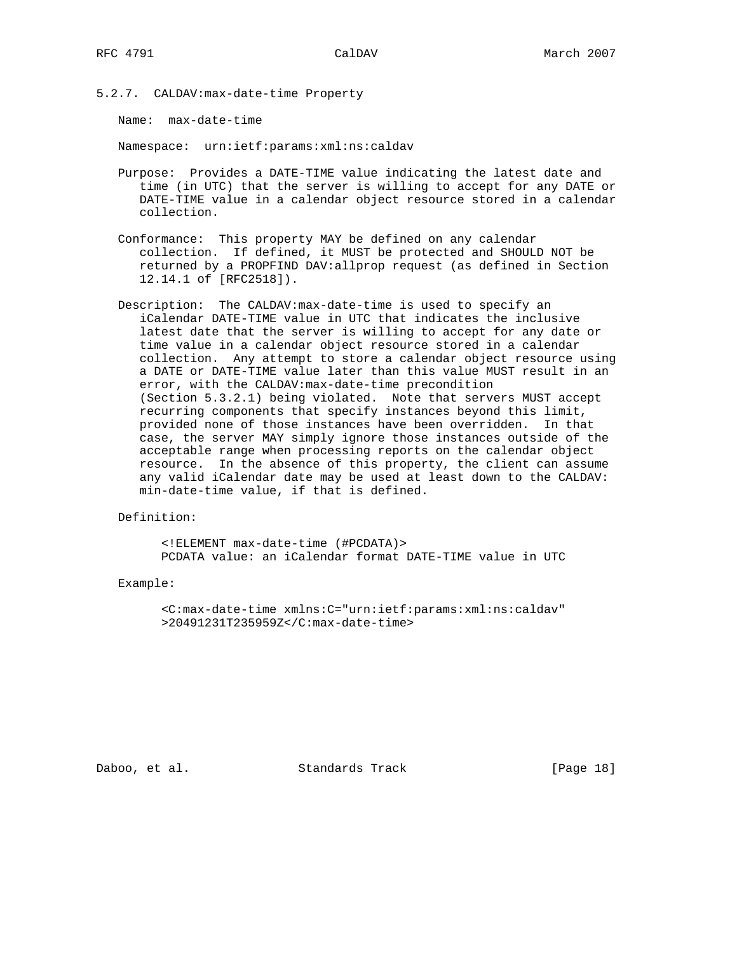5.2.7. CALDAV:max-date-time Property

Name: max-date-time

Namespace: urn:ietf:params:xml:ns:caldav

- Purpose: Provides a DATE-TIME value indicating the latest date and time (in UTC) that the server is willing to accept for any DATE or DATE-TIME value in a calendar object resource stored in a calendar collection.
- Conformance: This property MAY be defined on any calendar collection. If defined, it MUST be protected and SHOULD NOT be returned by a PROPFIND DAV:allprop request (as defined in Section 12.14.1 of [RFC2518]).
- Description: The CALDAV:max-date-time is used to specify an iCalendar DATE-TIME value in UTC that indicates the inclusive latest date that the server is willing to accept for any date or time value in a calendar object resource stored in a calendar collection. Any attempt to store a calendar object resource using a DATE or DATE-TIME value later than this value MUST result in an error, with the CALDAV:max-date-time precondition (Section 5.3.2.1) being violated. Note that servers MUST accept recurring components that specify instances beyond this limit, provided none of those instances have been overridden. In that case, the server MAY simply ignore those instances outside of the acceptable range when processing reports on the calendar object resource. In the absence of this property, the client can assume any valid iCalendar date may be used at least down to the CALDAV: min-date-time value, if that is defined.

Definition:

 <!ELEMENT max-date-time (#PCDATA)> PCDATA value: an iCalendar format DATE-TIME value in UTC

Example:

 <C:max-date-time xmlns:C="urn:ietf:params:xml:ns:caldav" >20491231T235959Z</C:max-date-time>

Daboo, et al. Standards Track [Page 18]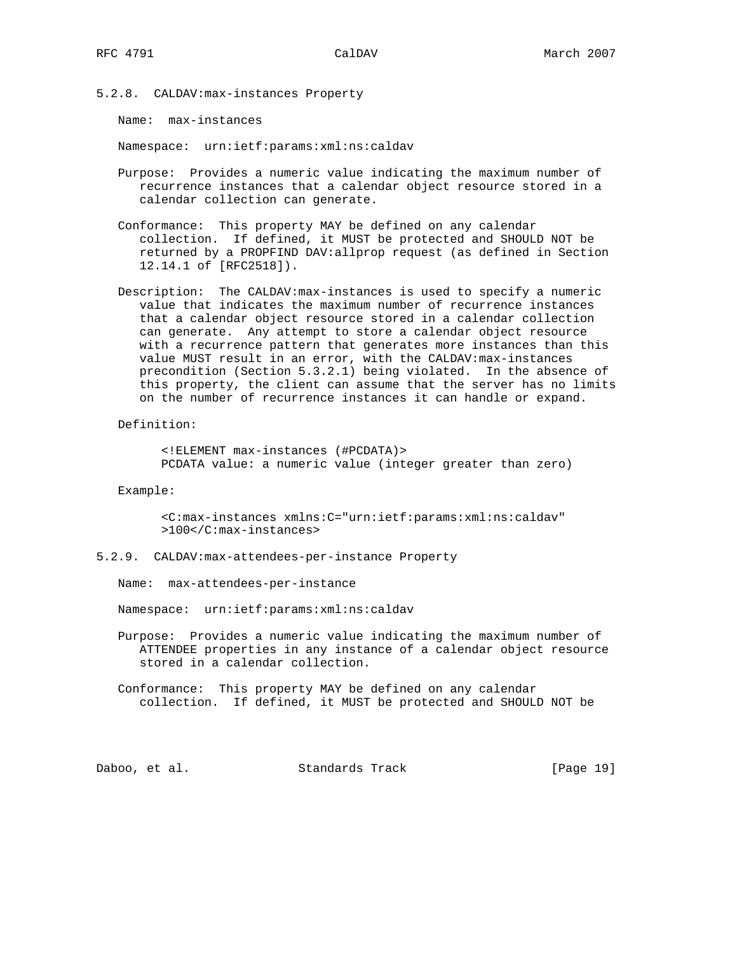5.2.8. CALDAV:max-instances Property

Name: max-instances

Namespace: urn:ietf:params:xml:ns:caldav

- Purpose: Provides a numeric value indicating the maximum number of recurrence instances that a calendar object resource stored in a calendar collection can generate.
- Conformance: This property MAY be defined on any calendar collection. If defined, it MUST be protected and SHOULD NOT be returned by a PROPFIND DAV:allprop request (as defined in Section 12.14.1 of [RFC2518]).
- Description: The CALDAV:max-instances is used to specify a numeric value that indicates the maximum number of recurrence instances that a calendar object resource stored in a calendar collection can generate. Any attempt to store a calendar object resource with a recurrence pattern that generates more instances than this value MUST result in an error, with the CALDAV:max-instances precondition (Section 5.3.2.1) being violated. In the absence of this property, the client can assume that the server has no limits on the number of recurrence instances it can handle or expand.

Definition:

 <!ELEMENT max-instances (#PCDATA)> PCDATA value: a numeric value (integer greater than zero)

Example:

 <C:max-instances xmlns:C="urn:ietf:params:xml:ns:caldav" >100</C:max-instances>

5.2.9. CALDAV:max-attendees-per-instance Property

Name: max-attendees-per-instance

Namespace: urn:ietf:params:xml:ns:caldav

- Purpose: Provides a numeric value indicating the maximum number of ATTENDEE properties in any instance of a calendar object resource stored in a calendar collection.
- Conformance: This property MAY be defined on any calendar collection. If defined, it MUST be protected and SHOULD NOT be

Daboo, et al. Standards Track [Page 19]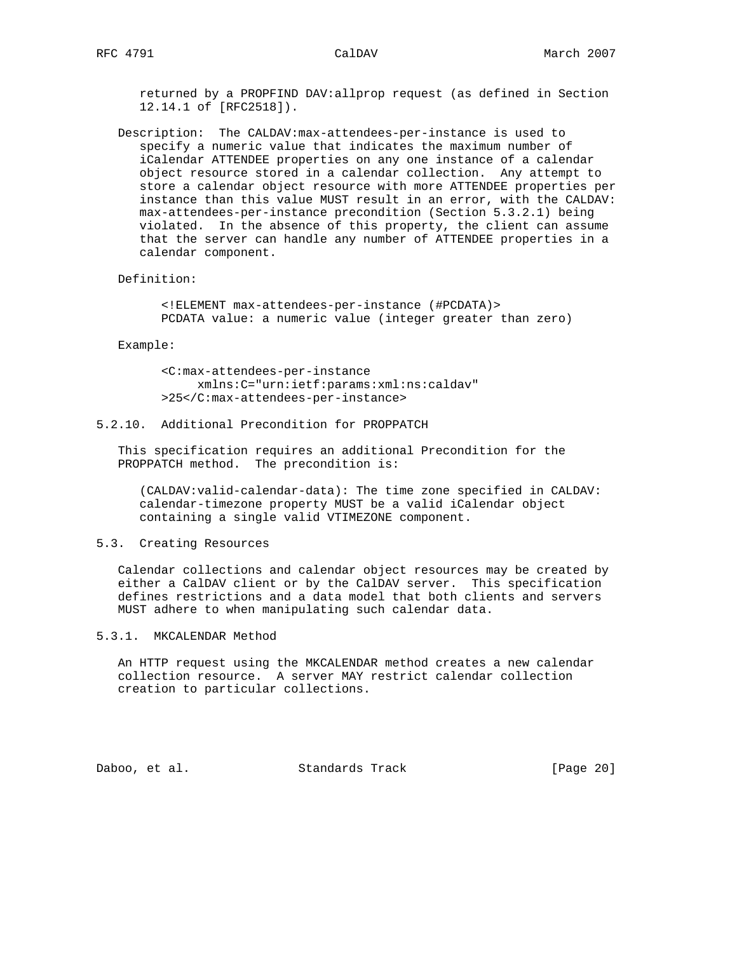returned by a PROPFIND DAV:allprop request (as defined in Section 12.14.1 of [RFC2518]).

 Description: The CALDAV:max-attendees-per-instance is used to specify a numeric value that indicates the maximum number of iCalendar ATTENDEE properties on any one instance of a calendar object resource stored in a calendar collection. Any attempt to store a calendar object resource with more ATTENDEE properties per instance than this value MUST result in an error, with the CALDAV: max-attendees-per-instance precondition (Section 5.3.2.1) being violated. In the absence of this property, the client can assume that the server can handle any number of ATTENDEE properties in a calendar component.

### Definition:

 <!ELEMENT max-attendees-per-instance (#PCDATA)> PCDATA value: a numeric value (integer greater than zero)

### Example:

 <C:max-attendees-per-instance xmlns:C="urn:ietf:params:xml:ns:caldav" >25</C:max-attendees-per-instance>

# 5.2.10. Additional Precondition for PROPPATCH

 This specification requires an additional Precondition for the PROPPATCH method. The precondition is:

 (CALDAV:valid-calendar-data): The time zone specified in CALDAV: calendar-timezone property MUST be a valid iCalendar object containing a single valid VTIMEZONE component.

# 5.3. Creating Resources

 Calendar collections and calendar object resources may be created by either a CalDAV client or by the CalDAV server. This specification defines restrictions and a data model that both clients and servers MUST adhere to when manipulating such calendar data.

# 5.3.1. MKCALENDAR Method

 An HTTP request using the MKCALENDAR method creates a new calendar collection resource. A server MAY restrict calendar collection creation to particular collections.

Daboo, et al. Standards Track [Page 20]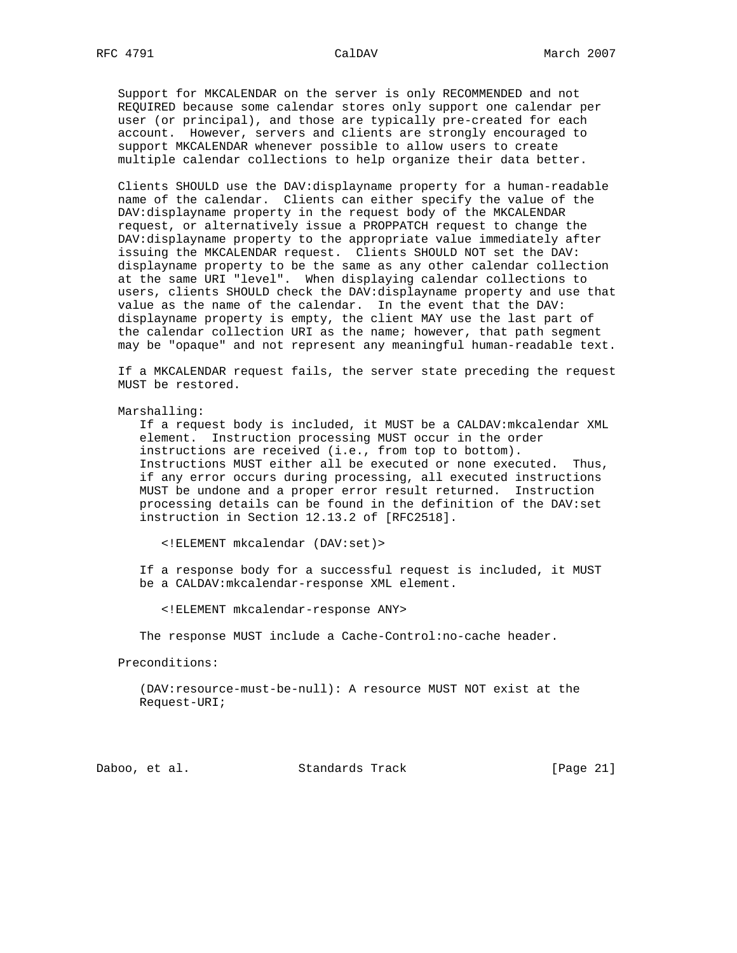Support for MKCALENDAR on the server is only RECOMMENDED and not REQUIRED because some calendar stores only support one calendar per user (or principal), and those are typically pre-created for each account. However, servers and clients are strongly encouraged to support MKCALENDAR whenever possible to allow users to create multiple calendar collections to help organize their data better.

 Clients SHOULD use the DAV:displayname property for a human-readable name of the calendar. Clients can either specify the value of the DAV:displayname property in the request body of the MKCALENDAR request, or alternatively issue a PROPPATCH request to change the DAV:displayname property to the appropriate value immediately after issuing the MKCALENDAR request. Clients SHOULD NOT set the DAV: displayname property to be the same as any other calendar collection at the same URI "level". When displaying calendar collections to users, clients SHOULD check the DAV:displayname property and use that value as the name of the calendar. In the event that the DAV: displayname property is empty, the client MAY use the last part of the calendar collection URI as the name; however, that path segment may be "opaque" and not represent any meaningful human-readable text.

 If a MKCALENDAR request fails, the server state preceding the request MUST be restored.

Marshalling:

 If a request body is included, it MUST be a CALDAV:mkcalendar XML element. Instruction processing MUST occur in the order instructions are received (i.e., from top to bottom). Instructions MUST either all be executed or none executed. Thus, if any error occurs during processing, all executed instructions MUST be undone and a proper error result returned. Instruction processing details can be found in the definition of the DAV:set instruction in Section 12.13.2 of [RFC2518].

<!ELEMENT mkcalendar (DAV:set)>

 If a response body for a successful request is included, it MUST be a CALDAV:mkcalendar-response XML element.

<!ELEMENT mkcalendar-response ANY>

The response MUST include a Cache-Control:no-cache header.

Preconditions:

 (DAV:resource-must-be-null): A resource MUST NOT exist at the Request-URI;

Daboo, et al. Standards Track [Page 21]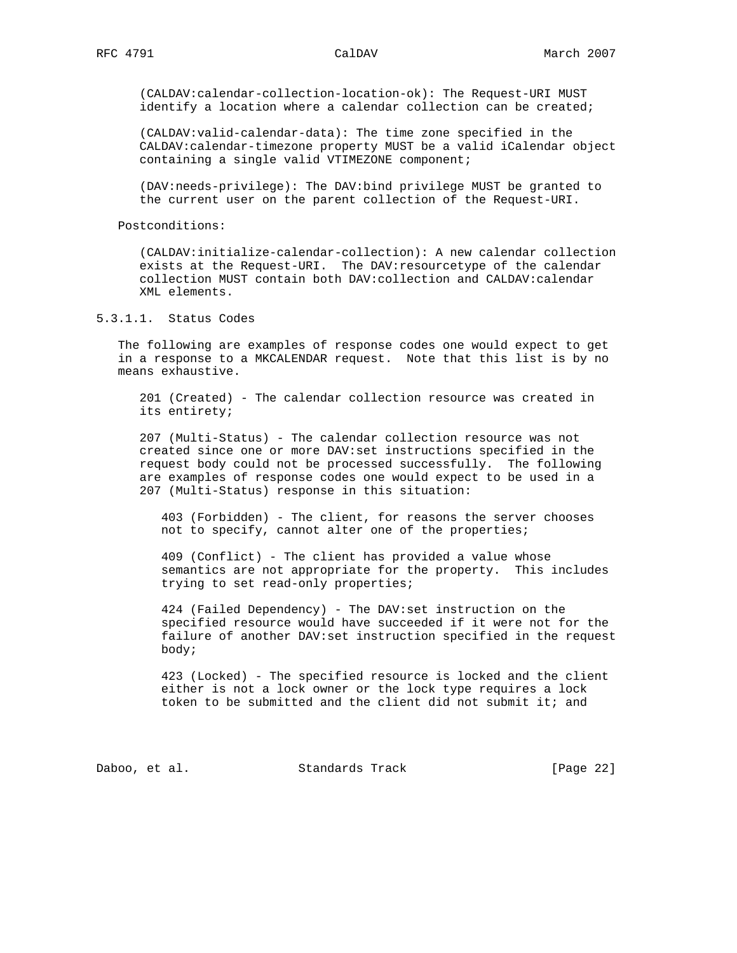(CALDAV:calendar-collection-location-ok): The Request-URI MUST identify a location where a calendar collection can be created;

 (CALDAV:valid-calendar-data): The time zone specified in the CALDAV:calendar-timezone property MUST be a valid iCalendar object containing a single valid VTIMEZONE component;

 (DAV:needs-privilege): The DAV:bind privilege MUST be granted to the current user on the parent collection of the Request-URI.

Postconditions:

 (CALDAV:initialize-calendar-collection): A new calendar collection exists at the Request-URI. The DAV: resourcetype of the calendar collection MUST contain both DAV:collection and CALDAV:calendar XML elements.

5.3.1.1. Status Codes

 The following are examples of response codes one would expect to get in a response to a MKCALENDAR request. Note that this list is by no means exhaustive.

 201 (Created) - The calendar collection resource was created in its entirety;

 207 (Multi-Status) - The calendar collection resource was not created since one or more DAV:set instructions specified in the request body could not be processed successfully. The following are examples of response codes one would expect to be used in a 207 (Multi-Status) response in this situation:

 403 (Forbidden) - The client, for reasons the server chooses not to specify, cannot alter one of the properties;

 409 (Conflict) - The client has provided a value whose semantics are not appropriate for the property. This includes trying to set read-only properties;

 424 (Failed Dependency) - The DAV:set instruction on the specified resource would have succeeded if it were not for the failure of another DAV:set instruction specified in the request body;

 423 (Locked) - The specified resource is locked and the client either is not a lock owner or the lock type requires a lock token to be submitted and the client did not submit it; and

Daboo, et al. Standards Track [Page 22]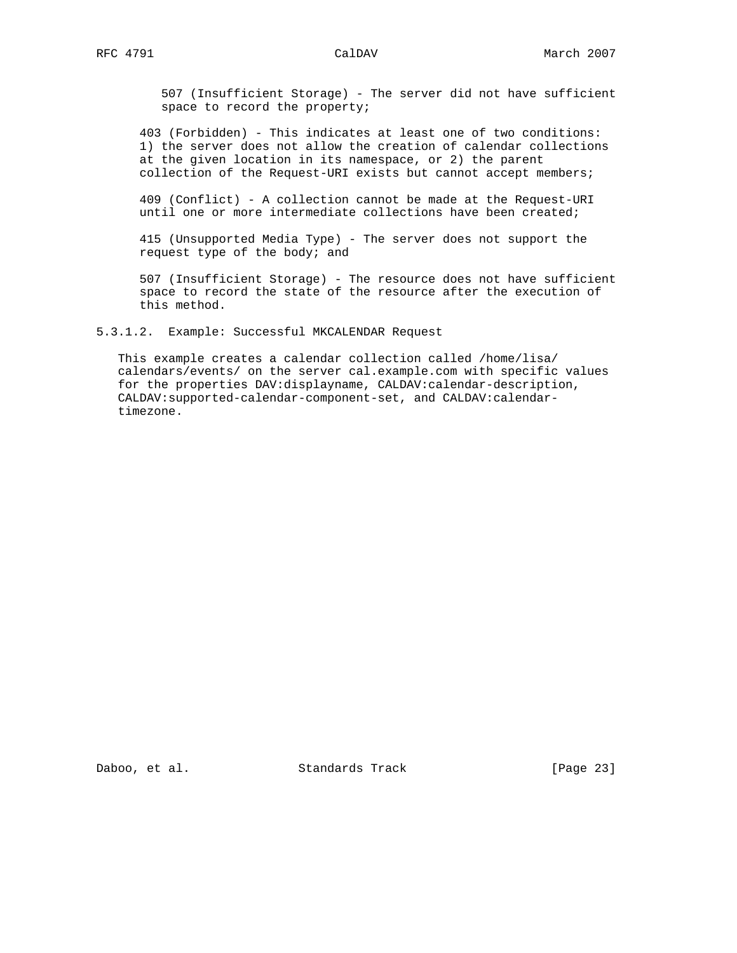507 (Insufficient Storage) - The server did not have sufficient space to record the property;

 403 (Forbidden) - This indicates at least one of two conditions: 1) the server does not allow the creation of calendar collections at the given location in its namespace, or 2) the parent collection of the Request-URI exists but cannot accept members;

 409 (Conflict) - A collection cannot be made at the Request-URI until one or more intermediate collections have been created;

 415 (Unsupported Media Type) - The server does not support the request type of the body; and

 507 (Insufficient Storage) - The resource does not have sufficient space to record the state of the resource after the execution of this method.

5.3.1.2. Example: Successful MKCALENDAR Request

 This example creates a calendar collection called /home/lisa/ calendars/events/ on the server cal.example.com with specific values for the properties DAV:displayname, CALDAV:calendar-description, CALDAV:supported-calendar-component-set, and CALDAV:calendar timezone.

Daboo, et al. Standards Track [Page 23]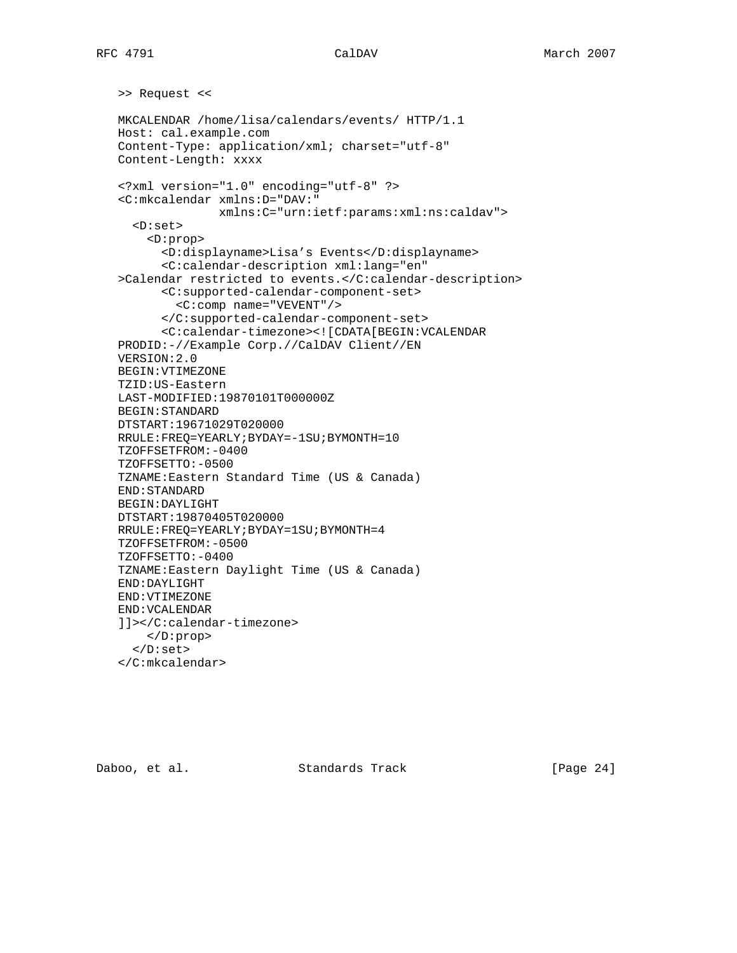```
 >> Request <<
 MKCALENDAR /home/lisa/calendars/events/ HTTP/1.1
 Host: cal.example.com
 Content-Type: application/xml; charset="utf-8"
 Content-Length: xxxx
 <?xml version="1.0" encoding="utf-8" ?>
 <C:mkcalendar xmlns:D="DAV:"
               xmlns:C="urn:ietf:params:xml:ns:caldav">
   <D:set>
     <D:prop>
       <D:displayname>Lisa's Events</D:displayname>
       <C:calendar-description xml:lang="en"
 >Calendar restricted to events.</C:calendar-description>
       <C:supported-calendar-component-set>
         <C:comp name="VEVENT"/>
       </C:supported-calendar-component-set>
       <C:calendar-timezone><![CDATA[BEGIN:VCALENDAR
 PRODID:-//Example Corp.//CalDAV Client//EN
 VERSION:2.0
 BEGIN:VTIMEZONE
 TZID:US-Eastern
 LAST-MODIFIED:19870101T000000Z
 BEGIN:STANDARD
 DTSTART:19671029T020000
 RRULE:FREQ=YEARLY;BYDAY=-1SU;BYMONTH=10
 TZOFFSETFROM:-0400
 TZOFFSETTO:-0500
 TZNAME:Eastern Standard Time (US & Canada)
 END:STANDARD
 BEGIN:DAYLIGHT
 DTSTART:19870405T020000
 RRULE:FREQ=YEARLY;BYDAY=1SU;BYMONTH=4
 TZOFFSETFROM:-0500
 TZOFFSETTO:-0400
 TZNAME:Eastern Daylight Time (US & Canada)
 END:DAYLIGHT
 END:VTIMEZONE
 END:VCALENDAR
 ]]></C:calendar-timezone>
    </D:prop>
   </D:set>
 </C:mkcalendar>
```
Daboo, et al. Standards Track [Page 24]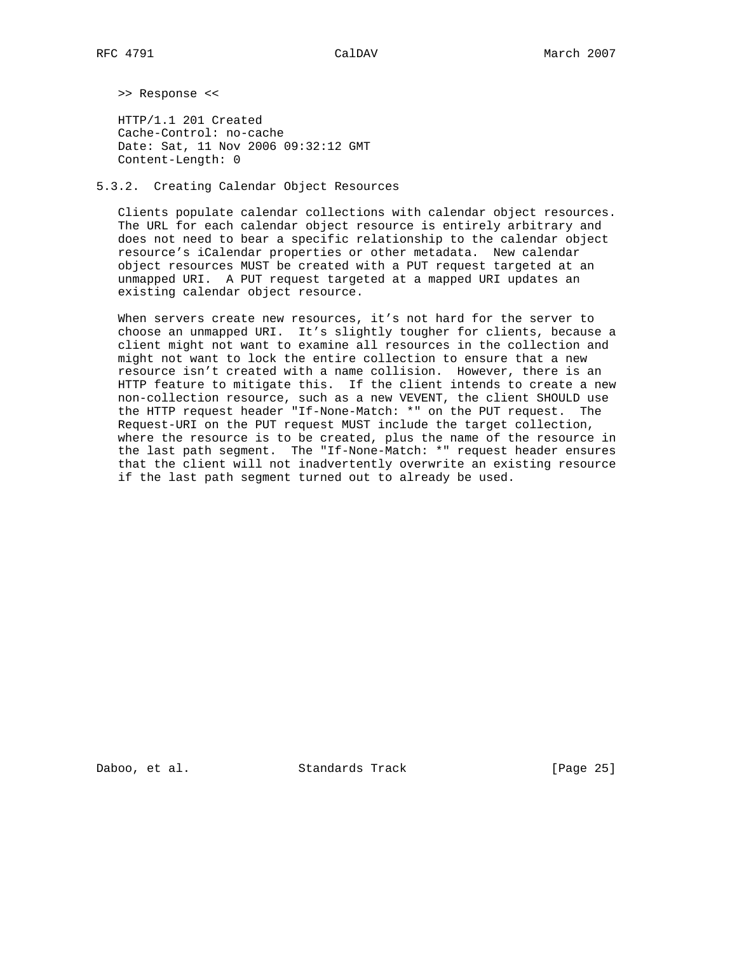>> Response <<

 HTTP/1.1 201 Created Cache-Control: no-cache Date: Sat, 11 Nov 2006 09:32:12 GMT Content-Length: 0

5.3.2. Creating Calendar Object Resources

 Clients populate calendar collections with calendar object resources. The URL for each calendar object resource is entirely arbitrary and does not need to bear a specific relationship to the calendar object resource's iCalendar properties or other metadata. New calendar object resources MUST be created with a PUT request targeted at an unmapped URI. A PUT request targeted at a mapped URI updates an existing calendar object resource.

 When servers create new resources, it's not hard for the server to choose an unmapped URI. It's slightly tougher for clients, because a client might not want to examine all resources in the collection and might not want to lock the entire collection to ensure that a new resource isn't created with a name collision. However, there is an HTTP feature to mitigate this. If the client intends to create a new non-collection resource, such as a new VEVENT, the client SHOULD use the HTTP request header "If-None-Match: \*" on the PUT request. The Request-URI on the PUT request MUST include the target collection, where the resource is to be created, plus the name of the resource in the last path segment. The "If-None-Match: \*" request header ensures that the client will not inadvertently overwrite an existing resource if the last path segment turned out to already be used.

Daboo, et al. Standards Track [Page 25]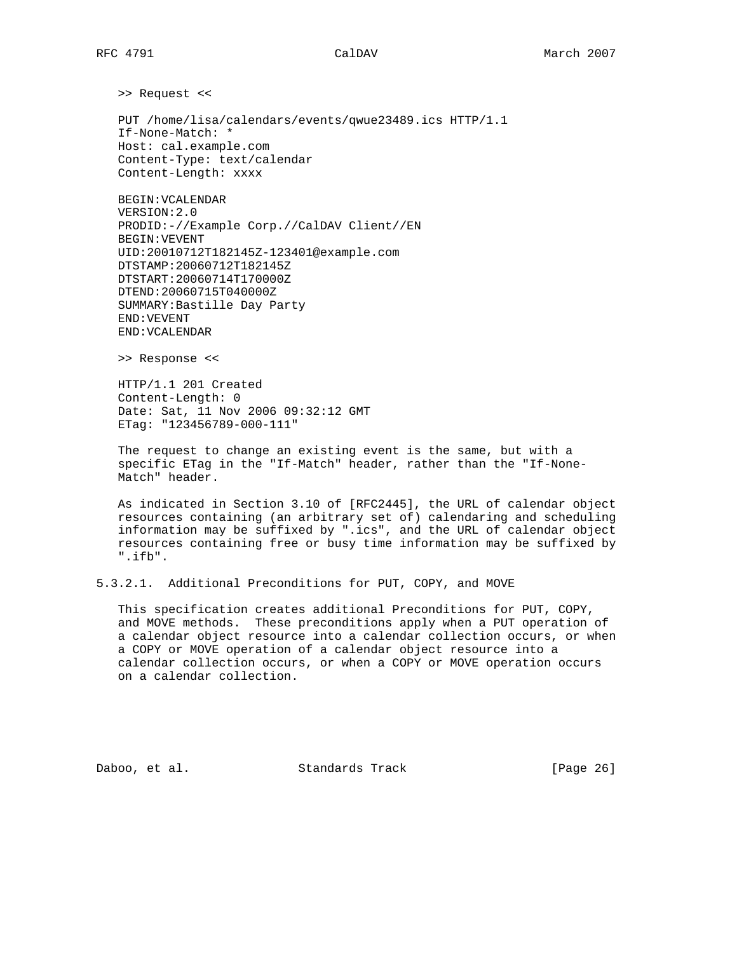>> Request <<

 PUT /home/lisa/calendars/events/qwue23489.ics HTTP/1.1 If-None-Match: \* Host: cal.example.com Content-Type: text/calendar Content-Length: xxxx

 BEGIN:VCALENDAR VERSION:2.0 PRODID:-//Example Corp.//CalDAV Client//EN BEGIN:VEVENT UID:20010712T182145Z-123401@example.com DTSTAMP:20060712T182145Z DTSTART:20060714T170000Z DTEND:20060715T040000Z SUMMARY:Bastille Day Party END:VEVENT END:VCALENDAR

>> Response <<

 HTTP/1.1 201 Created Content-Length: 0 Date: Sat, 11 Nov 2006 09:32:12 GMT ETag: "123456789-000-111"

 The request to change an existing event is the same, but with a specific ETag in the "If-Match" header, rather than the "If-None- Match" header.

 As indicated in Section 3.10 of [RFC2445], the URL of calendar object resources containing (an arbitrary set of) calendaring and scheduling information may be suffixed by ".ics", and the URL of calendar object resources containing free or busy time information may be suffixed by ".ifb".

5.3.2.1. Additional Preconditions for PUT, COPY, and MOVE

 This specification creates additional Preconditions for PUT, COPY, and MOVE methods. These preconditions apply when a PUT operation of a calendar object resource into a calendar collection occurs, or when a COPY or MOVE operation of a calendar object resource into a calendar collection occurs, or when a COPY or MOVE operation occurs on a calendar collection.

Daboo, et al. Standards Track [Page 26]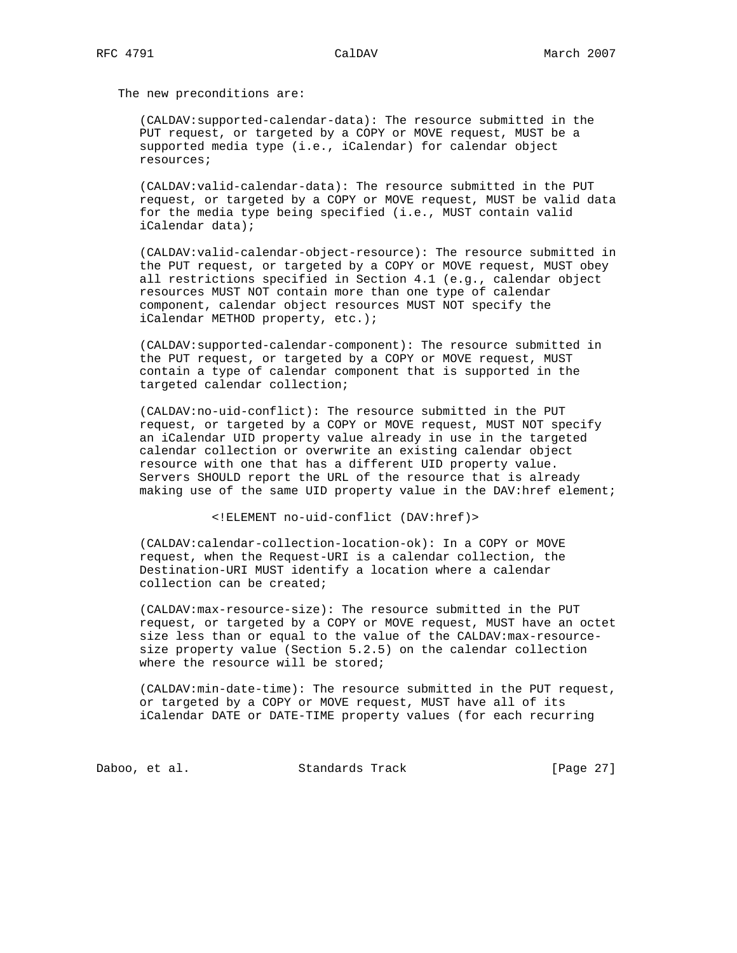The new preconditions are:

 (CALDAV:supported-calendar-data): The resource submitted in the PUT request, or targeted by a COPY or MOVE request, MUST be a supported media type (i.e., iCalendar) for calendar object resources;

 (CALDAV:valid-calendar-data): The resource submitted in the PUT request, or targeted by a COPY or MOVE request, MUST be valid data for the media type being specified (i.e., MUST contain valid iCalendar data);

 (CALDAV:valid-calendar-object-resource): The resource submitted in the PUT request, or targeted by a COPY or MOVE request, MUST obey all restrictions specified in Section 4.1 (e.g., calendar object resources MUST NOT contain more than one type of calendar component, calendar object resources MUST NOT specify the iCalendar METHOD property, etc.);

 (CALDAV:supported-calendar-component): The resource submitted in the PUT request, or targeted by a COPY or MOVE request, MUST contain a type of calendar component that is supported in the targeted calendar collection;

 (CALDAV:no-uid-conflict): The resource submitted in the PUT request, or targeted by a COPY or MOVE request, MUST NOT specify an iCalendar UID property value already in use in the targeted calendar collection or overwrite an existing calendar object resource with one that has a different UID property value. Servers SHOULD report the URL of the resource that is already making use of the same UID property value in the DAV:href element;

<!ELEMENT no-uid-conflict (DAV:href)>

 (CALDAV:calendar-collection-location-ok): In a COPY or MOVE request, when the Request-URI is a calendar collection, the Destination-URI MUST identify a location where a calendar collection can be created;

 (CALDAV:max-resource-size): The resource submitted in the PUT request, or targeted by a COPY or MOVE request, MUST have an octet size less than or equal to the value of the CALDAV:max-resource size property value (Section 5.2.5) on the calendar collection where the resource will be stored;

 (CALDAV:min-date-time): The resource submitted in the PUT request, or targeted by a COPY or MOVE request, MUST have all of its iCalendar DATE or DATE-TIME property values (for each recurring

Daboo, et al. Standards Track [Page 27]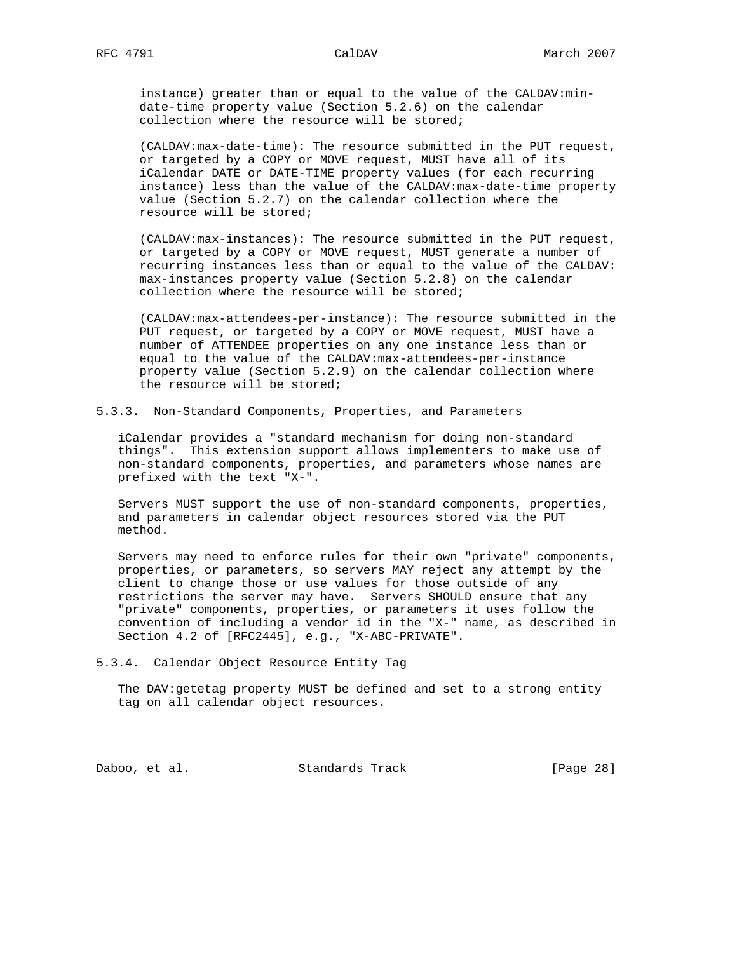instance) greater than or equal to the value of the CALDAV:min date-time property value (Section 5.2.6) on the calendar collection where the resource will be stored;

 (CALDAV:max-date-time): The resource submitted in the PUT request, or targeted by a COPY or MOVE request, MUST have all of its iCalendar DATE or DATE-TIME property values (for each recurring instance) less than the value of the CALDAV:max-date-time property value (Section 5.2.7) on the calendar collection where the resource will be stored;

 (CALDAV:max-instances): The resource submitted in the PUT request, or targeted by a COPY or MOVE request, MUST generate a number of recurring instances less than or equal to the value of the CALDAV: max-instances property value (Section 5.2.8) on the calendar collection where the resource will be stored;

 (CALDAV:max-attendees-per-instance): The resource submitted in the PUT request, or targeted by a COPY or MOVE request, MUST have a number of ATTENDEE properties on any one instance less than or equal to the value of the CALDAV:max-attendees-per-instance property value (Section 5.2.9) on the calendar collection where the resource will be stored;

5.3.3. Non-Standard Components, Properties, and Parameters

 iCalendar provides a "standard mechanism for doing non-standard things". This extension support allows implementers to make use of non-standard components, properties, and parameters whose names are prefixed with the text "X-".

 Servers MUST support the use of non-standard components, properties, and parameters in calendar object resources stored via the PUT method.

 Servers may need to enforce rules for their own "private" components, properties, or parameters, so servers MAY reject any attempt by the client to change those or use values for those outside of any restrictions the server may have. Servers SHOULD ensure that any "private" components, properties, or parameters it uses follow the convention of including a vendor id in the "X-" name, as described in Section 4.2 of [RFC2445], e.g., "X-ABC-PRIVATE".

5.3.4. Calendar Object Resource Entity Tag

 The DAV:getetag property MUST be defined and set to a strong entity tag on all calendar object resources.

Daboo, et al. Standards Track [Page 28]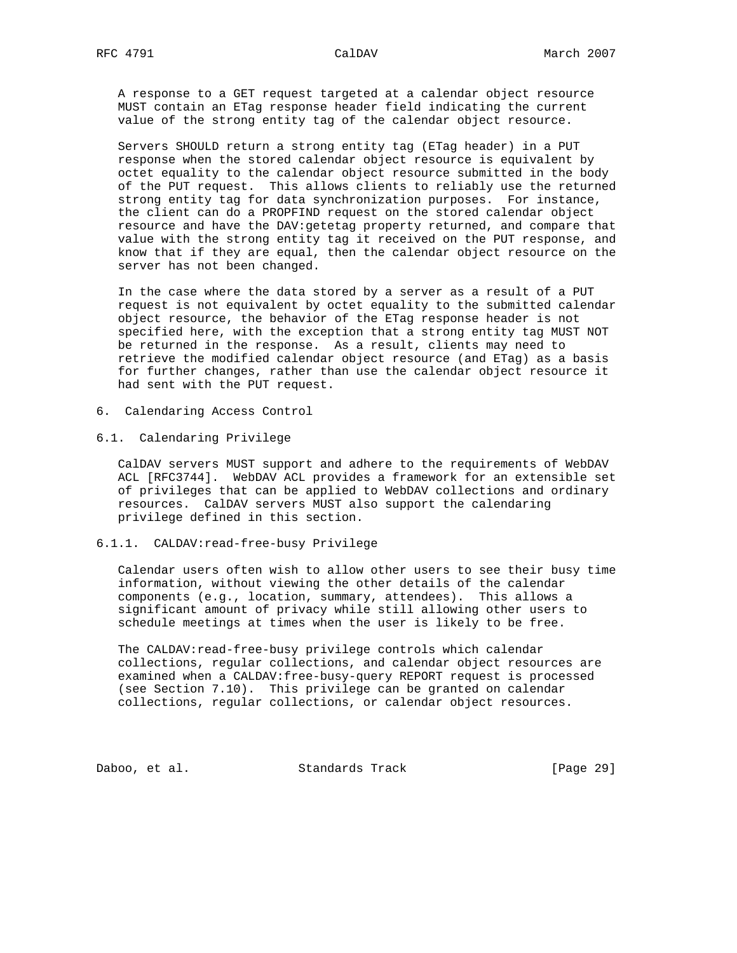A response to a GET request targeted at a calendar object resource MUST contain an ETag response header field indicating the current value of the strong entity tag of the calendar object resource.

 Servers SHOULD return a strong entity tag (ETag header) in a PUT response when the stored calendar object resource is equivalent by octet equality to the calendar object resource submitted in the body of the PUT request. This allows clients to reliably use the returned strong entity tag for data synchronization purposes. For instance, the client can do a PROPFIND request on the stored calendar object resource and have the DAV:getetag property returned, and compare that value with the strong entity tag it received on the PUT response, and know that if they are equal, then the calendar object resource on the server has not been changed.

 In the case where the data stored by a server as a result of a PUT request is not equivalent by octet equality to the submitted calendar object resource, the behavior of the ETag response header is not specified here, with the exception that a strong entity tag MUST NOT be returned in the response. As a result, clients may need to retrieve the modified calendar object resource (and ETag) as a basis for further changes, rather than use the calendar object resource it had sent with the PUT request.

- 6. Calendaring Access Control
- 6.1. Calendaring Privilege

 CalDAV servers MUST support and adhere to the requirements of WebDAV ACL [RFC3744]. WebDAV ACL provides a framework for an extensible set of privileges that can be applied to WebDAV collections and ordinary resources. CalDAV servers MUST also support the calendaring privilege defined in this section.

## 6.1.1. CALDAV:read-free-busy Privilege

 Calendar users often wish to allow other users to see their busy time information, without viewing the other details of the calendar components (e.g., location, summary, attendees). This allows a significant amount of privacy while still allowing other users to schedule meetings at times when the user is likely to be free.

 The CALDAV:read-free-busy privilege controls which calendar collections, regular collections, and calendar object resources are examined when a CALDAV:free-busy-query REPORT request is processed (see Section 7.10). This privilege can be granted on calendar collections, regular collections, or calendar object resources.

Daboo, et al. Standards Track [Page 29]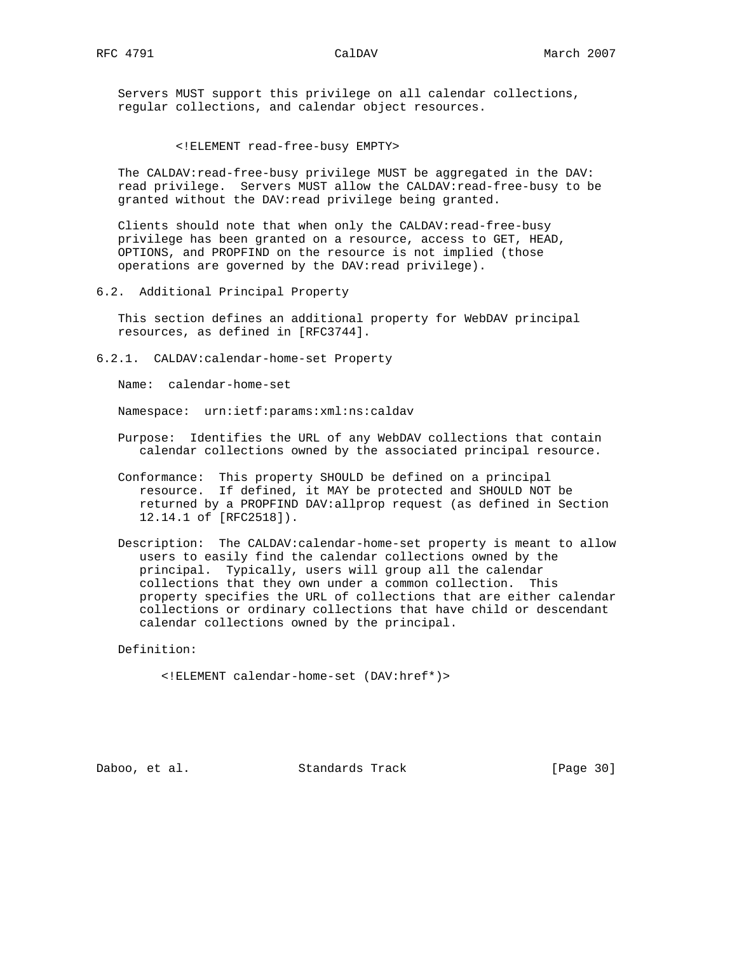Servers MUST support this privilege on all calendar collections, regular collections, and calendar object resources.

<!ELEMENT read-free-busy EMPTY>

 The CALDAV:read-free-busy privilege MUST be aggregated in the DAV: read privilege. Servers MUST allow the CALDAV:read-free-busy to be granted without the DAV:read privilege being granted.

Clients should note that when only the CALDAV: read-free-busy privilege has been granted on a resource, access to GET, HEAD, OPTIONS, and PROPFIND on the resource is not implied (those operations are governed by the DAV:read privilege).

6.2. Additional Principal Property

 This section defines an additional property for WebDAV principal resources, as defined in [RFC3744].

6.2.1. CALDAV:calendar-home-set Property

Name: calendar-home-set

Namespace: urn:ietf:params:xml:ns:caldav

- Purpose: Identifies the URL of any WebDAV collections that contain calendar collections owned by the associated principal resource.
- Conformance: This property SHOULD be defined on a principal resource. If defined, it MAY be protected and SHOULD NOT be returned by a PROPFIND DAV:allprop request (as defined in Section 12.14.1 of [RFC2518]).
- Description: The CALDAV:calendar-home-set property is meant to allow users to easily find the calendar collections owned by the principal. Typically, users will group all the calendar collections that they own under a common collection. This property specifies the URL of collections that are either calendar collections or ordinary collections that have child or descendant calendar collections owned by the principal.

Definition:

<!ELEMENT calendar-home-set (DAV:href\*)>

Daboo, et al. Standards Track [Page 30]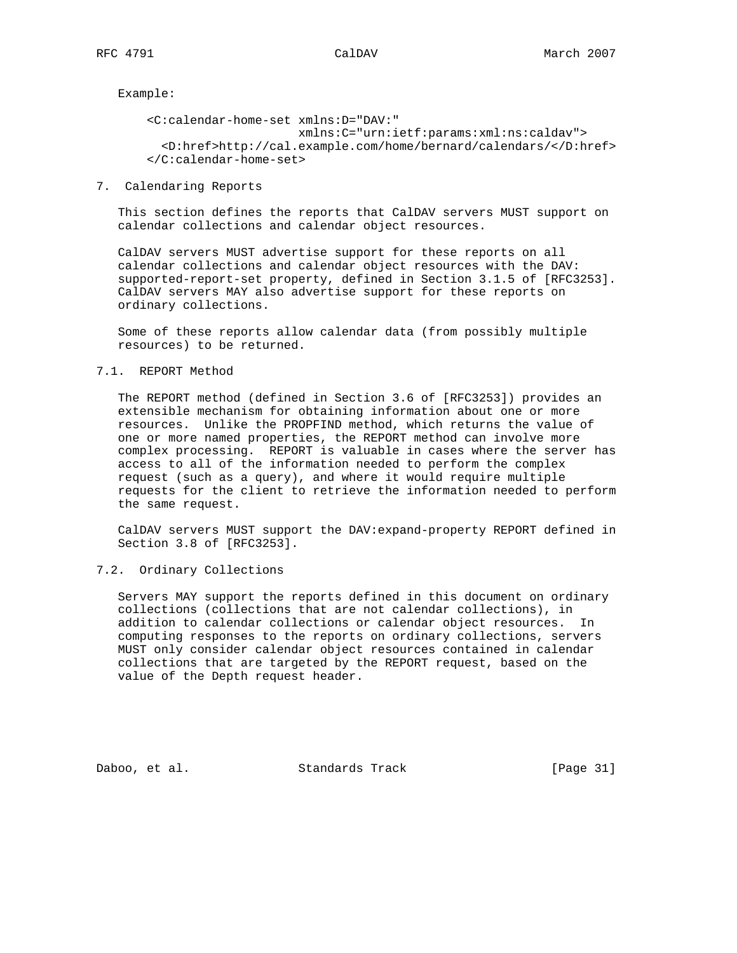Example:

 <C:calendar-home-set xmlns:D="DAV:" xmlns:C="urn:ietf:params:xml:ns:caldav"> <D:href>http://cal.example.com/home/bernard/calendars/</D:href> </C:calendar-home-set>

7. Calendaring Reports

 This section defines the reports that CalDAV servers MUST support on calendar collections and calendar object resources.

 CalDAV servers MUST advertise support for these reports on all calendar collections and calendar object resources with the DAV: supported-report-set property, defined in Section 3.1.5 of [RFC3253]. CalDAV servers MAY also advertise support for these reports on ordinary collections.

 Some of these reports allow calendar data (from possibly multiple resources) to be returned.

7.1. REPORT Method

 The REPORT method (defined in Section 3.6 of [RFC3253]) provides an extensible mechanism for obtaining information about one or more resources. Unlike the PROPFIND method, which returns the value of one or more named properties, the REPORT method can involve more complex processing. REPORT is valuable in cases where the server has access to all of the information needed to perform the complex request (such as a query), and where it would require multiple requests for the client to retrieve the information needed to perform the same request.

 CalDAV servers MUST support the DAV:expand-property REPORT defined in Section 3.8 of [RFC3253].

# 7.2. Ordinary Collections

 Servers MAY support the reports defined in this document on ordinary collections (collections that are not calendar collections), in addition to calendar collections or calendar object resources. In computing responses to the reports on ordinary collections, servers MUST only consider calendar object resources contained in calendar collections that are targeted by the REPORT request, based on the value of the Depth request header.

Daboo, et al. Standards Track [Page 31]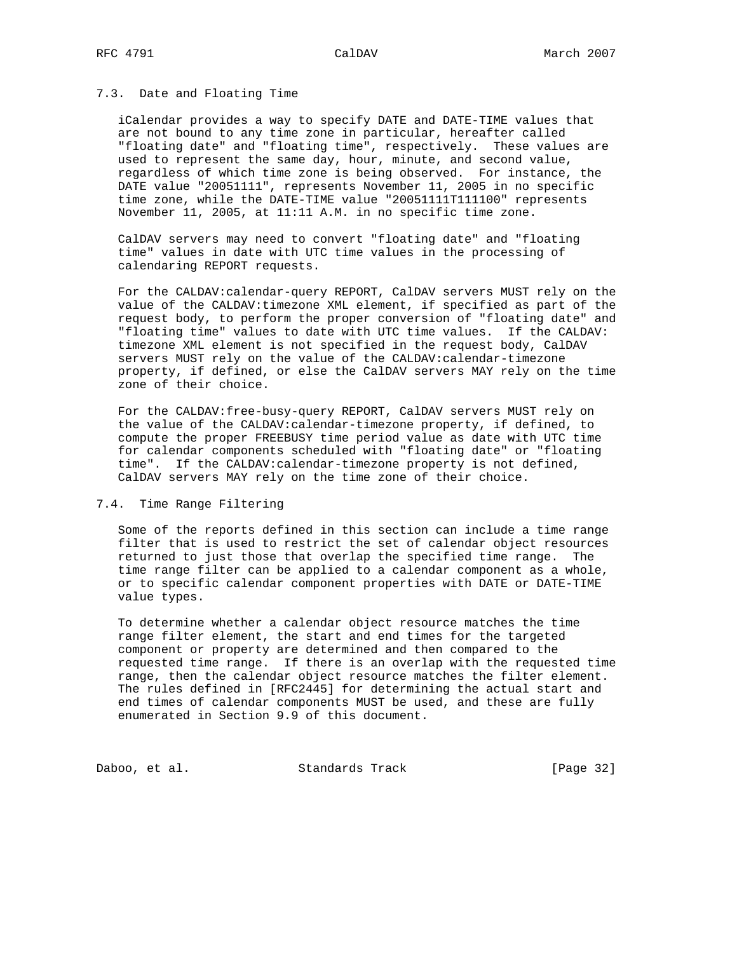# 7.3. Date and Floating Time

 iCalendar provides a way to specify DATE and DATE-TIME values that are not bound to any time zone in particular, hereafter called "floating date" and "floating time", respectively. These values are used to represent the same day, hour, minute, and second value, regardless of which time zone is being observed. For instance, the DATE value "20051111", represents November 11, 2005 in no specific time zone, while the DATE-TIME value "20051111T111100" represents November 11, 2005, at 11:11 A.M. in no specific time zone.

 CalDAV servers may need to convert "floating date" and "floating time" values in date with UTC time values in the processing of calendaring REPORT requests.

 For the CALDAV:calendar-query REPORT, CalDAV servers MUST rely on the value of the CALDAV:timezone XML element, if specified as part of the request body, to perform the proper conversion of "floating date" and "floating time" values to date with UTC time values. If the CALDAV: timezone XML element is not specified in the request body, CalDAV servers MUST rely on the value of the CALDAV:calendar-timezone property, if defined, or else the CalDAV servers MAY rely on the time zone of their choice.

 For the CALDAV:free-busy-query REPORT, CalDAV servers MUST rely on the value of the CALDAV:calendar-timezone property, if defined, to compute the proper FREEBUSY time period value as date with UTC time for calendar components scheduled with "floating date" or "floating time". If the CALDAV:calendar-timezone property is not defined, CalDAV servers MAY rely on the time zone of their choice.

### 7.4. Time Range Filtering

 Some of the reports defined in this section can include a time range filter that is used to restrict the set of calendar object resources returned to just those that overlap the specified time range. The time range filter can be applied to a calendar component as a whole, or to specific calendar component properties with DATE or DATE-TIME value types.

 To determine whether a calendar object resource matches the time range filter element, the start and end times for the targeted component or property are determined and then compared to the requested time range. If there is an overlap with the requested time range, then the calendar object resource matches the filter element. The rules defined in [RFC2445] for determining the actual start and end times of calendar components MUST be used, and these are fully enumerated in Section 9.9 of this document.

Daboo, et al. Standards Track [Page 32]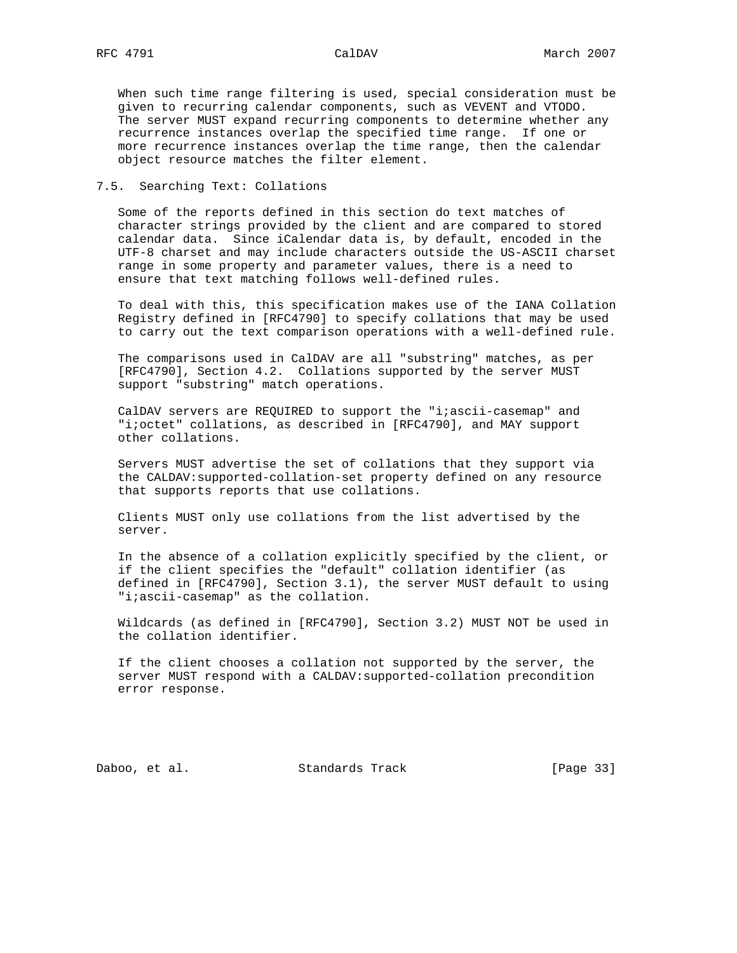When such time range filtering is used, special consideration must be given to recurring calendar components, such as VEVENT and VTODO. The server MUST expand recurring components to determine whether any recurrence instances overlap the specified time range. If one or more recurrence instances overlap the time range, then the calendar object resource matches the filter element.

# 7.5. Searching Text: Collations

 Some of the reports defined in this section do text matches of character strings provided by the client and are compared to stored calendar data. Since iCalendar data is, by default, encoded in the UTF-8 charset and may include characters outside the US-ASCII charset range in some property and parameter values, there is a need to ensure that text matching follows well-defined rules.

 To deal with this, this specification makes use of the IANA Collation Registry defined in [RFC4790] to specify collations that may be used to carry out the text comparison operations with a well-defined rule.

 The comparisons used in CalDAV are all "substring" matches, as per [RFC4790], Section 4.2. Collations supported by the server MUST support "substring" match operations.

CalDAV servers are REQUIRED to support the "i;ascii-casemap" and "i;octet" collations, as described in [RFC4790], and MAY support other collations.

 Servers MUST advertise the set of collations that they support via the CALDAV:supported-collation-set property defined on any resource that supports reports that use collations.

 Clients MUST only use collations from the list advertised by the server.

 In the absence of a collation explicitly specified by the client, or if the client specifies the "default" collation identifier (as defined in [RFC4790], Section 3.1), the server MUST default to using "i;ascii-casemap" as the collation.

 Wildcards (as defined in [RFC4790], Section 3.2) MUST NOT be used in the collation identifier.

 If the client chooses a collation not supported by the server, the server MUST respond with a CALDAV:supported-collation precondition error response.

Daboo, et al. Standards Track [Page 33]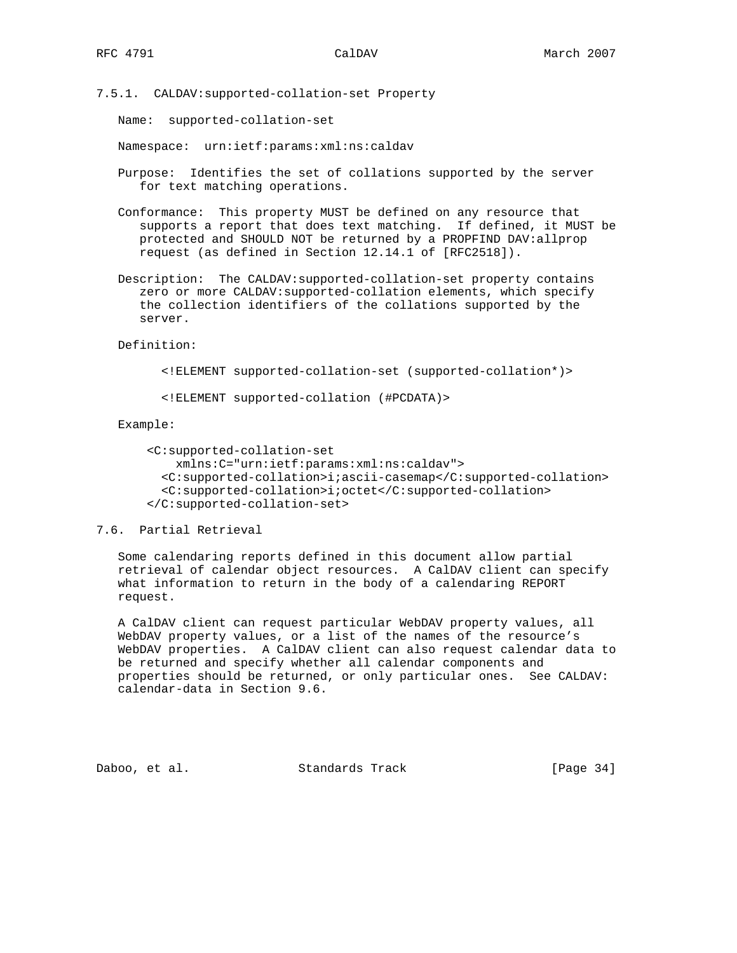7.5.1. CALDAV:supported-collation-set Property

Name: supported-collation-set

Namespace: urn:ietf:params:xml:ns:caldav

 Purpose: Identifies the set of collations supported by the server for text matching operations.

 Conformance: This property MUST be defined on any resource that supports a report that does text matching. If defined, it MUST be protected and SHOULD NOT be returned by a PROPFIND DAV:allprop request (as defined in Section 12.14.1 of [RFC2518]).

 Description: The CALDAV:supported-collation-set property contains zero or more CALDAV:supported-collation elements, which specify the collection identifiers of the collations supported by the server.

Definition:

<!ELEMENT supported-collation-set (supported-collation\*)>

<!ELEMENT supported-collation (#PCDATA)>

Example:

```
 <C:supported-collation-set
     xmlns:C="urn:ietf:params:xml:ns:caldav">
   <C:supported-collation>i;ascii-casemap</C:supported-collation>
   <C:supported-collation>i;octet</C:supported-collation>
 </C:supported-collation-set>
```
# 7.6. Partial Retrieval

 Some calendaring reports defined in this document allow partial retrieval of calendar object resources. A CalDAV client can specify what information to return in the body of a calendaring REPORT request.

 A CalDAV client can request particular WebDAV property values, all WebDAV property values, or a list of the names of the resource's WebDAV properties. A CalDAV client can also request calendar data to be returned and specify whether all calendar components and properties should be returned, or only particular ones. See CALDAV: calendar-data in Section 9.6.

Daboo, et al. Standards Track [Page 34]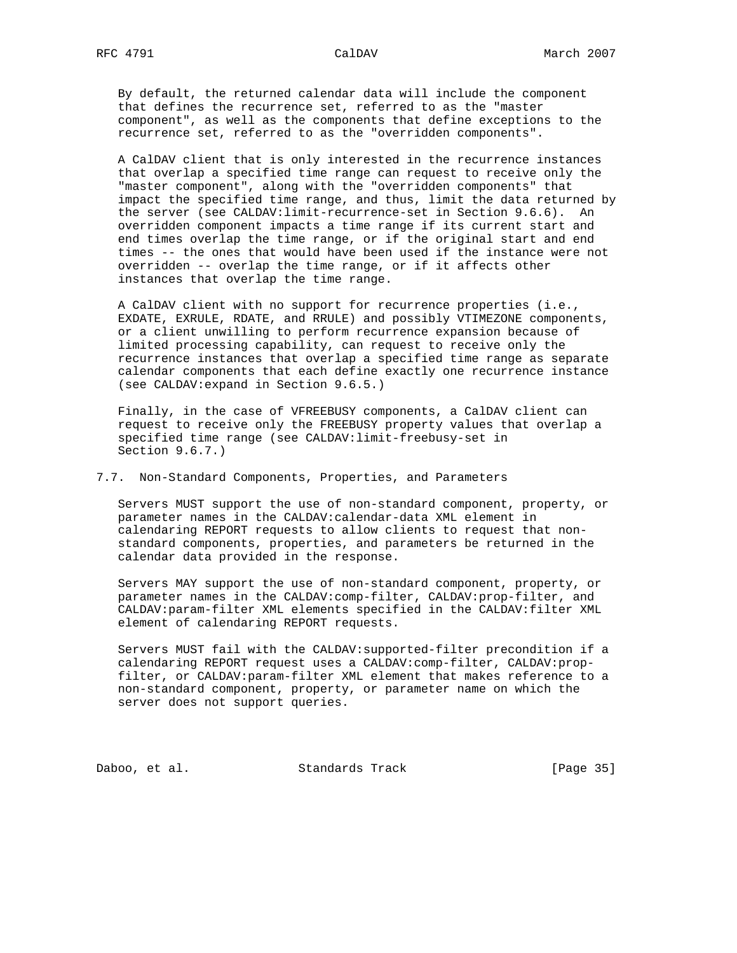By default, the returned calendar data will include the component that defines the recurrence set, referred to as the "master component", as well as the components that define exceptions to the recurrence set, referred to as the "overridden components".

 A CalDAV client that is only interested in the recurrence instances that overlap a specified time range can request to receive only the "master component", along with the "overridden components" that impact the specified time range, and thus, limit the data returned by the server (see CALDAV:limit-recurrence-set in Section 9.6.6). An overridden component impacts a time range if its current start and end times overlap the time range, or if the original start and end times -- the ones that would have been used if the instance were not overridden -- overlap the time range, or if it affects other instances that overlap the time range.

 A CalDAV client with no support for recurrence properties (i.e., EXDATE, EXRULE, RDATE, and RRULE) and possibly VTIMEZONE components, or a client unwilling to perform recurrence expansion because of limited processing capability, can request to receive only the recurrence instances that overlap a specified time range as separate calendar components that each define exactly one recurrence instance (see CALDAV:expand in Section 9.6.5.)

 Finally, in the case of VFREEBUSY components, a CalDAV client can request to receive only the FREEBUSY property values that overlap a specified time range (see CALDAV:limit-freebusy-set in Section 9.6.7.)

7.7. Non-Standard Components, Properties, and Parameters

 Servers MUST support the use of non-standard component, property, or parameter names in the CALDAV:calendar-data XML element in calendaring REPORT requests to allow clients to request that non standard components, properties, and parameters be returned in the calendar data provided in the response.

 Servers MAY support the use of non-standard component, property, or parameter names in the CALDAV:comp-filter, CALDAV:prop-filter, and CALDAV:param-filter XML elements specified in the CALDAV:filter XML element of calendaring REPORT requests.

 Servers MUST fail with the CALDAV:supported-filter precondition if a calendaring REPORT request uses a CALDAV:comp-filter, CALDAV:prop filter, or CALDAV:param-filter XML element that makes reference to a non-standard component, property, or parameter name on which the server does not support queries.

Daboo, et al. Standards Track [Page 35]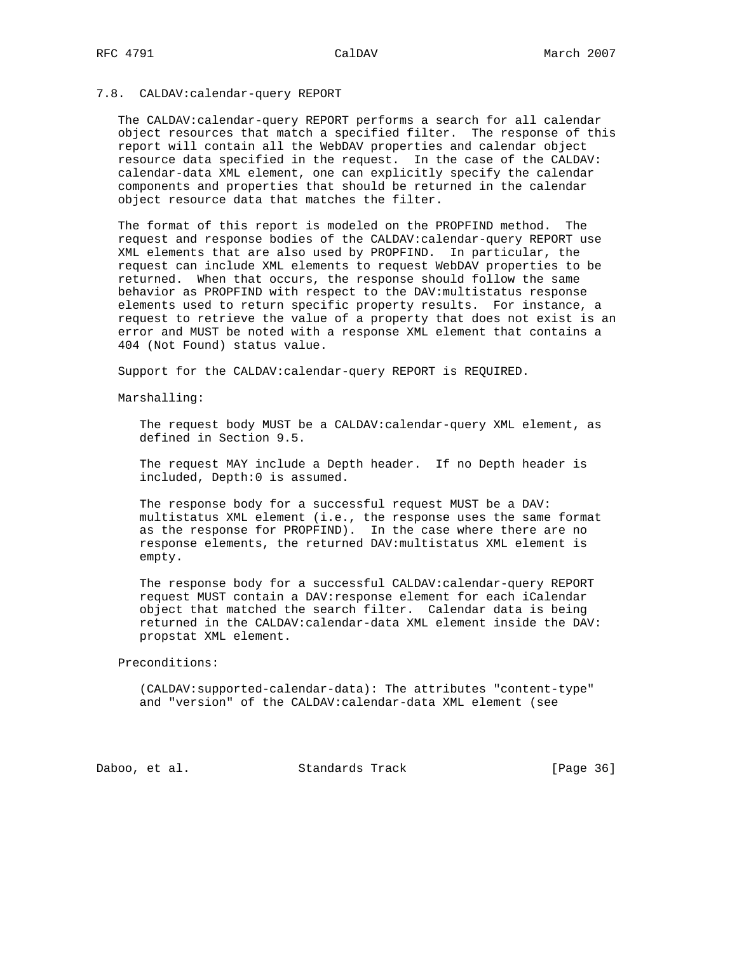# 7.8. CALDAV:calendar-query REPORT

 The CALDAV:calendar-query REPORT performs a search for all calendar object resources that match a specified filter. The response of this report will contain all the WebDAV properties and calendar object resource data specified in the request. In the case of the CALDAV: calendar-data XML element, one can explicitly specify the calendar components and properties that should be returned in the calendar object resource data that matches the filter.

 The format of this report is modeled on the PROPFIND method. The request and response bodies of the CALDAV:calendar-query REPORT use XML elements that are also used by PROPFIND. In particular, the request can include XML elements to request WebDAV properties to be returned. When that occurs, the response should follow the same behavior as PROPFIND with respect to the DAV:multistatus response elements used to return specific property results. For instance, a request to retrieve the value of a property that does not exist is an error and MUST be noted with a response XML element that contains a 404 (Not Found) status value.

Support for the CALDAV:calendar-query REPORT is REQUIRED.

Marshalling:

 The request body MUST be a CALDAV:calendar-query XML element, as defined in Section 9.5.

 The request MAY include a Depth header. If no Depth header is included, Depth:0 is assumed.

 The response body for a successful request MUST be a DAV: multistatus XML element (i.e., the response uses the same format as the response for PROPFIND). In the case where there are no response elements, the returned DAV:multistatus XML element is empty.

 The response body for a successful CALDAV:calendar-query REPORT request MUST contain a DAV:response element for each iCalendar object that matched the search filter. Calendar data is being returned in the CALDAV:calendar-data XML element inside the DAV: propstat XML element.

Preconditions:

 (CALDAV:supported-calendar-data): The attributes "content-type" and "version" of the CALDAV:calendar-data XML element (see

Daboo, et al. Standards Track [Page 36]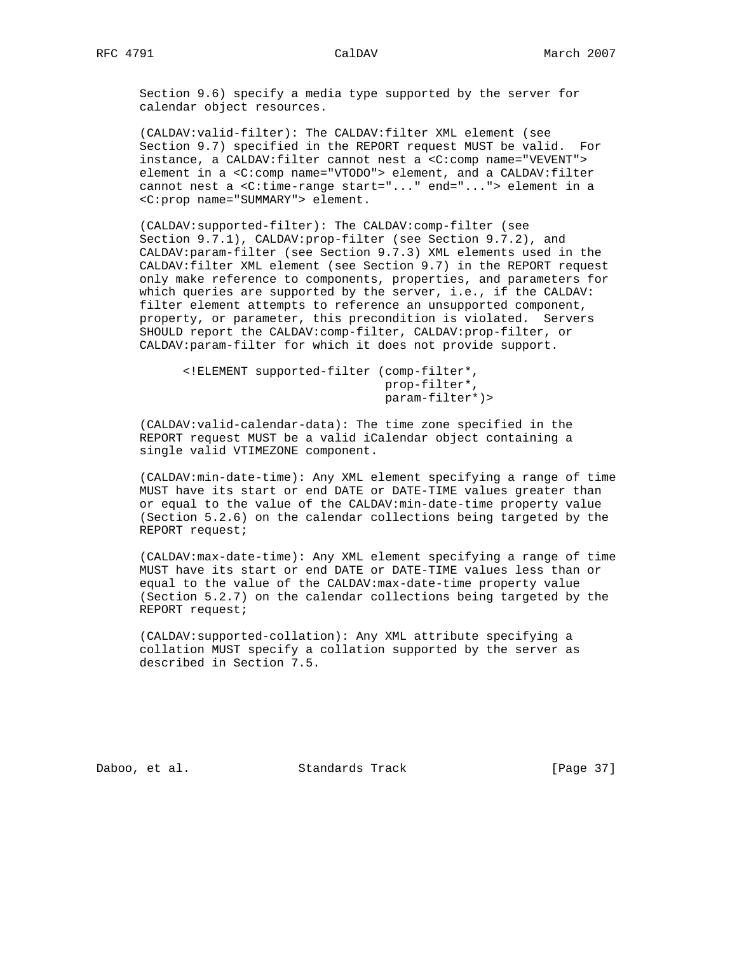Section 9.6) specify a media type supported by the server for calendar object resources.

 (CALDAV:valid-filter): The CALDAV:filter XML element (see Section 9.7) specified in the REPORT request MUST be valid. For instance, a CALDAV:filter cannot nest a <C:comp name="VEVENT"> element in a <C:comp name="VTODO"> element, and a CALDAV:filter cannot nest a <C:time-range start="..." end="..."> element in a <C:prop name="SUMMARY"> element.

 (CALDAV:supported-filter): The CALDAV:comp-filter (see Section 9.7.1), CALDAV:prop-filter (see Section 9.7.2), and CALDAV:param-filter (see Section 9.7.3) XML elements used in the CALDAV:filter XML element (see Section 9.7) in the REPORT request only make reference to components, properties, and parameters for which queries are supported by the server, i.e., if the CALDAV: filter element attempts to reference an unsupported component, property, or parameter, this precondition is violated. Servers SHOULD report the CALDAV:comp-filter, CALDAV:prop-filter, or CALDAV:param-filter for which it does not provide support.

 <!ELEMENT supported-filter (comp-filter\*, prop-filter\*, param-filter\*)>

 (CALDAV:valid-calendar-data): The time zone specified in the REPORT request MUST be a valid iCalendar object containing a single valid VTIMEZONE component.

 (CALDAV:min-date-time): Any XML element specifying a range of time MUST have its start or end DATE or DATE-TIME values greater than or equal to the value of the CALDAV:min-date-time property value (Section 5.2.6) on the calendar collections being targeted by the REPORT request;

 (CALDAV:max-date-time): Any XML element specifying a range of time MUST have its start or end DATE or DATE-TIME values less than or equal to the value of the CALDAV:max-date-time property value (Section 5.2.7) on the calendar collections being targeted by the REPORT request;

 (CALDAV:supported-collation): Any XML attribute specifying a collation MUST specify a collation supported by the server as described in Section 7.5.

Daboo, et al. Standards Track [Page 37]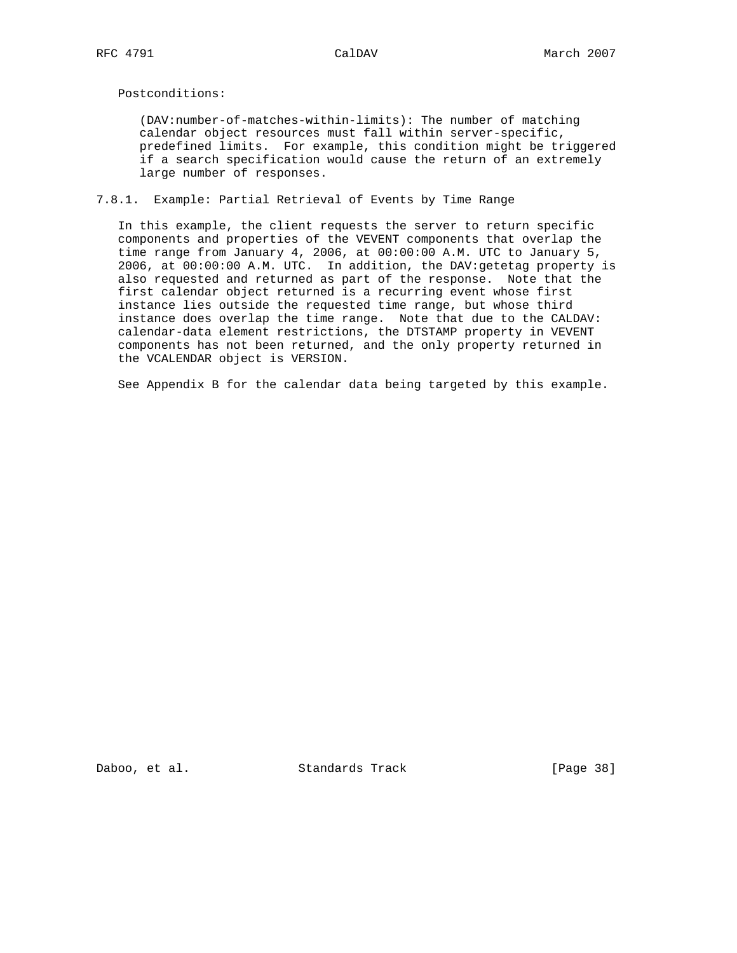Postconditions:

 (DAV:number-of-matches-within-limits): The number of matching calendar object resources must fall within server-specific, predefined limits. For example, this condition might be triggered if a search specification would cause the return of an extremely large number of responses.

# 7.8.1. Example: Partial Retrieval of Events by Time Range

 In this example, the client requests the server to return specific components and properties of the VEVENT components that overlap the time range from January 4, 2006, at 00:00:00 A.M. UTC to January 5, 2006, at 00:00:00 A.M. UTC. In addition, the DAV:getetag property is also requested and returned as part of the response. Note that the first calendar object returned is a recurring event whose first instance lies outside the requested time range, but whose third instance does overlap the time range. Note that due to the CALDAV: calendar-data element restrictions, the DTSTAMP property in VEVENT components has not been returned, and the only property returned in the VCALENDAR object is VERSION.

See Appendix B for the calendar data being targeted by this example.

Daboo, et al. Standards Track [Page 38]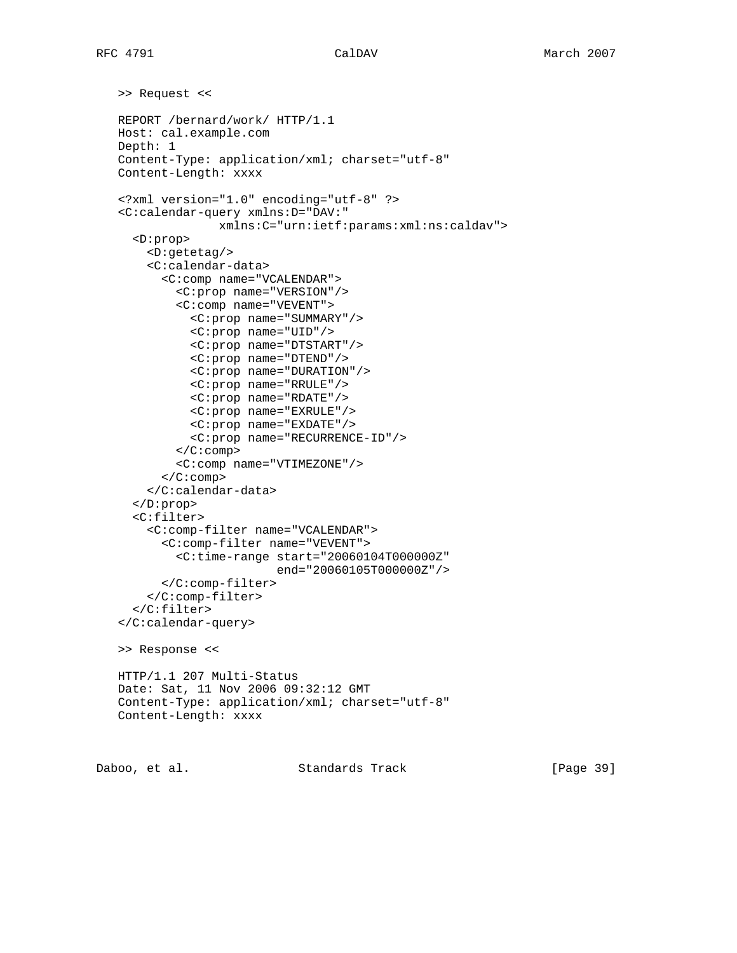```
 >> Request <<
REPORT /bernard/work/ HTTP/1.1
Host: cal.example.com
Depth: 1
Content-Type: application/xml; charset="utf-8"
Content-Length: xxxx
<?xml version="1.0" encoding="utf-8" ?>
<C:calendar-query xmlns:D="DAV:"
              xmlns:C="urn:ietf:params:xml:ns:caldav">
  <D:prop>
    <D:getetag/>
    <C:calendar-data>
      <C:comp name="VCALENDAR">
        <C:prop name="VERSION"/>
        <C:comp name="VEVENT">
          <C:prop name="SUMMARY"/>
          <C:prop name="UID"/>
          <C:prop name="DTSTART"/>
          <C:prop name="DTEND"/>
          <C:prop name="DURATION"/>
          <C:prop name="RRULE"/>
          <C:prop name="RDATE"/>
          <C:prop name="EXRULE"/>
          <C:prop name="EXDATE"/>
          <C:prop name="RECURRENCE-ID"/>
        </C:comp>
        <C:comp name="VTIMEZONE"/>
      </C:comp>
    </C:calendar-data>
  </D:prop>
  <C:filter>
    <C:comp-filter name="VCALENDAR">
      <C:comp-filter name="VEVENT">
        <C:time-range start="20060104T000000Z"
                       end="20060105T000000Z"/>
      </C:comp-filter>
    </C:comp-filter>
  </C:filter>
</C:calendar-query>
>> Response <<
HTTP/1.1 207 Multi-Status
Date: Sat, 11 Nov 2006 09:32:12 GMT
Content-Type: application/xml; charset="utf-8"
Content-Length: xxxx
```
Daboo, et al. Standards Track [Page 39]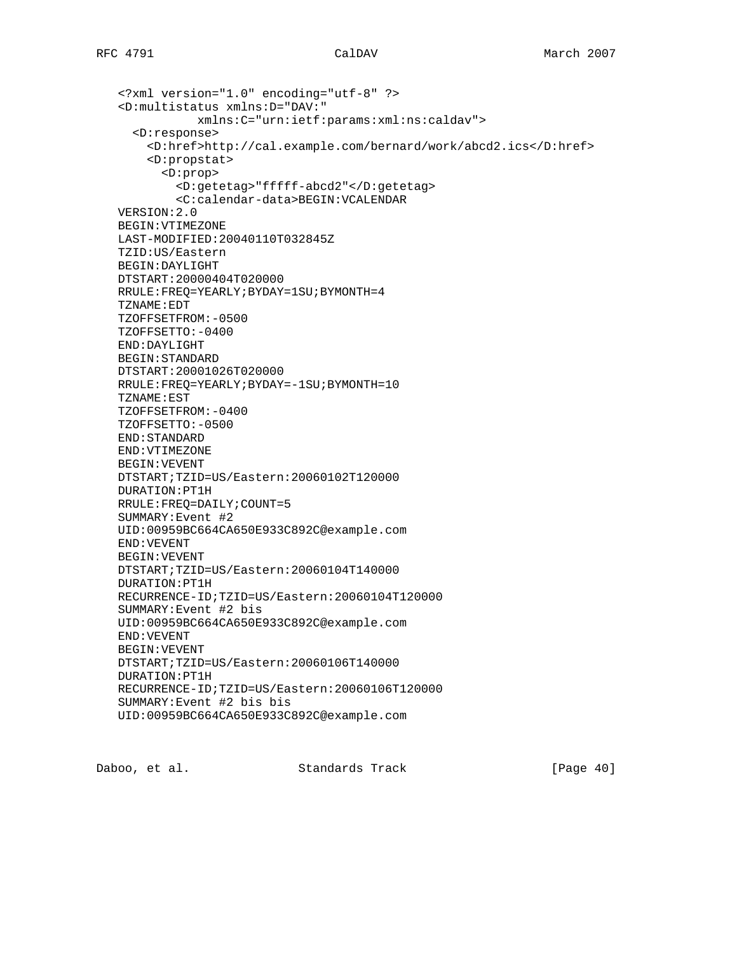```
 <?xml version="1.0" encoding="utf-8" ?>
<D:multistatus xmlns:D="DAV:"
           xmlns:C="urn:ietf:params:xml:ns:caldav">
  <D:response>
    <D:href>http://cal.example.com/bernard/work/abcd2.ics</D:href>
    <D:propstat>
      <D:prop>
        <D:getetag>"fffff-abcd2"</D:getetag>
        <C:calendar-data>BEGIN:VCALENDAR
VERSION:2.0
BEGIN:VTIMEZONE
LAST-MODIFIED:20040110T032845Z
TZID:US/Eastern
BEGIN:DAYLIGHT
DTSTART:20000404T020000
RRULE:FREQ=YEARLY;BYDAY=1SU;BYMONTH=4
TZNAME:EDT
TZOFFSETFROM:-0500
TZOFFSETTO:-0400
END:DAYLIGHT
BEGIN:STANDARD
DTSTART:20001026T020000
RRULE:FREQ=YEARLY;BYDAY=-1SU;BYMONTH=10
TZNAME:EST
TZOFFSETFROM:-0400
TZOFFSETTO:-0500
END:STANDARD
END:VTIMEZONE
BEGIN:VEVENT
DTSTART;TZID=US/Eastern:20060102T120000
DURATION:PT1H
RRULE:FREQ=DAILY;COUNT=5
SUMMARY:Event #2
UID:00959BC664CA650E933C892C@example.com
END:VEVENT
BEGIN:VEVENT
DTSTART;TZID=US/Eastern:20060104T140000
DURATION:PT1H
RECURRENCE-ID;TZID=US/Eastern:20060104T120000
SUMMARY:Event #2 bis
UID:00959BC664CA650E933C892C@example.com
END:VEVENT
BEGIN:VEVENT
DTSTART;TZID=US/Eastern:20060106T140000
DURATION:PT1H
RECURRENCE-ID;TZID=US/Eastern:20060106T120000
SUMMARY:Event #2 bis bis
UID:00959BC664CA650E933C892C@example.com
```
Daboo, et al. Standards Track [Page 40]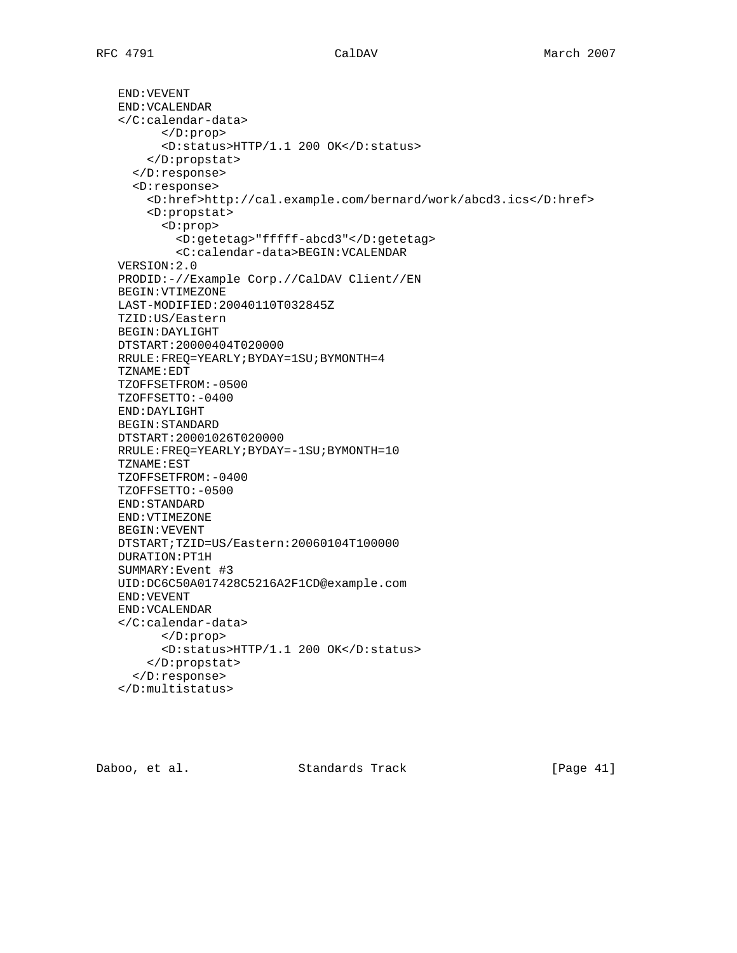END:VEVENT END:VCALENDAR </C:calendar-data> </D:prop> <D:status>HTTP/1.1 200 OK</D:status> </D:propstat> </D:response> <D:response> <D:href>http://cal.example.com/bernard/work/abcd3.ics</D:href> <D:propstat> <D:prop> <D:getetag>"fffff-abcd3"</D:getetag> <C:calendar-data>BEGIN:VCALENDAR VERSION:2.0 PRODID:-//Example Corp.//CalDAV Client//EN BEGIN:VTIMEZONE LAST-MODIFIED:20040110T032845Z TZID:US/Eastern BEGIN:DAYLIGHT DTSTART:20000404T020000 RRULE:FREQ=YEARLY;BYDAY=1SU;BYMONTH=4 TZNAME:EDT TZOFFSETFROM:-0500 TZOFFSETTO:-0400 END:DAYLIGHT BEGIN:STANDARD DTSTART:20001026T020000 RRULE:FREQ=YEARLY;BYDAY=-1SU;BYMONTH=10 TZNAME:EST TZOFFSETFROM:-0400 TZOFFSETTO:-0500 END:STANDARD END:VTIMEZONE BEGIN:VEVENT DTSTART;TZID=US/Eastern:20060104T100000 DURATION:PT1H SUMMARY:Event #3 UID:DC6C50A017428C5216A2F1CD@example.com END:VEVENT END:VCALENDAR </C:calendar-data> </D:prop> <D:status>HTTP/1.1 200 OK</D:status> </D:propstat> </D:response> </D:multistatus>

Daboo, et al. Standards Track [Page 41]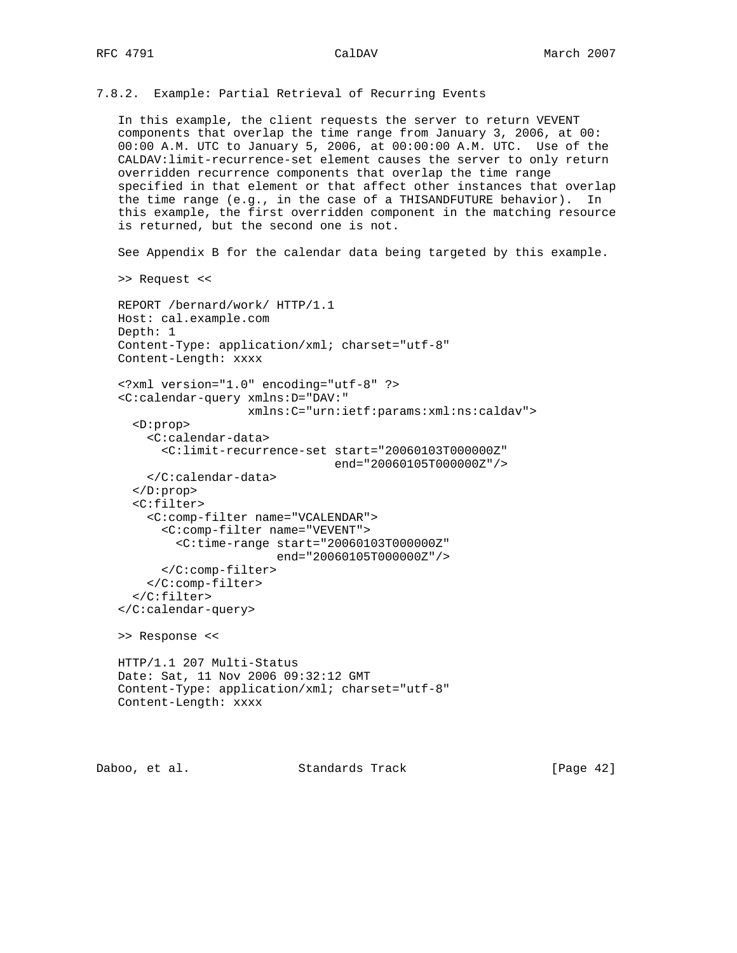7.8.2. Example: Partial Retrieval of Recurring Events

 In this example, the client requests the server to return VEVENT components that overlap the time range from January 3, 2006, at 00: 00:00 A.M. UTC to January 5, 2006, at 00:00:00 A.M. UTC. Use of the CALDAV:limit-recurrence-set element causes the server to only return overridden recurrence components that overlap the time range specified in that element or that affect other instances that overlap the time range (e.g., in the case of a THISANDFUTURE behavior). In this example, the first overridden component in the matching resource is returned, but the second one is not.

See Appendix B for the calendar data being targeted by this example.

>> Request <<

```
 REPORT /bernard/work/ HTTP/1.1
Host: cal.example.com
Depth: 1
Content-Type: application/xml; charset="utf-8"
Content-Length: xxxx
<?xml version="1.0" encoding="utf-8" ?>
<C:calendar-query xmlns:D="DAV:"
                  xmlns:C="urn:ietf:params:xml:ns:caldav">
  <D:prop>
    <C:calendar-data>
      <C:limit-recurrence-set start="20060103T000000Z"
                              end="20060105T000000Z"/>
    </C:calendar-data>
  </D:prop>
  <C:filter>
    <C:comp-filter name="VCALENDAR">
      <C:comp-filter name="VEVENT">
        <C:time-range start="20060103T000000Z"
                       end="20060105T000000Z"/>
      </C:comp-filter>
    </C:comp-filter>
  </C:filter>
</C:calendar-query>
>> Response <<
HTTP/1.1 207 Multi-Status
Date: Sat, 11 Nov 2006 09:32:12 GMT
Content-Type: application/xml; charset="utf-8"
Content-Length: xxxx
```
Daboo, et al. Standards Track [Page 42]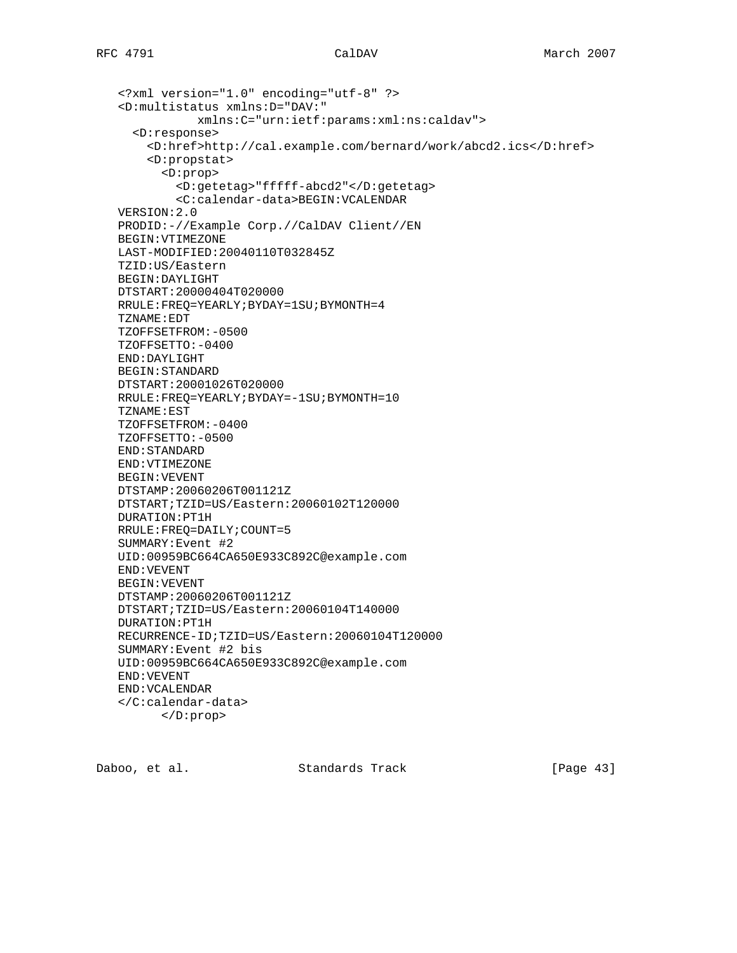```
 <?xml version="1.0" encoding="utf-8" ?>
<D:multistatus xmlns:D="DAV:"
           xmlns:C="urn:ietf:params:xml:ns:caldav">
  <D:response>
    <D:href>http://cal.example.com/bernard/work/abcd2.ics</D:href>
    <D:propstat>
      <D:prop>
        <D:getetag>"fffff-abcd2"</D:getetag>
        <C:calendar-data>BEGIN:VCALENDAR
VERSION:2.0
PRODID:-//Example Corp.//CalDAV Client//EN
BEGIN:VTIMEZONE
LAST-MODIFIED:20040110T032845Z
TZID:US/Eastern
BEGIN:DAYLIGHT
DTSTART:20000404T020000
RRULE:FREQ=YEARLY;BYDAY=1SU;BYMONTH=4
TZNAME:EDT
TZOFFSETFROM:-0500
TZOFFSETTO:-0400
END:DAYLIGHT
BEGIN:STANDARD
DTSTART:20001026T020000
RRULE:FREQ=YEARLY;BYDAY=-1SU;BYMONTH=10
TZNAME:EST
TZOFFSETFROM:-0400
TZOFFSETTO:-0500
END:STANDARD
END:VTIMEZONE
BEGIN:VEVENT
DTSTAMP:20060206T001121Z
DTSTART;TZID=US/Eastern:20060102T120000
DURATION:PT1H
RRULE:FREQ=DAILY;COUNT=5
SUMMARY:Event #2
UID:00959BC664CA650E933C892C@example.com
END:VEVENT
BEGIN:VEVENT
DTSTAMP:20060206T001121Z
DTSTART;TZID=US/Eastern:20060104T140000
DURATION:PT1H
RECURRENCE-ID;TZID=US/Eastern:20060104T120000
SUMMARY:Event #2 bis
UID:00959BC664CA650E933C892C@example.com
END:VEVENT
END:VCALENDAR
</C:calendar-data>
      </D:prop>
```
Daboo, et al. Standards Track [Page 43]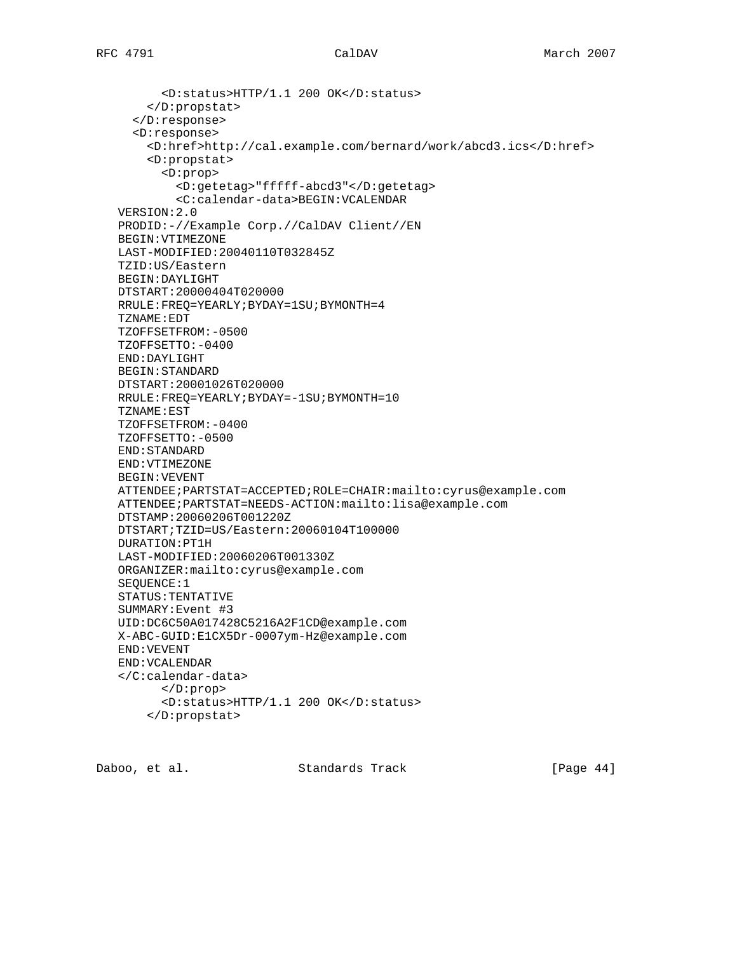<D:status>HTTP/1.1 200 OK</D:status> </D:propstat> </D:response> <D:response> <D:href>http://cal.example.com/bernard/work/abcd3.ics</D:href> <D:propstat> <D:prop> <D:getetag>"fffff-abcd3"</D:getetag> <C:calendar-data>BEGIN:VCALENDAR VERSION:2.0 PRODID:-//Example Corp.//CalDAV Client//EN BEGIN:VTIMEZONE LAST-MODIFIED:20040110T032845Z TZID:US/Eastern BEGIN:DAYLIGHT DTSTART:20000404T020000 RRULE:FREQ=YEARLY;BYDAY=1SU;BYMONTH=4 TZNAME:EDT TZOFFSETFROM:-0500 TZOFFSETTO:-0400 END:DAYLIGHT BEGIN:STANDARD DTSTART:20001026T020000 RRULE:FREQ=YEARLY;BYDAY=-1SU;BYMONTH=10 TZNAME:EST TZOFFSETFROM:-0400 TZOFFSETTO:-0500 END:STANDARD END:VTIMEZONE BEGIN:VEVENT ATTENDEE;PARTSTAT=ACCEPTED;ROLE=CHAIR:mailto:cyrus@example.com ATTENDEE;PARTSTAT=NEEDS-ACTION:mailto:lisa@example.com DTSTAMP:20060206T001220Z DTSTART;TZID=US/Eastern:20060104T100000 DURATION:PT1H LAST-MODIFIED:20060206T001330Z ORGANIZER:mailto:cyrus@example.com SEQUENCE:1 STATUS:TENTATIVE SUMMARY:Event #3 UID:DC6C50A017428C5216A2F1CD@example.com X-ABC-GUID:E1CX5Dr-0007ym-Hz@example.com END:VEVENT END:VCALENDAR </C:calendar-data> </D:prop> <D:status>HTTP/1.1 200 OK</D:status> </D:propstat>

Daboo, et al. Standards Track [Page 44]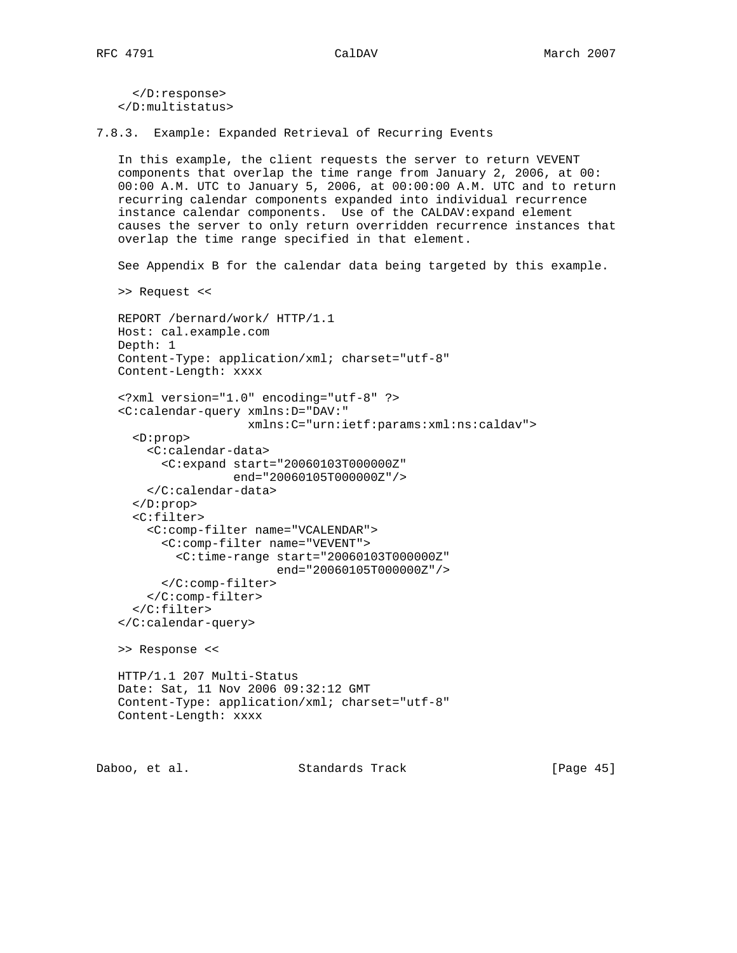</D:response> </D:multistatus>

7.8.3. Example: Expanded Retrieval of Recurring Events

 In this example, the client requests the server to return VEVENT components that overlap the time range from January 2, 2006, at 00: 00:00 A.M. UTC to January 5, 2006, at 00:00:00 A.M. UTC and to return recurring calendar components expanded into individual recurrence instance calendar components. Use of the CALDAV:expand element causes the server to only return overridden recurrence instances that overlap the time range specified in that element.

See Appendix B for the calendar data being targeted by this example.

```
 >> Request <<
```

```
 REPORT /bernard/work/ HTTP/1.1
Host: cal.example.com
Depth: 1
Content-Type: application/xml; charset="utf-8"
Content-Length: xxxx
```

```
 <?xml version="1.0" encoding="utf-8" ?>
<C:calendar-query xmlns:D="DAV:"
                  xmlns:C="urn:ietf:params:xml:ns:caldav">
  <D:prop>
    <C:calendar-data>
      <C:expand start="20060103T000000Z"
                end="20060105T000000Z"/>
    </C:calendar-data>
```
</D:prop>

```
 <C:filter>
  <C:comp-filter name="VCALENDAR">
    <C:comp-filter name="VEVENT">
      <C:time-range start="20060103T000000Z"
                    end="20060105T000000Z"/>
    </C:comp-filter>
  </C:comp-filter>
```

```
 </C:calendar-query>
```
>> Response <<

</C:filter>

```
 HTTP/1.1 207 Multi-Status
Date: Sat, 11 Nov 2006 09:32:12 GMT
Content-Type: application/xml; charset="utf-8"
Content-Length: xxxx
```
Daboo, et al. Standards Track [Page 45]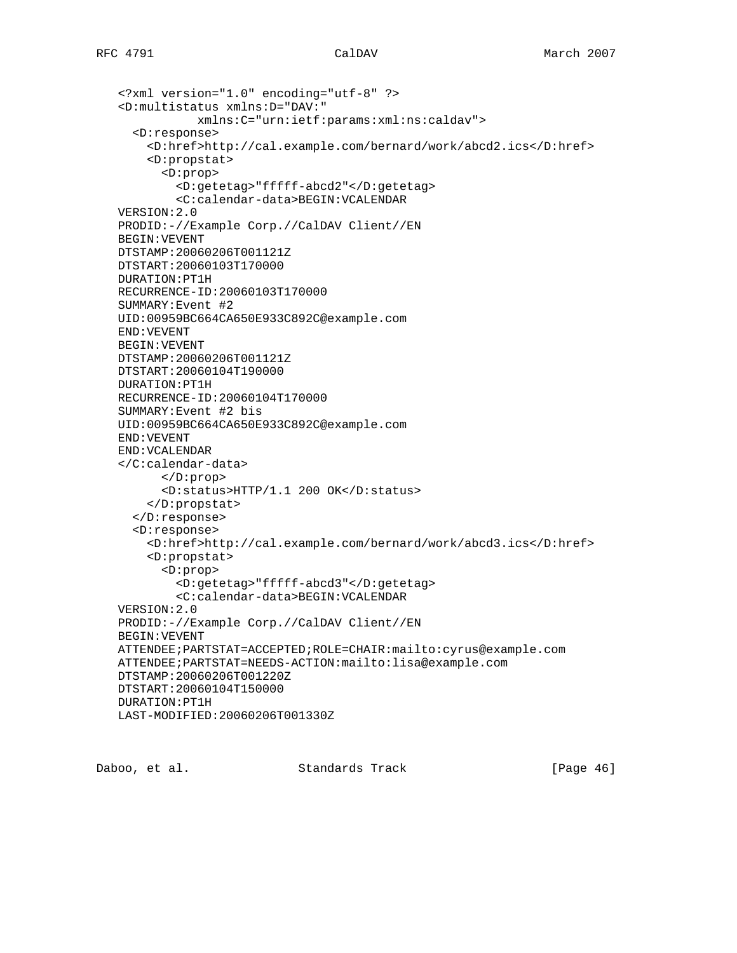```
 <?xml version="1.0" encoding="utf-8" ?>
<D:multistatus xmlns:D="DAV:"
           xmlns:C="urn:ietf:params:xml:ns:caldav">
  <D:response>
    <D:href>http://cal.example.com/bernard/work/abcd2.ics</D:href>
    <D:propstat>
      <D:prop>
        <D:getetag>"fffff-abcd2"</D:getetag>
        <C:calendar-data>BEGIN:VCALENDAR
VERSION:2.0
PRODID:-//Example Corp.//CalDAV Client//EN
BEGIN:VEVENT
DTSTAMP:20060206T001121Z
DTSTART:20060103T170000
DURATION:PT1H
RECURRENCE-ID:20060103T170000
SUMMARY:Event #2
UID:00959BC664CA650E933C892C@example.com
END:VEVENT
BEGIN:VEVENT
DTSTAMP:20060206T001121Z
DTSTART:20060104T190000
DURATION:PT1H
RECURRENCE-ID:20060104T170000
SUMMARY:Event #2 bis
UID:00959BC664CA650E933C892C@example.com
END:VEVENT
END:VCALENDAR
</C:calendar-data>
      </D:prop>
      <D:status>HTTP/1.1 200 OK</D:status>
    </D:propstat>
  </D:response>
  <D:response>
    <D:href>http://cal.example.com/bernard/work/abcd3.ics</D:href>
    <D:propstat>
      <D:prop>
        <D:getetag>"fffff-abcd3"</D:getetag>
        <C:calendar-data>BEGIN:VCALENDAR
VERSION:2.0
PRODID:-//Example Corp.//CalDAV Client//EN
BEGIN:VEVENT
ATTENDEE;PARTSTAT=ACCEPTED;ROLE=CHAIR:mailto:cyrus@example.com
ATTENDEE;PARTSTAT=NEEDS-ACTION:mailto:lisa@example.com
DTSTAMP:20060206T001220Z
DTSTART:20060104T150000
DURATION:PT1H
LAST-MODIFIED:20060206T001330Z
```
Daboo, et al. Standards Track [Page 46]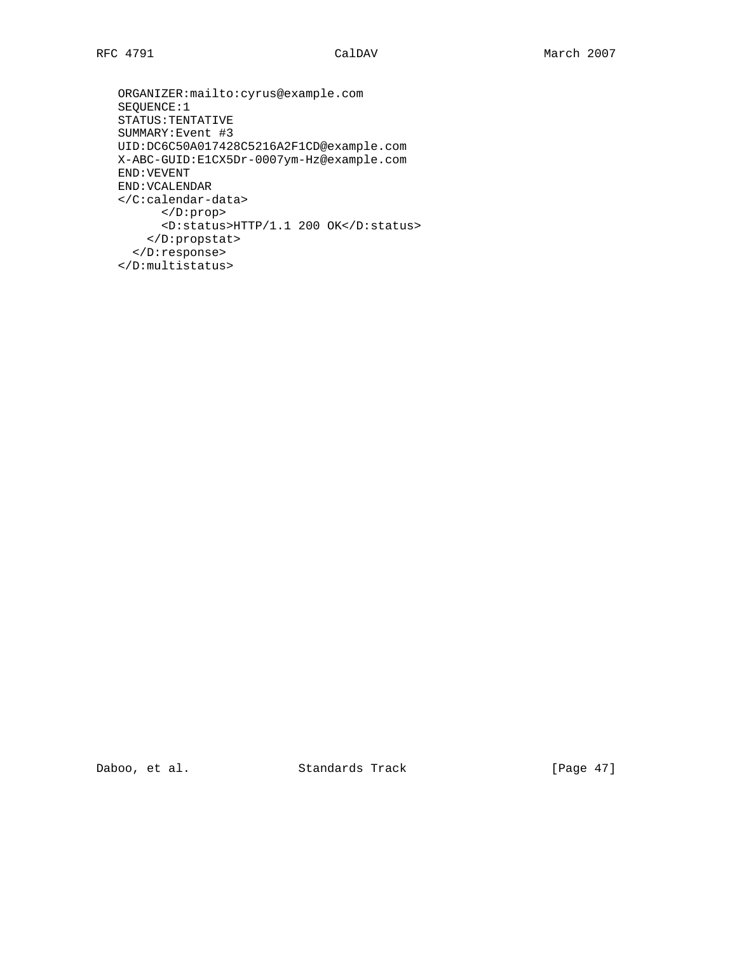```
 ORGANIZER:mailto:cyrus@example.com
SEQUENCE:1
STATUS:TENTATIVE
SUMMARY:Event #3
UID:DC6C50A017428C5216A2F1CD@example.com
X-ABC-GUID:E1CX5Dr-0007ym-Hz@example.com
END:VEVENT
END:VCALENDAR
</C:calendar-data>
      </D:prop>
      <D:status>HTTP/1.1 200 OK</D:status>
    </D:propstat>
  </D:response>
</D:multistatus>
```
Daboo, et al. Standards Track [Page 47]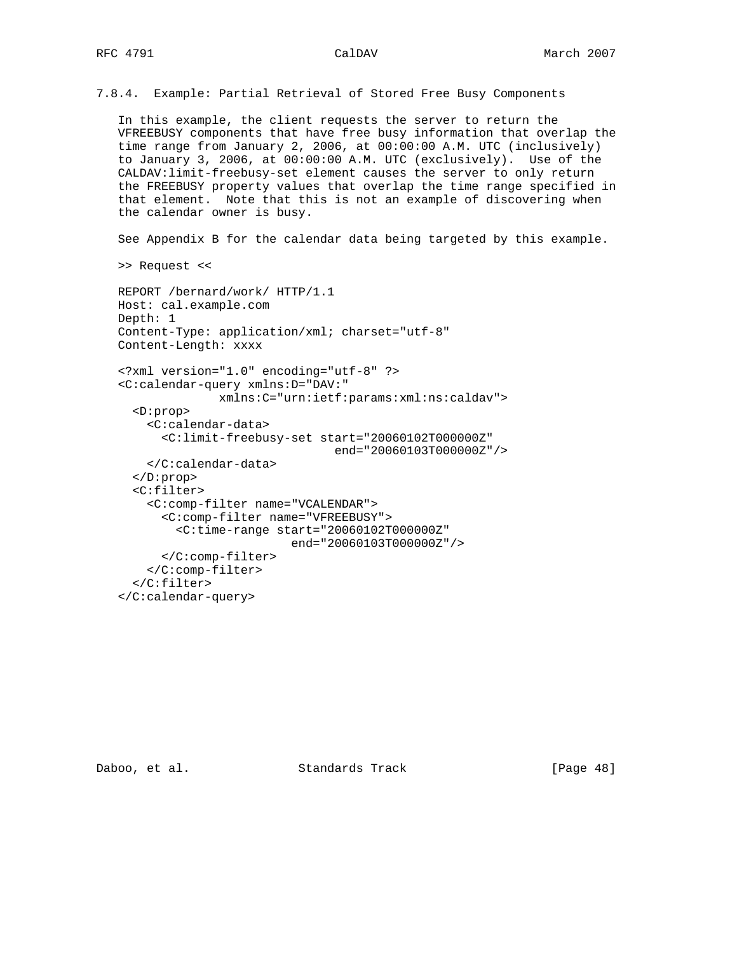7.8.4. Example: Partial Retrieval of Stored Free Busy Components

 In this example, the client requests the server to return the VFREEBUSY components that have free busy information that overlap the time range from January 2, 2006, at 00:00:00 A.M. UTC (inclusively) to January 3, 2006, at 00:00:00 A.M. UTC (exclusively). Use of the CALDAV:limit-freebusy-set element causes the server to only return the FREEBUSY property values that overlap the time range specified in that element. Note that this is not an example of discovering when the calendar owner is busy.

See Appendix B for the calendar data being targeted by this example.

>> Request <<

```
 REPORT /bernard/work/ HTTP/1.1
Host: cal.example.com
Depth: 1
Content-Type: application/xml; charset="utf-8"
Content-Length: xxxx
<?xml version="1.0" encoding="utf-8" ?>
<C:calendar-query xmlns:D="DAV:"
              xmlns:C="urn:ietf:params:xml:ns:caldav">
  <D:prop>
    <C:calendar-data>
      <C:limit-freebusy-set start="20060102T000000Z"
                               end="20060103T000000Z"/>
    </C:calendar-data>
  </D:prop>
  <C:filter>
    <C:comp-filter name="VCALENDAR">
      <C:comp-filter name="VFREEBUSY">
        <C:time-range start="20060102T000000Z"
                         end="20060103T000000Z"/>
      </C:comp-filter>
    </C:comp-filter>
  </C:filter>
</C:calendar-query>
```
Daboo, et al. Standards Track [Page 48]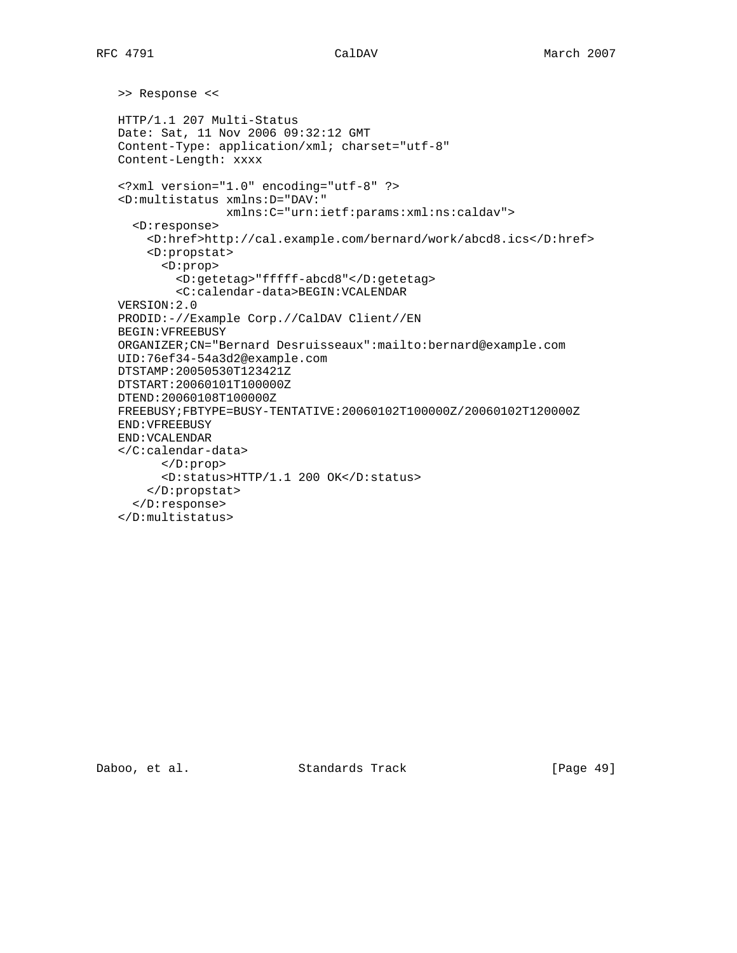```
 >> Response <<
HTTP/1.1 207 Multi-Status
Date: Sat, 11 Nov 2006 09:32:12 GMT
Content-Type: application/xml; charset="utf-8"
Content-Length: xxxx
<?xml version="1.0" encoding="utf-8" ?>
<D:multistatus xmlns:D="DAV:"
              xmlns:C="urn:ietf:params:xml:ns:caldav">
  <D:response>
    <D:href>http://cal.example.com/bernard/work/abcd8.ics</D:href>
    <D:propstat>
      <D:prop>
        <D:getetag>"fffff-abcd8"</D:getetag>
        <C:calendar-data>BEGIN:VCALENDAR
VERSION:2.0
PRODID:-//Example Corp.//CalDAV Client//EN
BEGIN:VFREEBUSY
ORGANIZER;CN="Bernard Desruisseaux":mailto:bernard@example.com
UID:76ef34-54a3d2@example.com
DTSTAMP:20050530T123421Z
DTSTART:20060101T100000Z
DTEND:20060108T100000Z
FREEBUSY;FBTYPE=BUSY-TENTATIVE:20060102T100000Z/20060102T120000Z
END:VFREEBUSY
END:VCALENDAR
</C:calendar-data>
      </D:prop>
      <D:status>HTTP/1.1 200 OK</D:status>
    </D:propstat>
  </D:response>
</D:multistatus>
```
Daboo, et al. Standards Track [Page 49]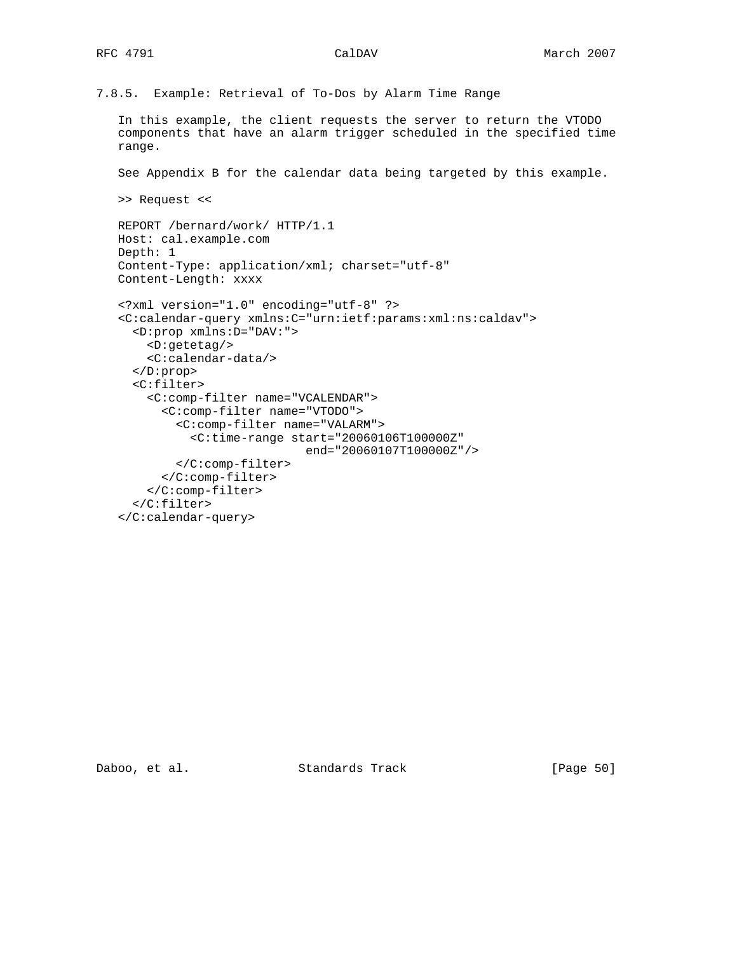7.8.5. Example: Retrieval of To-Dos by Alarm Time Range

 In this example, the client requests the server to return the VTODO components that have an alarm trigger scheduled in the specified time range.

See Appendix B for the calendar data being targeted by this example.

```
 >> Request <<
```

```
 REPORT /bernard/work/ HTTP/1.1
Host: cal.example.com
Depth: 1
Content-Type: application/xml; charset="utf-8"
Content-Length: xxxx
<?xml version="1.0" encoding="utf-8" ?>
<C:calendar-query xmlns:C="urn:ietf:params:xml:ns:caldav">
 <D:prop xmlns:D="DAV:">
    <D:getetag/>
    <C:calendar-data/>
  </D:prop>
  <C:filter>
    <C:comp-filter name="VCALENDAR">
      <C:comp-filter name="VTODO">
        <C:comp-filter name="VALARM">
          <C:time-range start="20060106T100000Z"
                           end="20060107T100000Z"/>
        </C:comp-filter>
      </C:comp-filter>
    </C:comp-filter>
  </C:filter>
</C:calendar-query>
```
Daboo, et al. Standards Track [Page 50]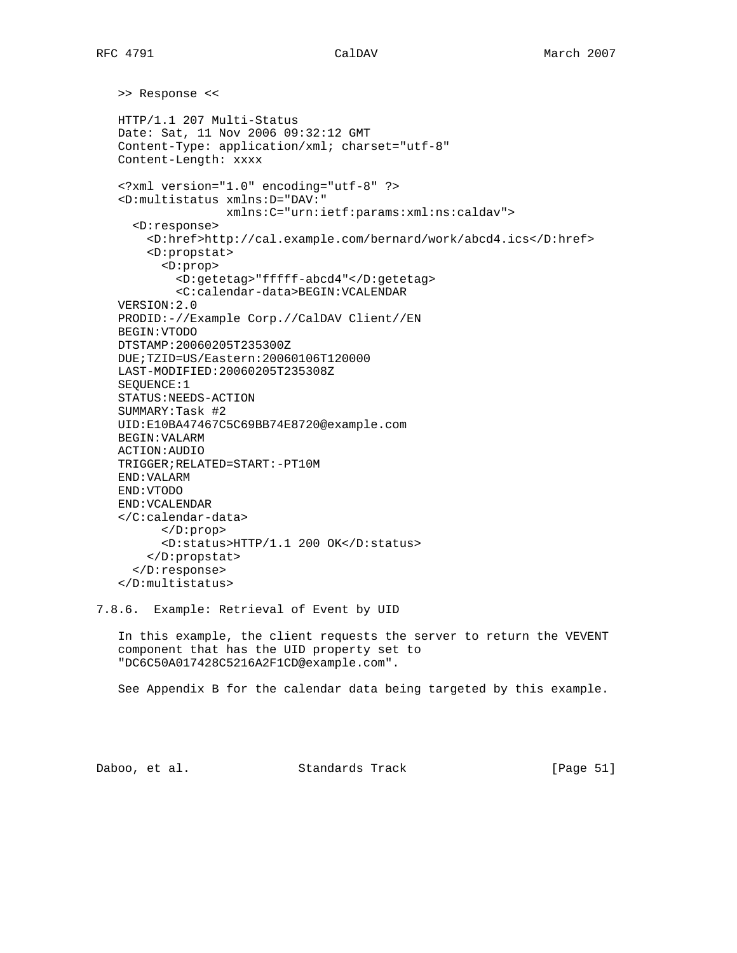>> Response << HTTP/1.1 207 Multi-Status Date: Sat, 11 Nov 2006 09:32:12 GMT Content-Type: application/xml; charset="utf-8" Content-Length: xxxx <?xml version="1.0" encoding="utf-8" ?> <D:multistatus xmlns:D="DAV:" xmlns:C="urn:ietf:params:xml:ns:caldav"> <D:response> <D:href>http://cal.example.com/bernard/work/abcd4.ics</D:href> <D:propstat> <D:prop> <D:getetag>"fffff-abcd4"</D:getetag> <C:calendar-data>BEGIN:VCALENDAR VERSION:2.0 PRODID:-//Example Corp.//CalDAV Client//EN BEGIN:VTODO DTSTAMP:20060205T235300Z DUE;TZID=US/Eastern:20060106T120000 LAST-MODIFIED:20060205T235308Z SEQUENCE:1 STATUS:NEEDS-ACTION SUMMARY:Task #2 UID:E10BA47467C5C69BB74E8720@example.com BEGIN:VALARM ACTION:AUDIO TRIGGER;RELATED=START:-PT10M END:VALARM END:VTODO END:VCALENDAR </C:calendar-data> </D:prop> <D:status>HTTP/1.1 200 OK</D:status> </D:propstat> </D:response> </D:multistatus>

7.8.6. Example: Retrieval of Event by UID

 In this example, the client requests the server to return the VEVENT component that has the UID property set to "DC6C50A017428C5216A2F1CD@example.com".

See Appendix B for the calendar data being targeted by this example.

Daboo, et al. Standards Track [Page 51]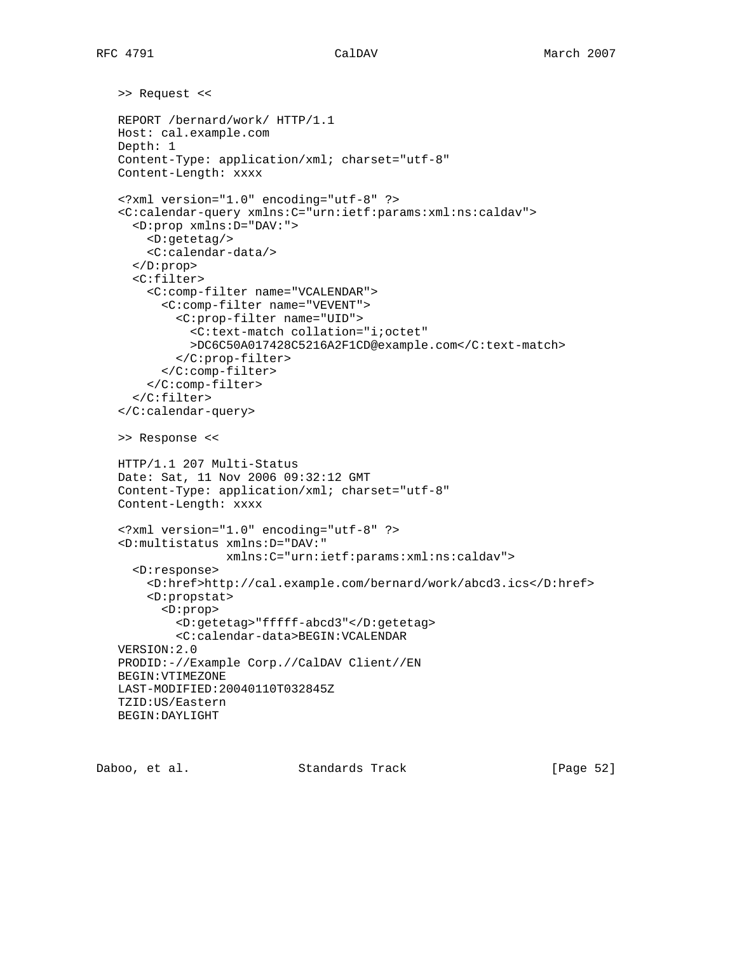```
 >> Request <<
REPORT /bernard/work/ HTTP/1.1
Host: cal.example.com
Depth: 1
Content-Type: application/xml; charset="utf-8"
Content-Length: xxxx
<?xml version="1.0" encoding="utf-8" ?>
<C:calendar-query xmlns:C="urn:ietf:params:xml:ns:caldav">
  <D:prop xmlns:D="DAV:">
    <D:getetag/>
    <C:calendar-data/>
  </D:prop>
  <C:filter>
    <C:comp-filter name="VCALENDAR">
      <C:comp-filter name="VEVENT">
        <C:prop-filter name="UID">
          <C:text-match collation="i;octet"
          >DC6C50A017428C5216A2F1CD@example.com</C:text-match>
        </C:prop-filter>
      </C:comp-filter>
    </C:comp-filter>
  </C:filter>
</C:calendar-query>
>> Response <<
HTTP/1.1 207 Multi-Status
Date: Sat, 11 Nov 2006 09:32:12 GMT
Content-Type: application/xml; charset="utf-8"
Content-Length: xxxx
<?xml version="1.0" encoding="utf-8" ?>
<D:multistatus xmlns:D="DAV:"
               xmlns:C="urn:ietf:params:xml:ns:caldav">
  <D:response>
    <D:href>http://cal.example.com/bernard/work/abcd3.ics</D:href>
    <D:propstat>
      <D:prop>
        <D:getetag>"fffff-abcd3"</D:getetag>
        <C:calendar-data>BEGIN:VCALENDAR
VERSION:2.0
PRODID:-//Example Corp.//CalDAV Client//EN
BEGIN:VTIMEZONE
LAST-MODIFIED:20040110T032845Z
TZID:US/Eastern
BEGIN:DAYLIGHT
```
Daboo, et al. Standards Track [Page 52]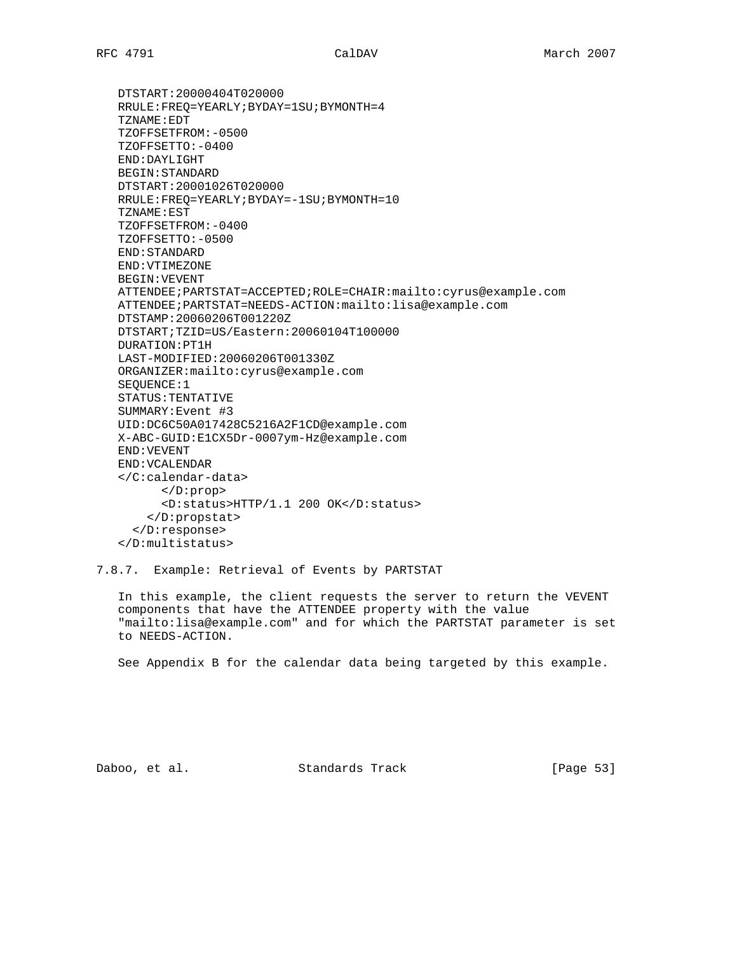DTSTART:20000404T020000 RRULE:FREQ=YEARLY;BYDAY=1SU;BYMONTH=4 TZNAME:EDT TZOFFSETFROM:-0500 TZOFFSETTO:-0400 END:DAYLIGHT BEGIN:STANDARD DTSTART:20001026T020000 RRULE:FREQ=YEARLY;BYDAY=-1SU;BYMONTH=10 TZNAME:EST TZOFFSETFROM:-0400 TZOFFSETTO:-0500 END:STANDARD END:VTIMEZONE BEGIN:VEVENT ATTENDEE;PARTSTAT=ACCEPTED;ROLE=CHAIR:mailto:cyrus@example.com ATTENDEE;PARTSTAT=NEEDS-ACTION:mailto:lisa@example.com DTSTAMP:20060206T001220Z DTSTART;TZID=US/Eastern:20060104T100000 DURATION:PT1H LAST-MODIFIED:20060206T001330Z ORGANIZER:mailto:cyrus@example.com SEQUENCE:1 STATUS:TENTATIVE SUMMARY:Event #3 UID:DC6C50A017428C5216A2F1CD@example.com X-ABC-GUID:E1CX5Dr-0007ym-Hz@example.com END:VEVENT END:VCALENDAR </C:calendar-data> </D:prop> <D:status>HTTP/1.1 200 OK</D:status> </D:propstat> </D:response>

</D:multistatus>

7.8.7. Example: Retrieval of Events by PARTSTAT

 In this example, the client requests the server to return the VEVENT components that have the ATTENDEE property with the value "mailto:lisa@example.com" and for which the PARTSTAT parameter is set to NEEDS-ACTION.

See Appendix B for the calendar data being targeted by this example.

Daboo, et al. Standards Track [Page 53]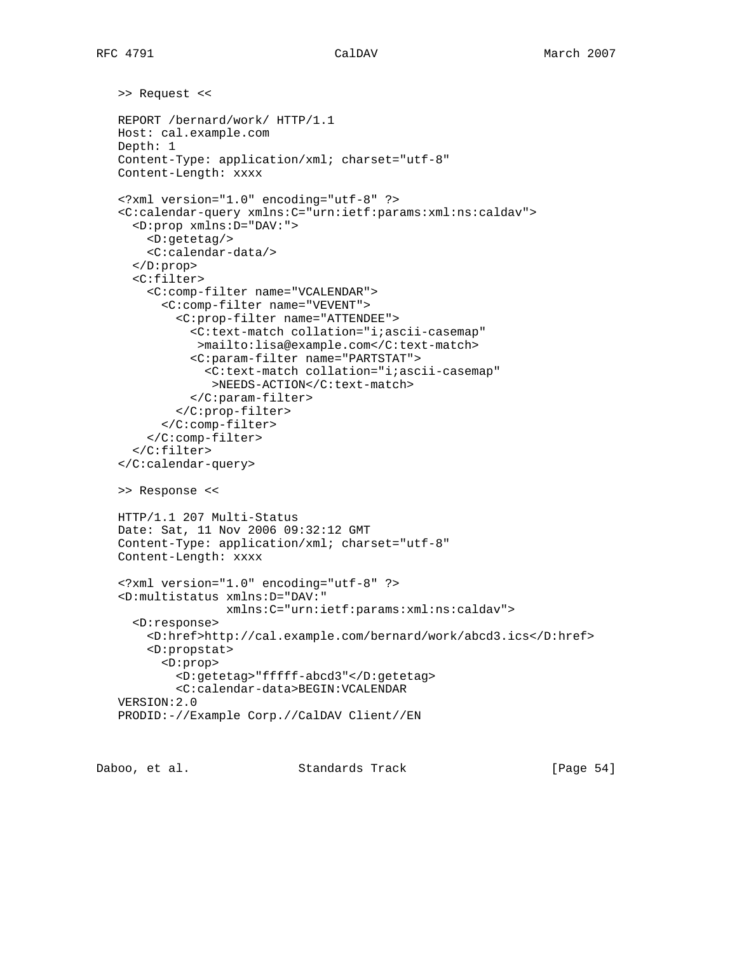```
 >> Request <<
REPORT /bernard/work/ HTTP/1.1
Host: cal.example.com
Depth: 1
Content-Type: application/xml; charset="utf-8"
Content-Length: xxxx
<?xml version="1.0" encoding="utf-8" ?>
<C:calendar-query xmlns:C="urn:ietf:params:xml:ns:caldav">
  <D:prop xmlns:D="DAV:">
    <D:getetag/>
    <C:calendar-data/>
  </D:prop>
  <C:filter>
    <C:comp-filter name="VCALENDAR">
      <C:comp-filter name="VEVENT">
        <C:prop-filter name="ATTENDEE">
          <C:text-match collation="i;ascii-casemap"
           >mailto:lisa@example.com</C:text-match>
          <C:param-filter name="PARTSTAT">
            <C:text-match collation="i;ascii-casemap"
             >NEEDS-ACTION</C:text-match>
          </C:param-filter>
        </C:prop-filter>
      </C:comp-filter>
    </C:comp-filter>
  </C:filter>
</C:calendar-query>
>> Response <<
HTTP/1.1 207 Multi-Status
Date: Sat, 11 Nov 2006 09:32:12 GMT
Content-Type: application/xml; charset="utf-8"
Content-Length: xxxx
<?xml version="1.0" encoding="utf-8" ?>
<D:multistatus xmlns:D="DAV:"
               xmlns:C="urn:ietf:params:xml:ns:caldav">
  <D:response>
    <D:href>http://cal.example.com/bernard/work/abcd3.ics</D:href>
    <D:propstat>
      <D:prop>
        <D:getetag>"fffff-abcd3"</D:getetag>
        <C:calendar-data>BEGIN:VCALENDAR
VERSION:2.0
PRODID:-//Example Corp.//CalDAV Client//EN
```
Daboo, et al. Standards Track [Page 54]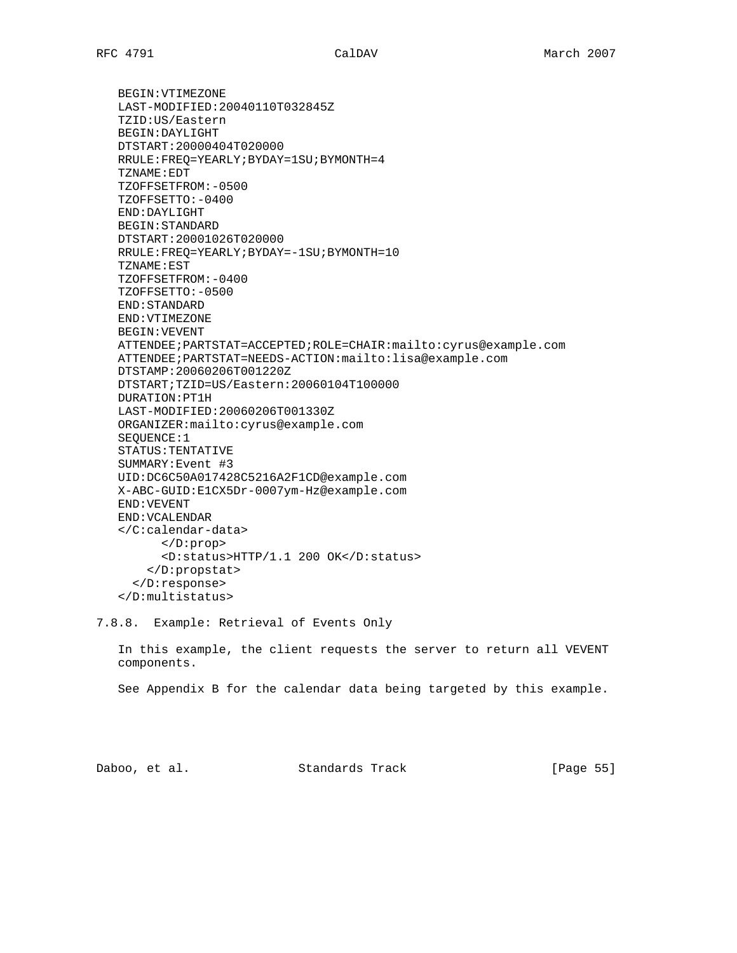BEGIN:VTIMEZONE LAST-MODIFIED:20040110T032845Z TZID:US/Eastern BEGIN:DAYLIGHT DTSTART:20000404T020000 RRULE:FREQ=YEARLY;BYDAY=1SU;BYMONTH=4 TZNAME:EDT TZOFFSETFROM:-0500 TZOFFSETTO:-0400 END:DAYLIGHT BEGIN:STANDARD DTSTART:20001026T020000 RRULE:FREQ=YEARLY;BYDAY=-1SU;BYMONTH=10 TZNAME:EST TZOFFSETFROM:-0400 TZOFFSETTO:-0500 END:STANDARD END:VTIMEZONE BEGIN:VEVENT ATTENDEE;PARTSTAT=ACCEPTED;ROLE=CHAIR:mailto:cyrus@example.com ATTENDEE;PARTSTAT=NEEDS-ACTION:mailto:lisa@example.com DTSTAMP:20060206T001220Z DTSTART;TZID=US/Eastern:20060104T100000 DURATION:PT1H LAST-MODIFIED:20060206T001330Z ORGANIZER:mailto:cyrus@example.com SEQUENCE:1 STATUS:TENTATIVE SUMMARY:Event #3 UID:DC6C50A017428C5216A2F1CD@example.com X-ABC-GUID:E1CX5Dr-0007ym-Hz@example.com END:VEVENT END:VCALENDAR </C:calendar-data> </D:prop> <D:status>HTTP/1.1 200 OK</D:status> </D:propstat> </D:response>

</D:multistatus>

7.8.8. Example: Retrieval of Events Only

 In this example, the client requests the server to return all VEVENT components.

See Appendix B for the calendar data being targeted by this example.

Daboo, et al. Standards Track [Page 55]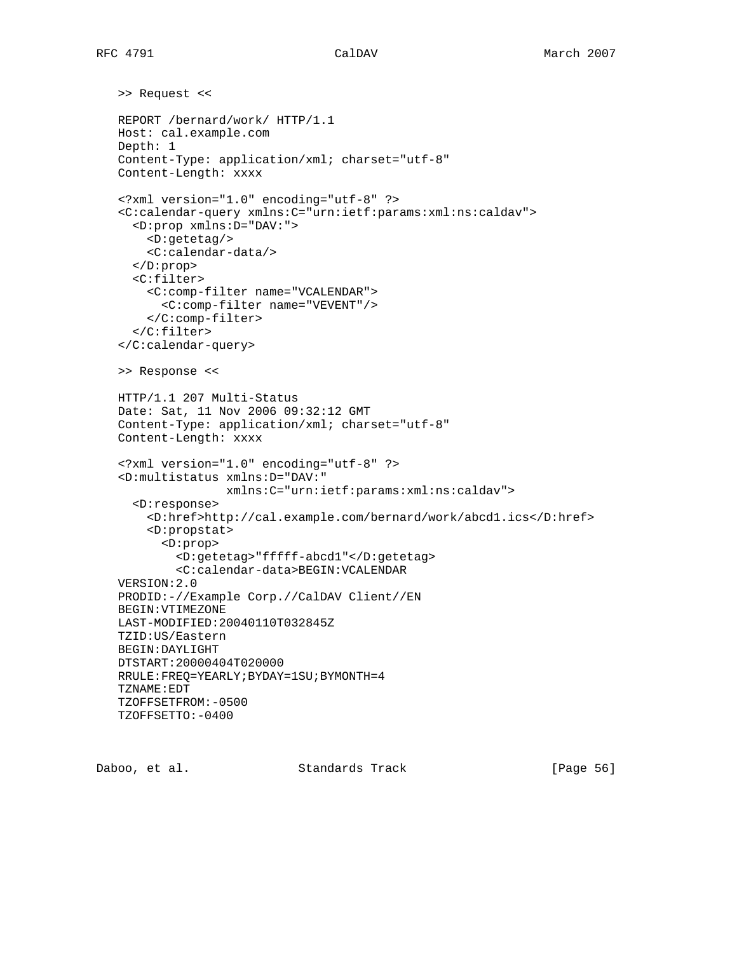```
 >> Request <<
REPORT /bernard/work/ HTTP/1.1
Host: cal.example.com
Depth: 1
Content-Type: application/xml; charset="utf-8"
Content-Length: xxxx
<?xml version="1.0" encoding="utf-8" ?>
<C:calendar-query xmlns:C="urn:ietf:params:xml:ns:caldav">
  <D:prop xmlns:D="DAV:">
    <D:getetag/>
    <C:calendar-data/>
  </D:prop>
  <C:filter>
    <C:comp-filter name="VCALENDAR">
      <C:comp-filter name="VEVENT"/>
    </C:comp-filter>
  </C:filter>
</C:calendar-query>
>> Response <<
HTTP/1.1 207 Multi-Status
Date: Sat, 11 Nov 2006 09:32:12 GMT
Content-Type: application/xml; charset="utf-8"
Content-Length: xxxx
<?xml version="1.0" encoding="utf-8" ?>
<D:multistatus xmlns:D="DAV:"
               xmlns:C="urn:ietf:params:xml:ns:caldav">
  <D:response>
    <D:href>http://cal.example.com/bernard/work/abcd1.ics</D:href>
    <D:propstat>
      <D:prop>
        <D:getetag>"fffff-abcd1"</D:getetag>
        <C:calendar-data>BEGIN:VCALENDAR
VERSION:2.0
PRODID:-//Example Corp.//CalDAV Client//EN
BEGIN:VTIMEZONE
LAST-MODIFIED:20040110T032845Z
TZID:US/Eastern
BEGIN:DAYLIGHT
DTSTART:20000404T020000
RRULE:FREQ=YEARLY;BYDAY=1SU;BYMONTH=4
TZNAME:EDT
TZOFFSETFROM:-0500
TZOFFSETTO:-0400
```
Daboo, et al. Standards Track [Page 56]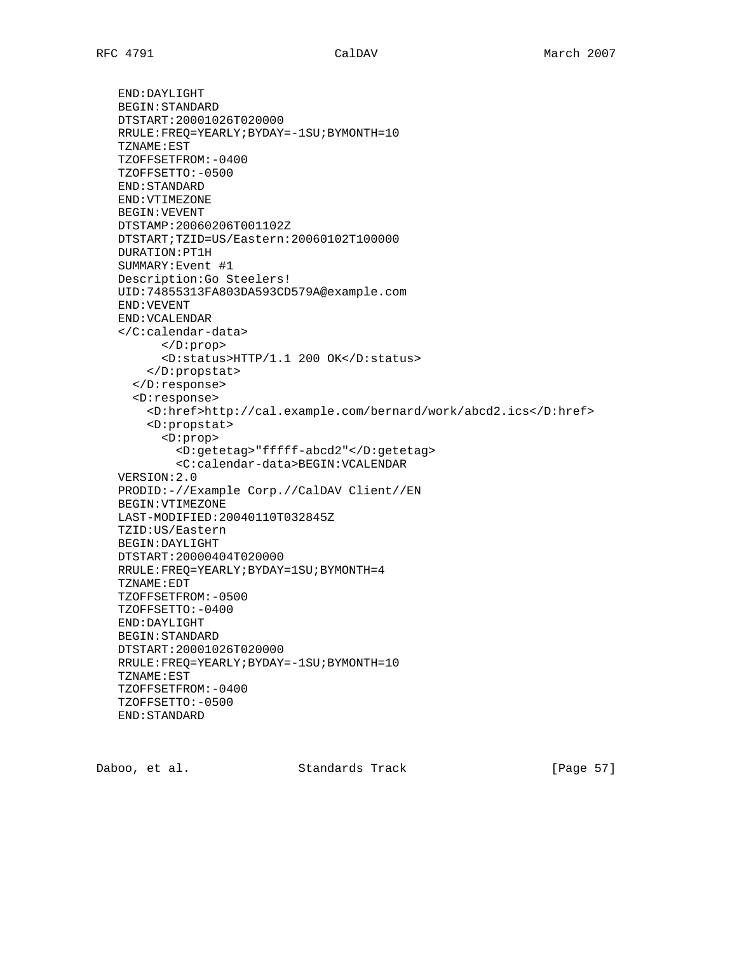END:DAYLIGHT BEGIN:STANDARD DTSTART:20001026T020000 RRULE:FREQ=YEARLY;BYDAY=-1SU;BYMONTH=10 TZNAME:EST TZOFFSETFROM:-0400 TZOFFSETTO:-0500 END:STANDARD END:VTIMEZONE BEGIN:VEVENT DTSTAMP:20060206T001102Z DTSTART;TZID=US/Eastern:20060102T100000 DURATION:PT1H SUMMARY:Event #1 Description:Go Steelers! UID:74855313FA803DA593CD579A@example.com END:VEVENT END:VCALENDAR </C:calendar-data> </D:prop> <D:status>HTTP/1.1 200 OK</D:status> </D:propstat> </D:response> <D:response> <D:href>http://cal.example.com/bernard/work/abcd2.ics</D:href> <D:propstat> <D:prop> <D:getetag>"fffff-abcd2"</D:getetag> <C:calendar-data>BEGIN:VCALENDAR VERSION:2.0 PRODID:-//Example Corp.//CalDAV Client//EN BEGIN:VTIMEZONE LAST-MODIFIED:20040110T032845Z TZID:US/Eastern BEGIN:DAYLIGHT DTSTART:20000404T020000 RRULE:FREQ=YEARLY;BYDAY=1SU;BYMONTH=4 TZNAME:EDT TZOFFSETFROM:-0500 TZOFFSETTO:-0400 END:DAYLIGHT BEGIN:STANDARD DTSTART:20001026T020000 RRULE:FREQ=YEARLY;BYDAY=-1SU;BYMONTH=10 TZNAME:EST TZOFFSETFROM:-0400 TZOFFSETTO:-0500 END:STANDARD

Daboo, et al. Standards Track [Page 57]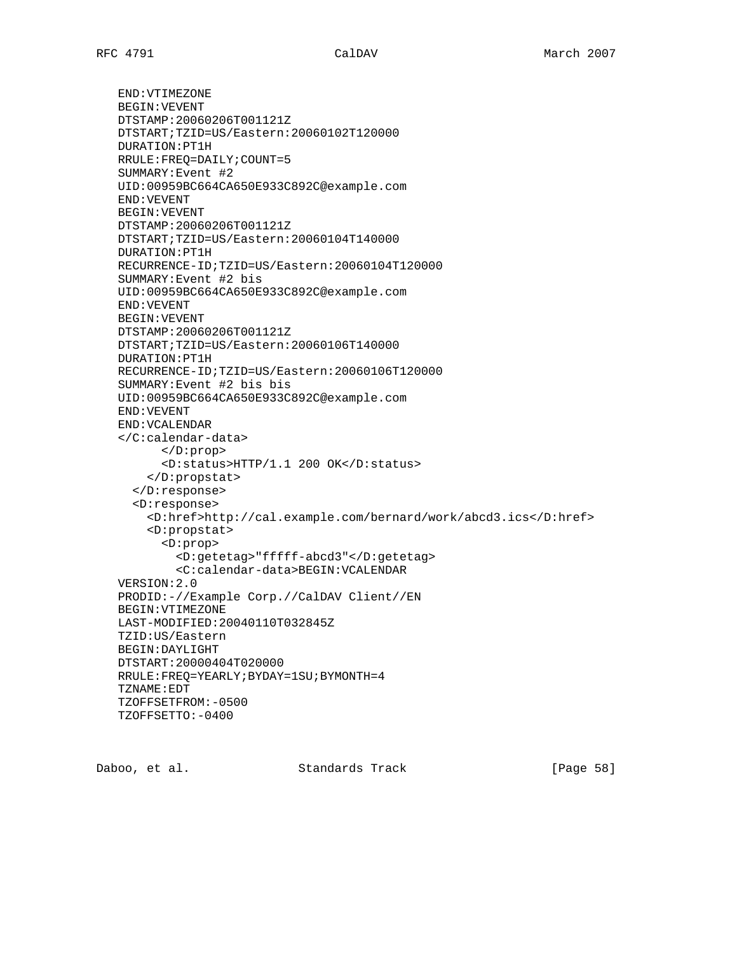END:VTIMEZONE BEGIN:VEVENT DTSTAMP:20060206T001121Z DTSTART;TZID=US/Eastern:20060102T120000 DURATION:PT1H RRULE:FREQ=DAILY;COUNT=5 SUMMARY:Event #2 UID:00959BC664CA650E933C892C@example.com END:VEVENT BEGIN:VEVENT DTSTAMP:20060206T001121Z DTSTART;TZID=US/Eastern:20060104T140000 DURATION:PT1H RECURRENCE-ID;TZID=US/Eastern:20060104T120000 SUMMARY:Event #2 bis UID:00959BC664CA650E933C892C@example.com END:VEVENT BEGIN:VEVENT DTSTAMP:20060206T001121Z DTSTART;TZID=US/Eastern:20060106T140000 DURATION:PT1H RECURRENCE-ID;TZID=US/Eastern:20060106T120000 SUMMARY:Event #2 bis bis UID:00959BC664CA650E933C892C@example.com END:VEVENT END:VCALENDAR </C:calendar-data> </D:prop> <D:status>HTTP/1.1 200 OK</D:status> </D:propstat> </D:response> <D:response> <D:href>http://cal.example.com/bernard/work/abcd3.ics</D:href> <D:propstat> <D:prop> <D:getetag>"fffff-abcd3"</D:getetag> <C:calendar-data>BEGIN:VCALENDAR VERSION:2.0 PRODID:-//Example Corp.//CalDAV Client//EN BEGIN:VTIMEZONE LAST-MODIFIED:20040110T032845Z TZID:US/Eastern BEGIN:DAYLIGHT DTSTART:20000404T020000 RRULE:FREQ=YEARLY;BYDAY=1SU;BYMONTH=4 TZNAME:EDT TZOFFSETFROM:-0500 TZOFFSETTO:-0400

Daboo, et al. Standards Track [Page 58]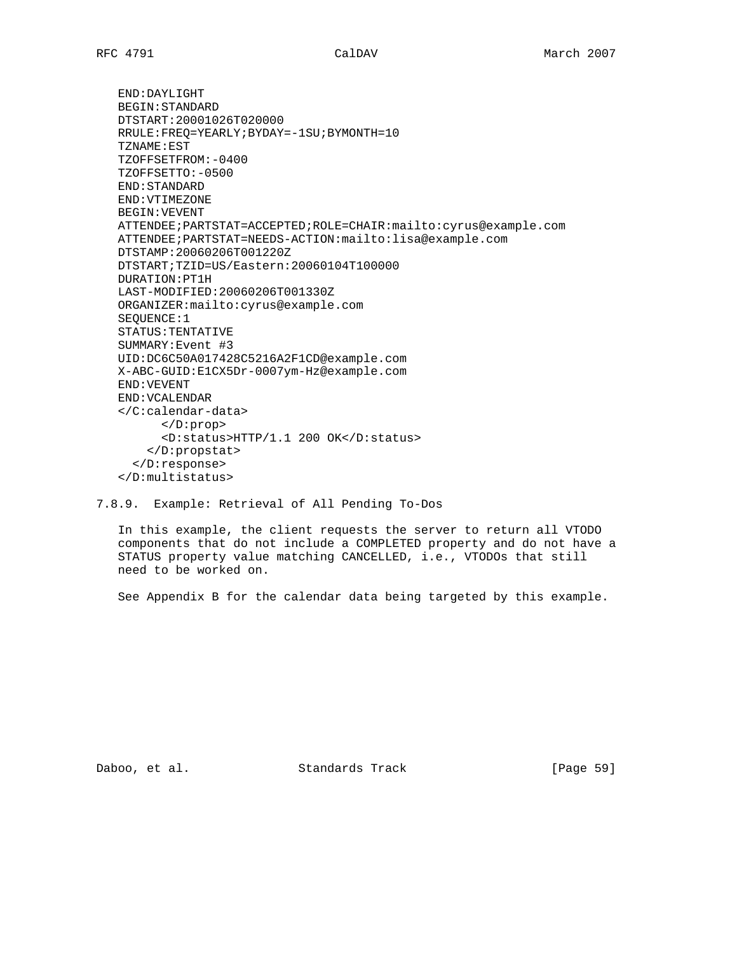END:DAYLIGHT BEGIN:STANDARD DTSTART:20001026T020000 RRULE:FREQ=YEARLY;BYDAY=-1SU;BYMONTH=10 TZNAME:EST TZOFFSETFROM:-0400 TZOFFSETTO:-0500 END:STANDARD END:VTIMEZONE BEGIN:VEVENT ATTENDEE;PARTSTAT=ACCEPTED;ROLE=CHAIR:mailto:cyrus@example.com ATTENDEE;PARTSTAT=NEEDS-ACTION:mailto:lisa@example.com DTSTAMP:20060206T001220Z DTSTART;TZID=US/Eastern:20060104T100000 DURATION:PT1H LAST-MODIFIED:20060206T001330Z ORGANIZER:mailto:cyrus@example.com SEQUENCE:1 STATUS:TENTATIVE SUMMARY:Event #3 UID:DC6C50A017428C5216A2F1CD@example.com X-ABC-GUID:E1CX5Dr-0007ym-Hz@example.com END:VEVENT END:VCALENDAR </C:calendar-data> </D:prop> <D:status>HTTP/1.1 200 OK</D:status> </D:propstat> </D:response> </D:multistatus>

7.8.9. Example: Retrieval of All Pending To-Dos

 In this example, the client requests the server to return all VTODO components that do not include a COMPLETED property and do not have a STATUS property value matching CANCELLED, i.e., VTODOs that still need to be worked on.

See Appendix B for the calendar data being targeted by this example.

Daboo, et al. Standards Track [Page 59]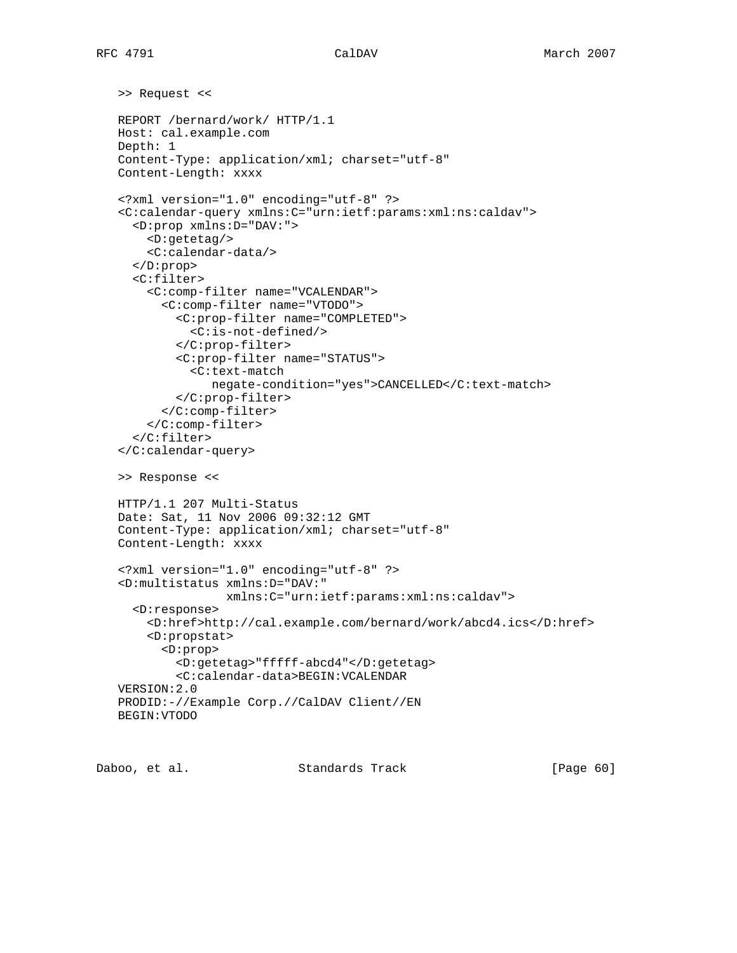```
 >> Request <<
REPORT /bernard/work/ HTTP/1.1
Host: cal.example.com
Depth: 1
Content-Type: application/xml; charset="utf-8"
Content-Length: xxxx
<?xml version="1.0" encoding="utf-8" ?>
<C:calendar-query xmlns:C="urn:ietf:params:xml:ns:caldav">
  <D:prop xmlns:D="DAV:">
    <D:getetag/>
    <C:calendar-data/>
  </D:prop>
  <C:filter>
    <C:comp-filter name="VCALENDAR">
      <C:comp-filter name="VTODO">
        <C:prop-filter name="COMPLETED">
          <C:is-not-defined/>
        </C:prop-filter>
        <C:prop-filter name="STATUS">
          <C:text-match
             negate-condition="yes">CANCELLED</C:text-match>
        </C:prop-filter>
      </C:comp-filter>
    </C:comp-filter>
  </C:filter>
</C:calendar-query>
>> Response <<
HTTP/1.1 207 Multi-Status
Date: Sat, 11 Nov 2006 09:32:12 GMT
Content-Type: application/xml; charset="utf-8"
Content-Length: xxxx
<?xml version="1.0" encoding="utf-8" ?>
<D:multistatus xmlns:D="DAV:"
               xmlns:C="urn:ietf:params:xml:ns:caldav">
  <D:response>
    <D:href>http://cal.example.com/bernard/work/abcd4.ics</D:href>
    <D:propstat>
      <D:prop>
        <D:getetag>"fffff-abcd4"</D:getetag>
        <C:calendar-data>BEGIN:VCALENDAR
VERSION:2.0
PRODID:-//Example Corp.//CalDAV Client//EN
BEGIN:VTODO
```
Daboo, et al. Standards Track [Page 60]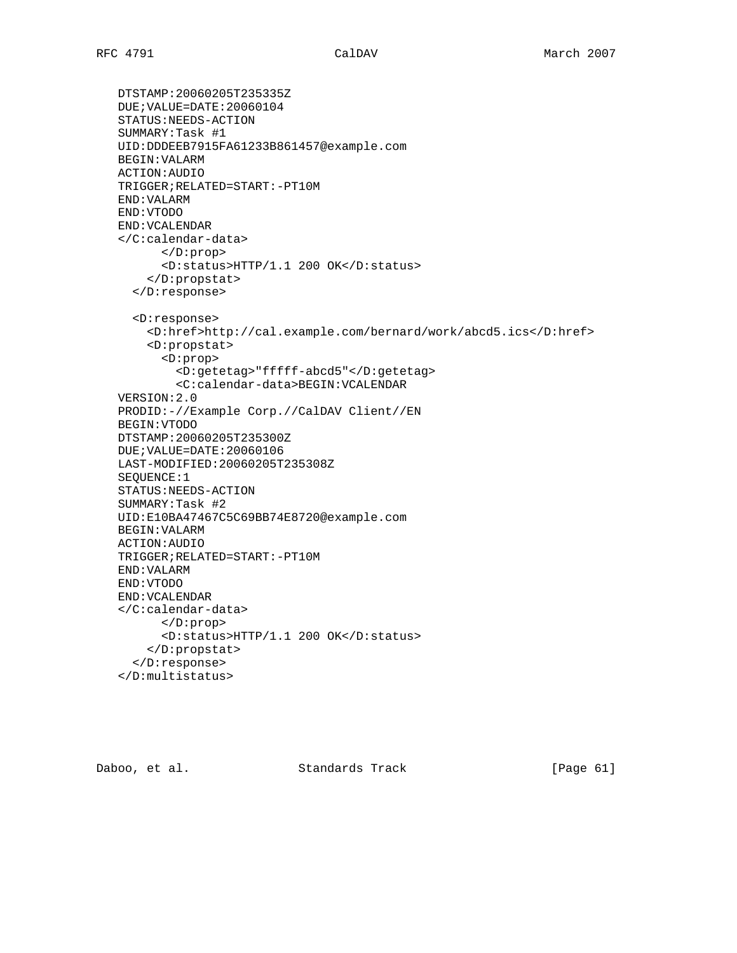```
 DTSTAMP:20060205T235335Z
DUE;VALUE=DATE:20060104
STATUS:NEEDS-ACTION
SUMMARY:Task #1
UID:DDDEEB7915FA61233B861457@example.com
BEGIN:VALARM
ACTION:AUDIO
TRIGGER;RELATED=START:-PT10M
END:VALARM
END:VTODO
END:VCALENDAR
</C:calendar-data>
      </D:prop>
      <D:status>HTTP/1.1 200 OK</D:status>
    </D:propstat>
  </D:response>
  <D:response>
    <D:href>http://cal.example.com/bernard/work/abcd5.ics</D:href>
    <D:propstat>
      <D:prop>
        <D:getetag>"fffff-abcd5"</D:getetag>
        <C:calendar-data>BEGIN:VCALENDAR
VERSION:2.0
PRODID:-//Example Corp.//CalDAV Client//EN
BEGIN:VTODO
DTSTAMP:20060205T235300Z
DUE;VALUE=DATE:20060106
LAST-MODIFIED:20060205T235308Z
SEQUENCE:1
STATUS:NEEDS-ACTION
SUMMARY:Task #2
UID:E10BA47467C5C69BB74E8720@example.com
BEGIN:VALARM
ACTION:AUDIO
TRIGGER;RELATED=START:-PT10M
END:VALARM
END:VTODO
END:VCALENDAR
</C:calendar-data>
      </D:prop>
      <D:status>HTTP/1.1 200 OK</D:status>
    </D:propstat>
  </D:response>
</D:multistatus>
```
Daboo, et al. Standards Track [Page 61]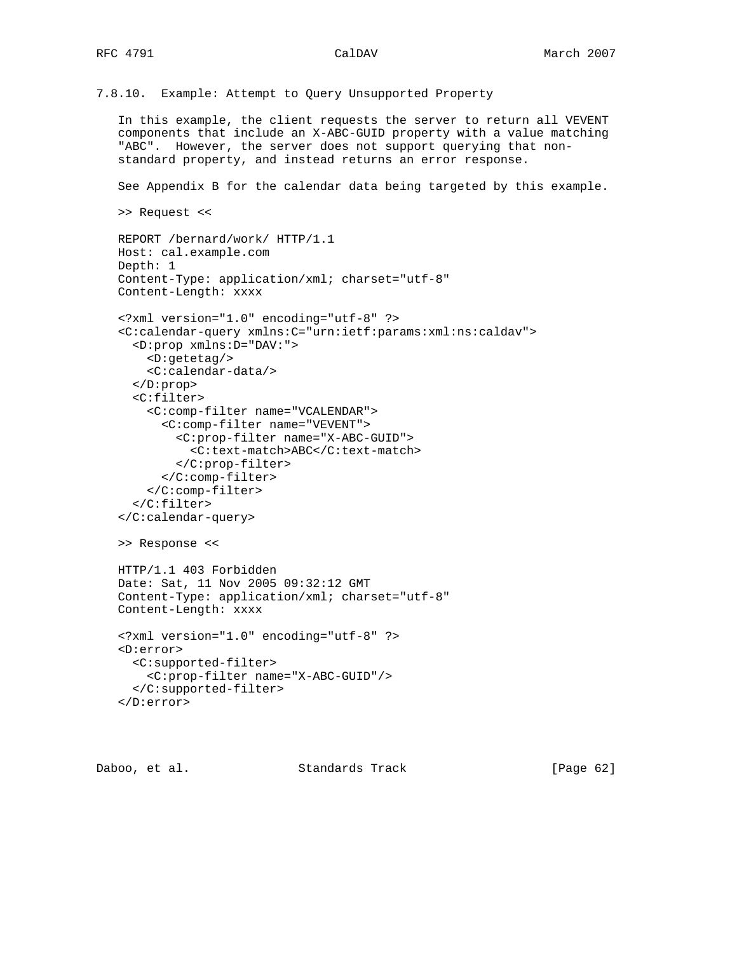7.8.10. Example: Attempt to Query Unsupported Property

 In this example, the client requests the server to return all VEVENT components that include an X-ABC-GUID property with a value matching "ABC". However, the server does not support querying that non standard property, and instead returns an error response.

See Appendix B for the calendar data being targeted by this example.

```
 >> Request <<
```
</D:error>

```
 REPORT /bernard/work/ HTTP/1.1
Host: cal.example.com
Depth: 1
Content-Type: application/xml; charset="utf-8"
Content-Length: xxxx
<?xml version="1.0" encoding="utf-8" ?>
<C:calendar-query xmlns:C="urn:ietf:params:xml:ns:caldav">
  <D:prop xmlns:D="DAV:">
    <D:getetag/>
    <C:calendar-data/>
  </D:prop>
  <C:filter>
    <C:comp-filter name="VCALENDAR">
      <C:comp-filter name="VEVENT">
        <C:prop-filter name="X-ABC-GUID">
          <C:text-match>ABC</C:text-match>
        </C:prop-filter>
      </C:comp-filter>
    </C:comp-filter>
  </C:filter>
</C:calendar-query>
>> Response <<
HTTP/1.1 403 Forbidden
Date: Sat, 11 Nov 2005 09:32:12 GMT
Content-Type: application/xml; charset="utf-8"
Content-Length: xxxx
<?xml version="1.0" encoding="utf-8" ?>
<D:error>
  <C:supported-filter>
    <C:prop-filter name="X-ABC-GUID"/>
  </C:supported-filter>
```
Daboo, et al. Standards Track [Page 62]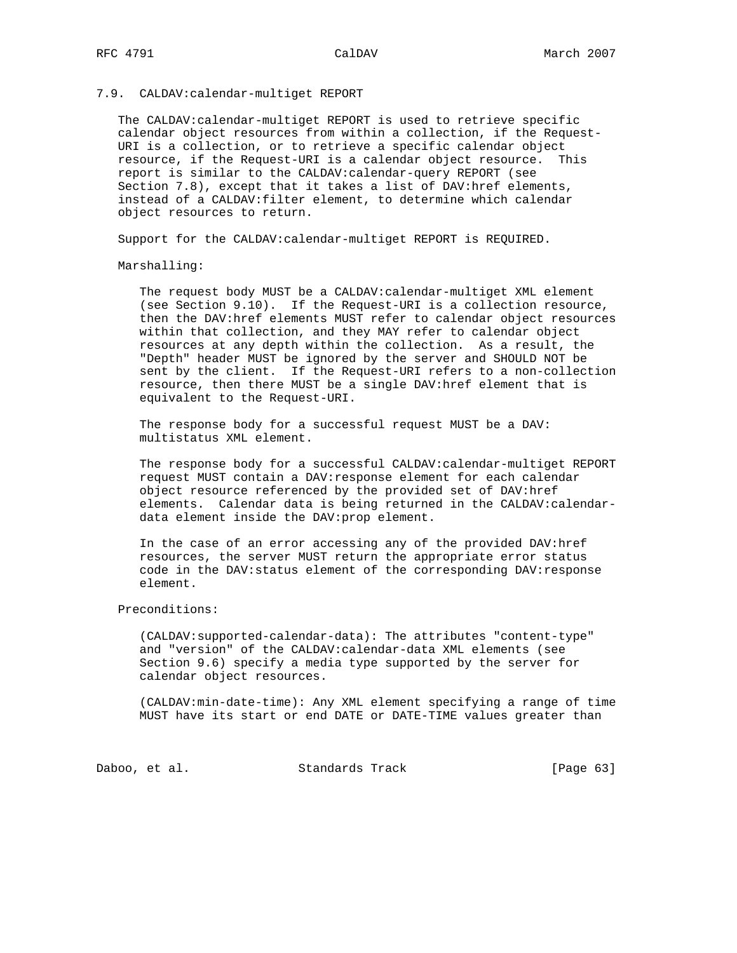## 7.9. CALDAV:calendar-multiget REPORT

 The CALDAV:calendar-multiget REPORT is used to retrieve specific calendar object resources from within a collection, if the Request- URI is a collection, or to retrieve a specific calendar object resource, if the Request-URI is a calendar object resource. This report is similar to the CALDAV:calendar-query REPORT (see Section 7.8), except that it takes a list of DAV:href elements, instead of a CALDAV:filter element, to determine which calendar object resources to return.

Support for the CALDAV:calendar-multiget REPORT is REQUIRED.

Marshalling:

 The request body MUST be a CALDAV:calendar-multiget XML element (see Section 9.10). If the Request-URI is a collection resource, then the DAV:href elements MUST refer to calendar object resources within that collection, and they MAY refer to calendar object resources at any depth within the collection. As a result, the "Depth" header MUST be ignored by the server and SHOULD NOT be sent by the client. If the Request-URI refers to a non-collection resource, then there MUST be a single DAV:href element that is equivalent to the Request-URI.

 The response body for a successful request MUST be a DAV: multistatus XML element.

 The response body for a successful CALDAV:calendar-multiget REPORT request MUST contain a DAV:response element for each calendar object resource referenced by the provided set of DAV:href elements. Calendar data is being returned in the CALDAV:calendar data element inside the DAV:prop element.

 In the case of an error accessing any of the provided DAV:href resources, the server MUST return the appropriate error status code in the DAV:status element of the corresponding DAV:response element.

## Preconditions:

 (CALDAV:supported-calendar-data): The attributes "content-type" and "version" of the CALDAV:calendar-data XML elements (see Section 9.6) specify a media type supported by the server for calendar object resources.

 (CALDAV:min-date-time): Any XML element specifying a range of time MUST have its start or end DATE or DATE-TIME values greater than

Daboo, et al. Standards Track [Page 63]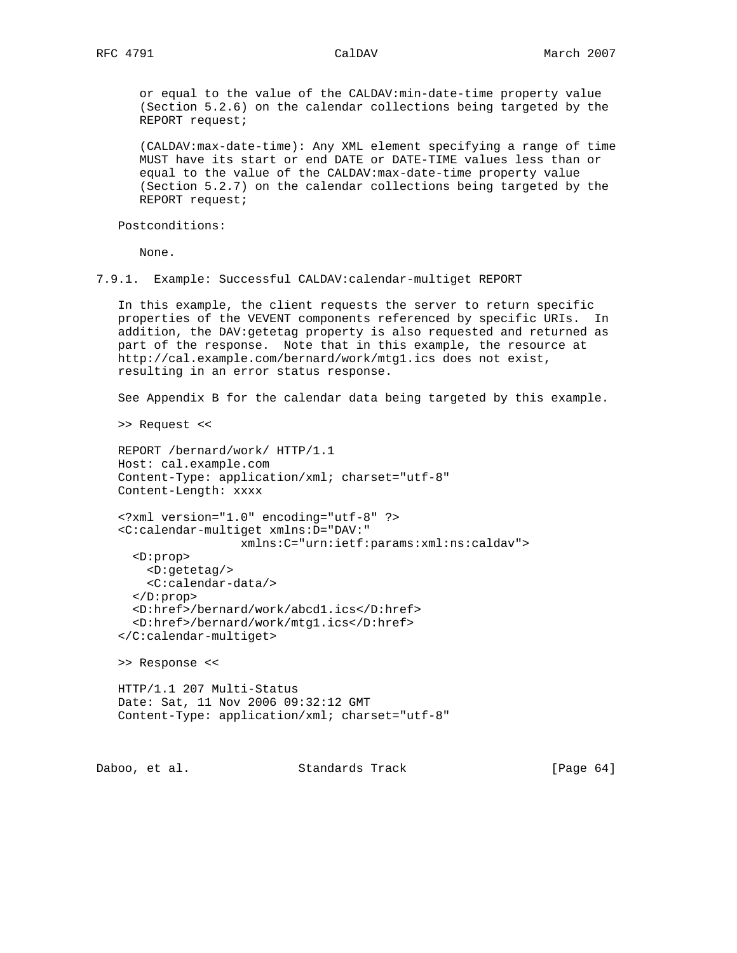or equal to the value of the CALDAV:min-date-time property value (Section 5.2.6) on the calendar collections being targeted by the REPORT request;

 (CALDAV:max-date-time): Any XML element specifying a range of time MUST have its start or end DATE or DATE-TIME values less than or equal to the value of the CALDAV:max-date-time property value (Section 5.2.7) on the calendar collections being targeted by the REPORT request;

Postconditions:

None.

7.9.1. Example: Successful CALDAV:calendar-multiget REPORT

 In this example, the client requests the server to return specific properties of the VEVENT components referenced by specific URIs. In addition, the DAV:getetag property is also requested and returned as part of the response. Note that in this example, the resource at http://cal.example.com/bernard/work/mtg1.ics does not exist, resulting in an error status response.

See Appendix B for the calendar data being targeted by this example.

>> Request <<

```
 REPORT /bernard/work/ HTTP/1.1
Host: cal.example.com
Content-Type: application/xml; charset="utf-8"
Content-Length: xxxx
```

```
 <?xml version="1.0" encoding="utf-8" ?>
<C:calendar-multiget xmlns:D="DAV:"
                 xmlns:C="urn:ietf:params:xml:ns:caldav">
  <D:prop>
    <D:getetag/>
    <C:calendar-data/>
  </D:prop>
  <D:href>/bernard/work/abcd1.ics</D:href>
  <D:href>/bernard/work/mtg1.ics</D:href>
</C:calendar-multiget>
```
>> Response <<

```
 HTTP/1.1 207 Multi-Status
Date: Sat, 11 Nov 2006 09:32:12 GMT
Content-Type: application/xml; charset="utf-8"
```
Daboo, et al. Standards Track [Page 64]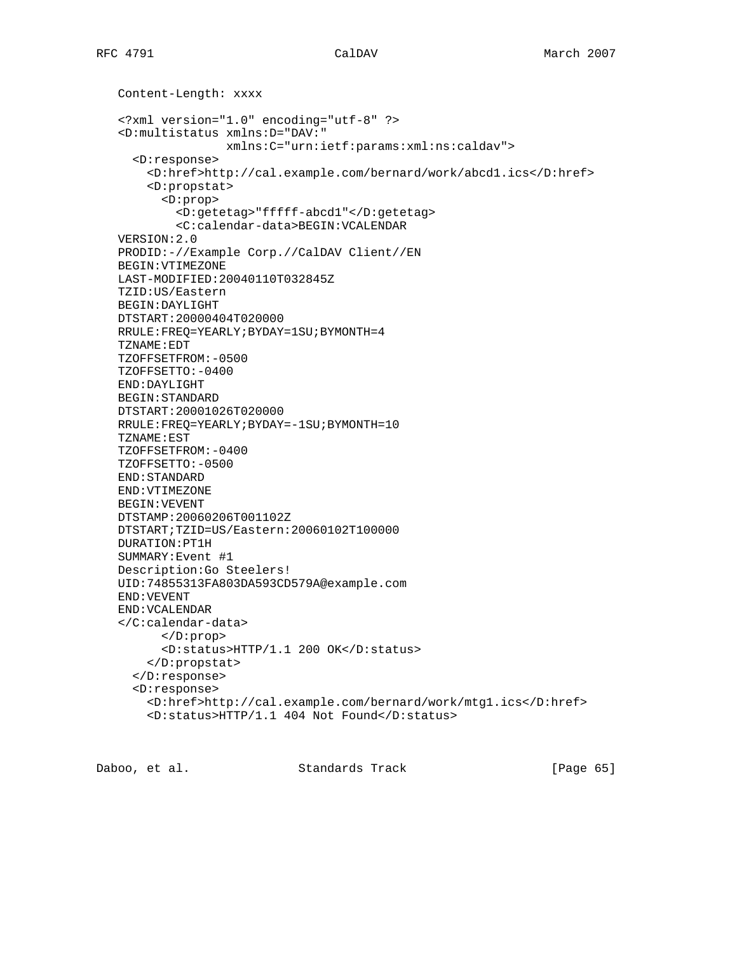Content-Length: xxxx <?xml version="1.0" encoding="utf-8" ?> <D:multistatus xmlns:D="DAV:" xmlns:C="urn:ietf:params:xml:ns:caldav"> <D:response> <D:href>http://cal.example.com/bernard/work/abcd1.ics</D:href> <D:propstat> <D:prop> <D:getetag>"fffff-abcd1"</D:getetag> <C:calendar-data>BEGIN:VCALENDAR VERSION:2.0 PRODID:-//Example Corp.//CalDAV Client//EN BEGIN:VTIMEZONE LAST-MODIFIED:20040110T032845Z TZID:US/Eastern BEGIN:DAYLIGHT DTSTART:20000404T020000 RRULE:FREQ=YEARLY;BYDAY=1SU;BYMONTH=4 TZNAME:EDT TZOFFSETFROM:-0500 TZOFFSETTO:-0400 END:DAYLIGHT BEGIN:STANDARD DTSTART:20001026T020000 RRULE:FREQ=YEARLY;BYDAY=-1SU;BYMONTH=10 TZNAME:EST TZOFFSETFROM:-0400 TZOFFSETTO:-0500 END:STANDARD END:VTIMEZONE BEGIN:VEVENT DTSTAMP:20060206T001102Z DTSTART;TZID=US/Eastern:20060102T100000 DURATION:PT1H SUMMARY:Event #1 Description:Go Steelers! UID:74855313FA803DA593CD579A@example.com END:VEVENT END:VCALENDAR </C:calendar-data> </D:prop> <D:status>HTTP/1.1 200 OK</D:status> </D:propstat> </D:response> <D:response> <D:href>http://cal.example.com/bernard/work/mtg1.ics</D:href> <D:status>HTTP/1.1 404 Not Found</D:status>

Daboo, et al. Standards Track [Page 65]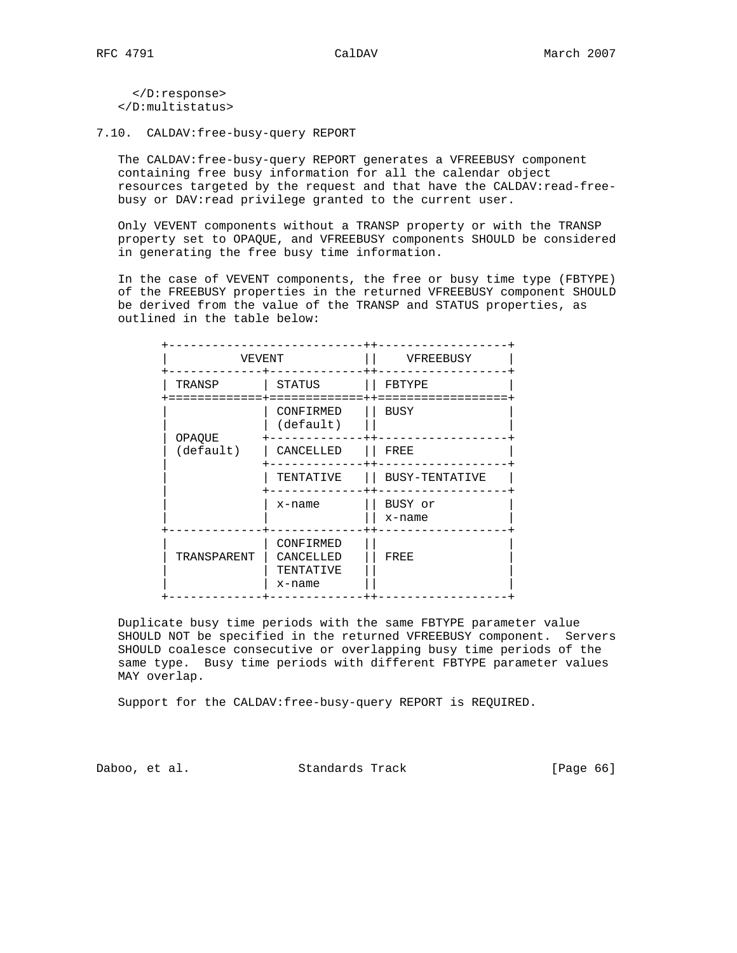</D:response> </D:multistatus>

7.10. CALDAV:free-busy-query REPORT

 The CALDAV:free-busy-query REPORT generates a VFREEBUSY component containing free busy information for all the calendar object resources targeted by the request and that have the CALDAV:read-free busy or DAV:read privilege granted to the current user.

 Only VEVENT components without a TRANSP property or with the TRANSP property set to OPAQUE, and VFREEBUSY components SHOULD be considered in generating the free busy time information.

 In the case of VEVENT components, the free or busy time type (FBTYPE) of the FREEBUSY properties in the returned VFREEBUSY component SHOULD be derived from the value of the TRANSP and STATUS properties, as outlined in the table below:

| VEVENT              |                                               | VFREEBUSY         |
|---------------------|-----------------------------------------------|-------------------|
| TRANSP              | STATUS                                        | FBTYPE            |
| OPAQUE<br>(default) | CONFIRMED<br>(default)                        | <b>BUSY</b>       |
|                     | CANCELLED                                     | FREE              |
|                     | TENTATIVE                                     | BUSY-TENTATIVE    |
|                     | x-name                                        | BUSY or<br>x-name |
| TRANSPARENT         | CONFIRMED<br>CANCELLED<br>TENTATIVE<br>x-name | FREE              |

 Duplicate busy time periods with the same FBTYPE parameter value SHOULD NOT be specified in the returned VFREEBUSY component. Servers SHOULD coalesce consecutive or overlapping busy time periods of the same type. Busy time periods with different FBTYPE parameter values MAY overlap.

Support for the CALDAV:free-busy-query REPORT is REQUIRED.

Daboo, et al. Standards Track [Page 66]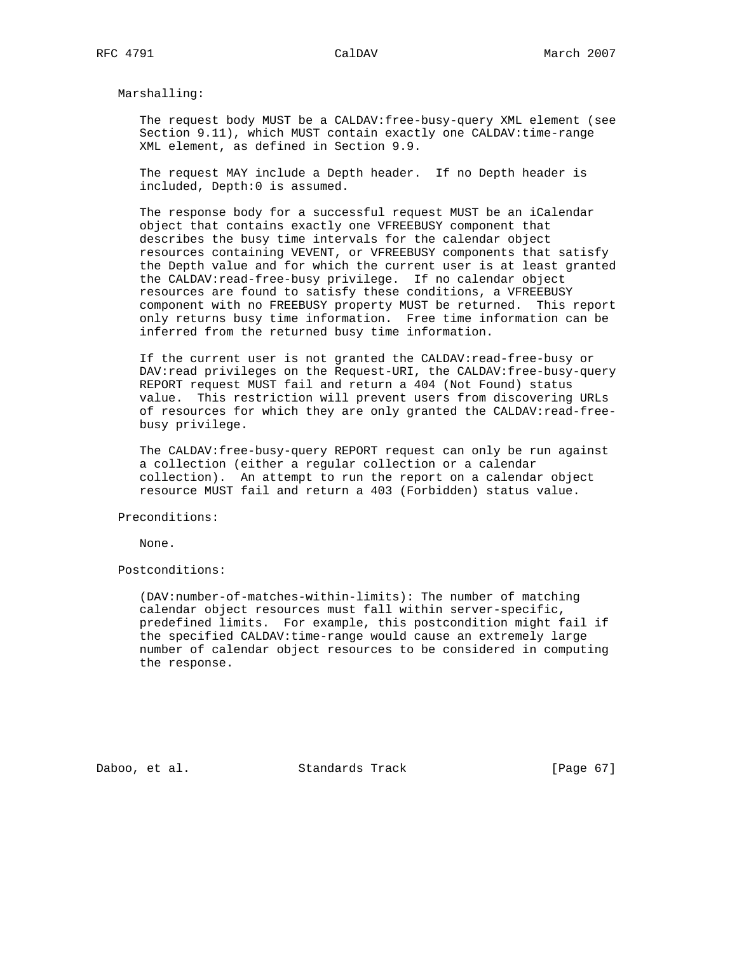Marshalling:

 The request body MUST be a CALDAV:free-busy-query XML element (see Section 9.11), which MUST contain exactly one CALDAV:time-range XML element, as defined in Section 9.9.

 The request MAY include a Depth header. If no Depth header is included, Depth:0 is assumed.

 The response body for a successful request MUST be an iCalendar object that contains exactly one VFREEBUSY component that describes the busy time intervals for the calendar object resources containing VEVENT, or VFREEBUSY components that satisfy the Depth value and for which the current user is at least granted the CALDAV:read-free-busy privilege. If no calendar object resources are found to satisfy these conditions, a VFREEBUSY component with no FREEBUSY property MUST be returned. This report only returns busy time information. Free time information can be inferred from the returned busy time information.

 If the current user is not granted the CALDAV:read-free-busy or DAV:read privileges on the Request-URI, the CALDAV:free-busy-query REPORT request MUST fail and return a 404 (Not Found) status value. This restriction will prevent users from discovering URLs of resources for which they are only granted the CALDAV:read-free busy privilege.

 The CALDAV:free-busy-query REPORT request can only be run against a collection (either a regular collection or a calendar collection). An attempt to run the report on a calendar object resource MUST fail and return a 403 (Forbidden) status value.

Preconditions:

None.

Postconditions:

 (DAV:number-of-matches-within-limits): The number of matching calendar object resources must fall within server-specific, predefined limits. For example, this postcondition might fail if the specified CALDAV:time-range would cause an extremely large number of calendar object resources to be considered in computing the response.

Daboo, et al. Standards Track [Page 67]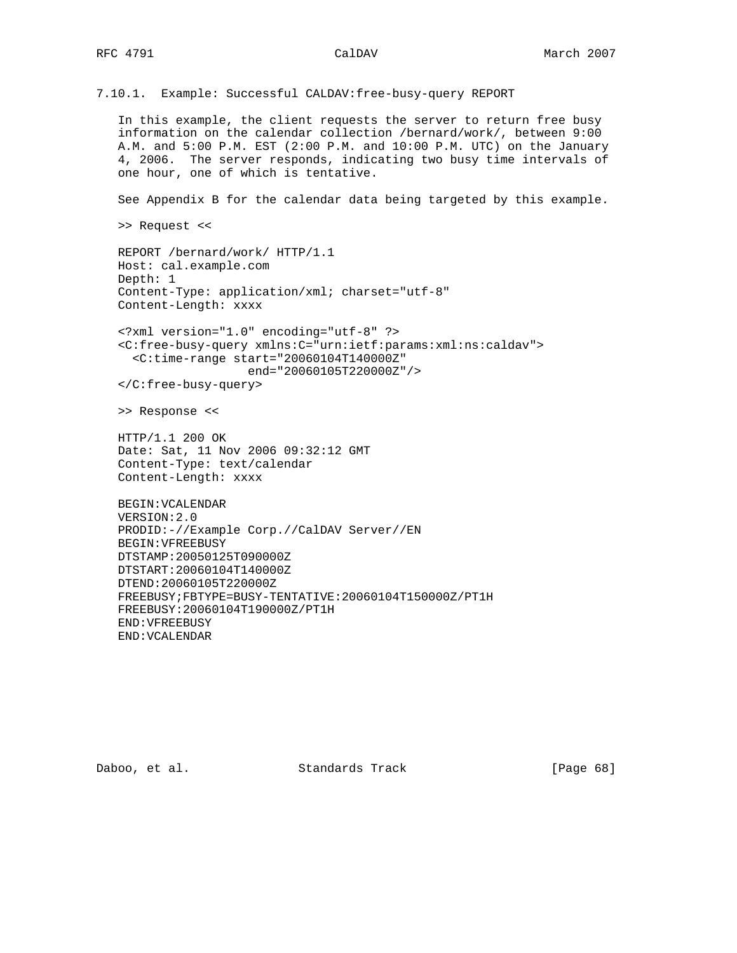7.10.1. Example: Successful CALDAV:free-busy-query REPORT

 In this example, the client requests the server to return free busy information on the calendar collection /bernard/work/, between 9:00 A.M. and 5:00 P.M. EST (2:00 P.M. and 10:00 P.M. UTC) on the January 4, 2006. The server responds, indicating two busy time intervals of one hour, one of which is tentative.

See Appendix B for the calendar data being targeted by this example.

>> Request <<

 REPORT /bernard/work/ HTTP/1.1 Host: cal.example.com Depth: 1 Content-Type: application/xml; charset="utf-8" Content-Length: xxxx

 <?xml version="1.0" encoding="utf-8" ?> <C:free-busy-query xmlns:C="urn:ietf:params:xml:ns:caldav"> <C:time-range start="20060104T140000Z" end="20060105T220000Z"/>

</C:free-busy-query>

>> Response <<

 HTTP/1.1 200 OK Date: Sat, 11 Nov 2006 09:32:12 GMT Content-Type: text/calendar Content-Length: xxxx

 BEGIN:VCALENDAR VERSION:2.0 PRODID:-//Example Corp.//CalDAV Server//EN BEGIN:VFREEBUSY DTSTAMP:20050125T090000Z DTSTART:20060104T140000Z DTEND:20060105T220000Z FREEBUSY;FBTYPE=BUSY-TENTATIVE:20060104T150000Z/PT1H FREEBUSY:20060104T190000Z/PT1H END:VFREEBUSY END:VCALENDAR

Daboo, et al. Standards Track [Page 68]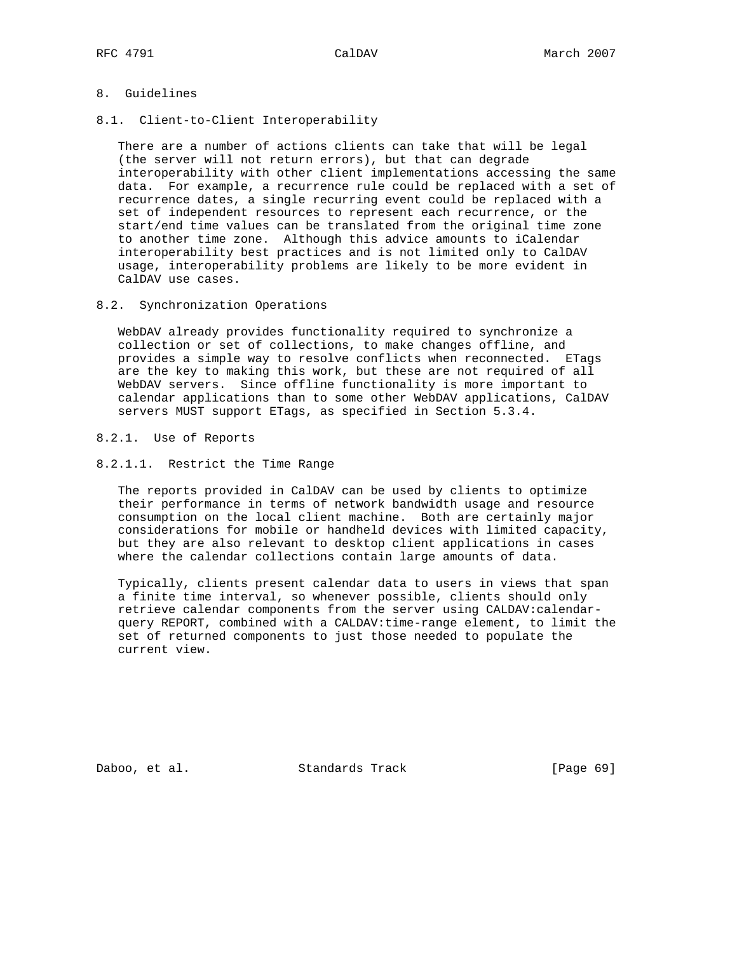# 8. Guidelines

8.1. Client-to-Client Interoperability

 There are a number of actions clients can take that will be legal (the server will not return errors), but that can degrade interoperability with other client implementations accessing the same data. For example, a recurrence rule could be replaced with a set of recurrence dates, a single recurring event could be replaced with a set of independent resources to represent each recurrence, or the start/end time values can be translated from the original time zone to another time zone. Although this advice amounts to iCalendar interoperability best practices and is not limited only to CalDAV usage, interoperability problems are likely to be more evident in CalDAV use cases.

8.2. Synchronization Operations

 WebDAV already provides functionality required to synchronize a collection or set of collections, to make changes offline, and provides a simple way to resolve conflicts when reconnected. ETags are the key to making this work, but these are not required of all WebDAV servers. Since offline functionality is more important to calendar applications than to some other WebDAV applications, CalDAV servers MUST support ETags, as specified in Section 5.3.4.

## 8.2.1. Use of Reports

8.2.1.1. Restrict the Time Range

 The reports provided in CalDAV can be used by clients to optimize their performance in terms of network bandwidth usage and resource consumption on the local client machine. Both are certainly major considerations for mobile or handheld devices with limited capacity, but they are also relevant to desktop client applications in cases where the calendar collections contain large amounts of data.

 Typically, clients present calendar data to users in views that span a finite time interval, so whenever possible, clients should only retrieve calendar components from the server using CALDAV:calendar query REPORT, combined with a CALDAV:time-range element, to limit the set of returned components to just those needed to populate the current view.

Daboo, et al. Standards Track [Page 69]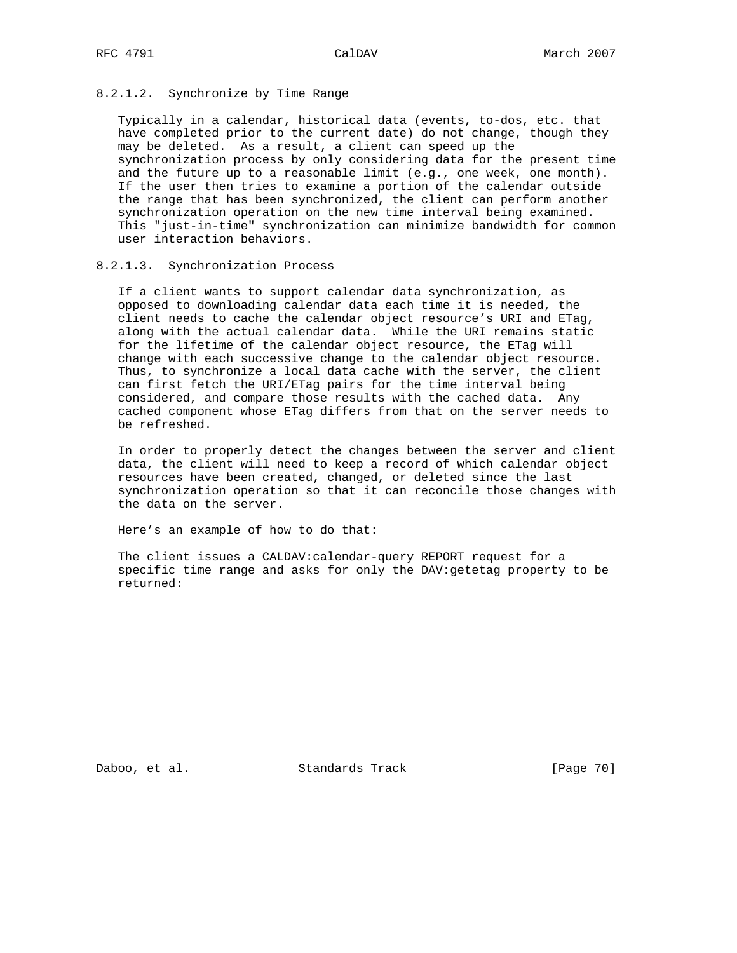# 8.2.1.2. Synchronize by Time Range

 Typically in a calendar, historical data (events, to-dos, etc. that have completed prior to the current date) do not change, though they may be deleted. As a result, a client can speed up the synchronization process by only considering data for the present time and the future up to a reasonable limit (e.g., one week, one month). If the user then tries to examine a portion of the calendar outside the range that has been synchronized, the client can perform another synchronization operation on the new time interval being examined. This "just-in-time" synchronization can minimize bandwidth for common user interaction behaviors.

# 8.2.1.3. Synchronization Process

 If a client wants to support calendar data synchronization, as opposed to downloading calendar data each time it is needed, the client needs to cache the calendar object resource's URI and ETag, along with the actual calendar data. While the URI remains static for the lifetime of the calendar object resource, the ETag will change with each successive change to the calendar object resource. Thus, to synchronize a local data cache with the server, the client can first fetch the URI/ETag pairs for the time interval being considered, and compare those results with the cached data. Any cached component whose ETag differs from that on the server needs to be refreshed.

 In order to properly detect the changes between the server and client data, the client will need to keep a record of which calendar object resources have been created, changed, or deleted since the last synchronization operation so that it can reconcile those changes with the data on the server.

Here's an example of how to do that:

 The client issues a CALDAV:calendar-query REPORT request for a specific time range and asks for only the DAV:getetag property to be returned:

Daboo, et al. Standards Track [Page 70]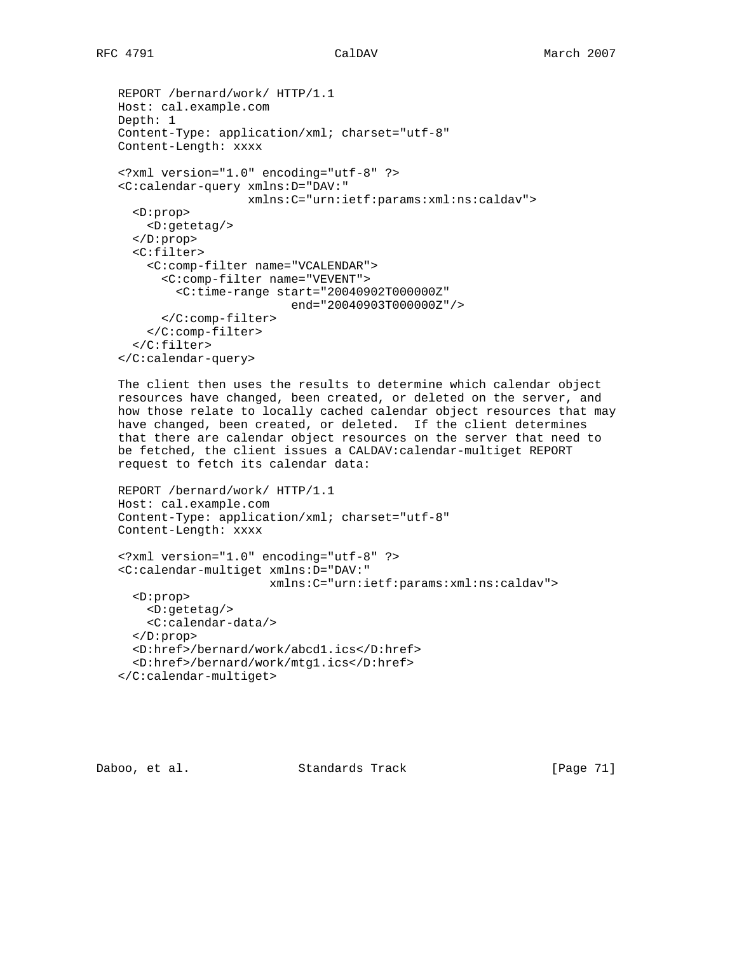```
 REPORT /bernard/work/ HTTP/1.1
Host: cal.example.com
Depth: 1
Content-Type: application/xml; charset="utf-8"
Content-Length: xxxx
<?xml version="1.0" encoding="utf-8" ?>
<C:calendar-query xmlns:D="DAV:"
                  xmlns:C="urn:ietf:params:xml:ns:caldav">
  <D:prop>
    <D:getetag/>
  </D:prop>
  <C:filter>
    <C:comp-filter name="VCALENDAR">
      <C:comp-filter name="VEVENT">
        <C:time-range start="20040902T000000Z"
                         end="20040903T000000Z"/>
      </C:comp-filter>
    </C:comp-filter>
  </C:filter>
</C:calendar-query>
```
 The client then uses the results to determine which calendar object resources have changed, been created, or deleted on the server, and how those relate to locally cached calendar object resources that may have changed, been created, or deleted. If the client determines that there are calendar object resources on the server that need to be fetched, the client issues a CALDAV:calendar-multiget REPORT request to fetch its calendar data:

```
 REPORT /bernard/work/ HTTP/1.1
Host: cal.example.com
Content-Type: application/xml; charset="utf-8"
Content-Length: xxxx
<?xml version="1.0" encoding="utf-8" ?>
<C:calendar-multiget xmlns:D="DAV:"
                      xmlns:C="urn:ietf:params:xml:ns:caldav">
  <D:prop>
    <D:getetag/>
    <C:calendar-data/>
  </D:prop>
  <D:href>/bernard/work/abcd1.ics</D:href>
```

```
 <D:href>/bernard/work/mtg1.ics</D:href>
</C:calendar-multiget>
```
Daboo, et al. Standards Track [Page 71]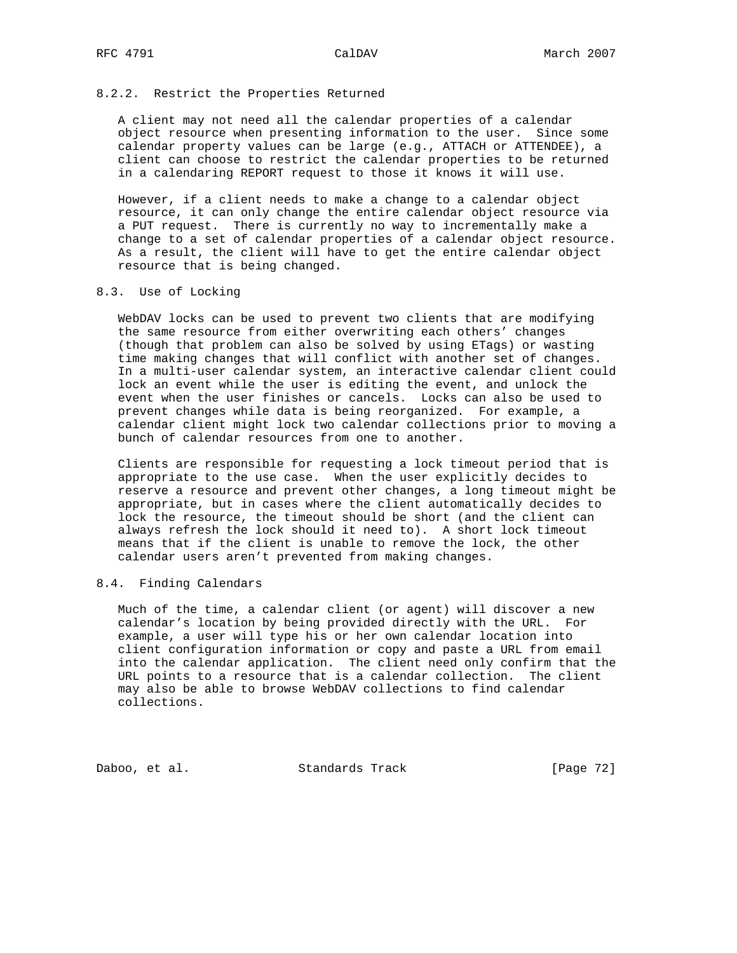## 8.2.2. Restrict the Properties Returned

 A client may not need all the calendar properties of a calendar object resource when presenting information to the user. Since some calendar property values can be large (e.g., ATTACH or ATTENDEE), a client can choose to restrict the calendar properties to be returned in a calendaring REPORT request to those it knows it will use.

 However, if a client needs to make a change to a calendar object resource, it can only change the entire calendar object resource via a PUT request. There is currently no way to incrementally make a change to a set of calendar properties of a calendar object resource. As a result, the client will have to get the entire calendar object resource that is being changed.

## 8.3. Use of Locking

 WebDAV locks can be used to prevent two clients that are modifying the same resource from either overwriting each others' changes (though that problem can also be solved by using ETags) or wasting time making changes that will conflict with another set of changes. In a multi-user calendar system, an interactive calendar client could lock an event while the user is editing the event, and unlock the event when the user finishes or cancels. Locks can also be used to prevent changes while data is being reorganized. For example, a calendar client might lock two calendar collections prior to moving a bunch of calendar resources from one to another.

 Clients are responsible for requesting a lock timeout period that is appropriate to the use case. When the user explicitly decides to reserve a resource and prevent other changes, a long timeout might be appropriate, but in cases where the client automatically decides to lock the resource, the timeout should be short (and the client can always refresh the lock should it need to). A short lock timeout means that if the client is unable to remove the lock, the other calendar users aren't prevented from making changes.

# 8.4. Finding Calendars

 Much of the time, a calendar client (or agent) will discover a new calendar's location by being provided directly with the URL. For example, a user will type his or her own calendar location into client configuration information or copy and paste a URL from email into the calendar application. The client need only confirm that the URL points to a resource that is a calendar collection. The client may also be able to browse WebDAV collections to find calendar collections.

Daboo, et al. Standards Track [Page 72]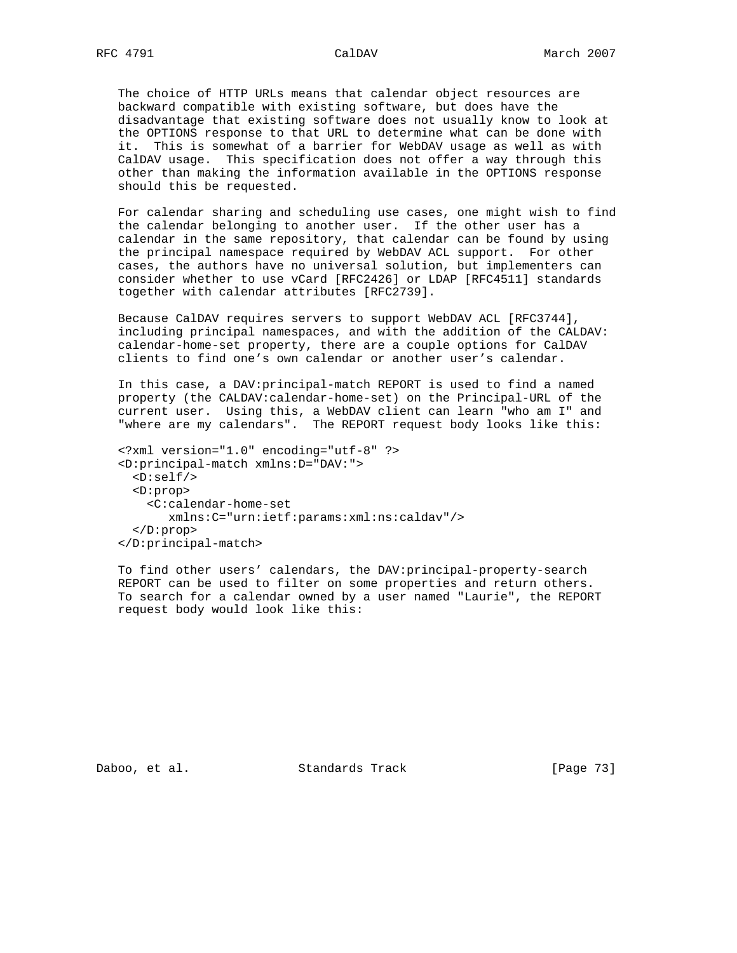The choice of HTTP URLs means that calendar object resources are backward compatible with existing software, but does have the disadvantage that existing software does not usually know to look at the OPTIONS response to that URL to determine what can be done with it. This is somewhat of a barrier for WebDAV usage as well as with CalDAV usage. This specification does not offer a way through this other than making the information available in the OPTIONS response should this be requested.

 For calendar sharing and scheduling use cases, one might wish to find the calendar belonging to another user. If the other user has a calendar in the same repository, that calendar can be found by using the principal namespace required by WebDAV ACL support. For other cases, the authors have no universal solution, but implementers can consider whether to use vCard [RFC2426] or LDAP [RFC4511] standards together with calendar attributes [RFC2739].

 Because CalDAV requires servers to support WebDAV ACL [RFC3744], including principal namespaces, and with the addition of the CALDAV: calendar-home-set property, there are a couple options for CalDAV clients to find one's own calendar or another user's calendar.

 In this case, a DAV:principal-match REPORT is used to find a named property (the CALDAV:calendar-home-set) on the Principal-URL of the current user. Using this, a WebDAV client can learn "who am I" and "where are my calendars". The REPORT request body looks like this:

```
 <?xml version="1.0" encoding="utf-8" ?>
<D:principal-match xmlns:D="DAV:">
  <D:self/>
 <D:prop>
    <C:calendar-home-set
       xmlns:C="urn:ietf:params:xml:ns:caldav"/>
  </D:prop>
</D:principal-match>
```
 To find other users' calendars, the DAV:principal-property-search REPORT can be used to filter on some properties and return others. To search for a calendar owned by a user named "Laurie", the REPORT request body would look like this:

Daboo, et al. Standards Track [Page 73]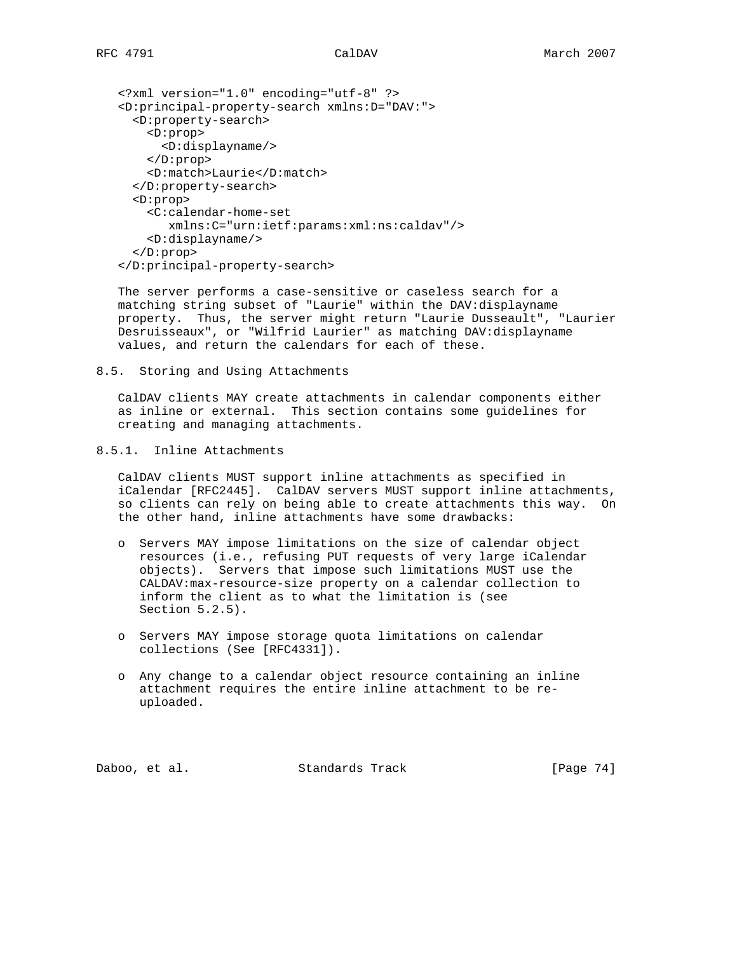```
 <?xml version="1.0" encoding="utf-8" ?>
<D:principal-property-search xmlns:D="DAV:">
  <D:property-search>
    <D:prop>
      <D:displayname/>
    </D:prop>
    <D:match>Laurie</D:match>
  </D:property-search>
  <D:prop>
    <C:calendar-home-set
       xmlns:C="urn:ietf:params:xml:ns:caldav"/>
    <D:displayname/>
  </D:prop>
</D:principal-property-search>
```
 The server performs a case-sensitive or caseless search for a matching string subset of "Laurie" within the DAV:displayname property. Thus, the server might return "Laurie Dusseault", "Laurier Desruisseaux", or "Wilfrid Laurier" as matching DAV:displayname values, and return the calendars for each of these.

8.5. Storing and Using Attachments

 CalDAV clients MAY create attachments in calendar components either as inline or external. This section contains some guidelines for creating and managing attachments.

```
8.5.1. Inline Attachments
```
 CalDAV clients MUST support inline attachments as specified in iCalendar [RFC2445]. CalDAV servers MUST support inline attachments, so clients can rely on being able to create attachments this way. On the other hand, inline attachments have some drawbacks:

- o Servers MAY impose limitations on the size of calendar object resources (i.e., refusing PUT requests of very large iCalendar objects). Servers that impose such limitations MUST use the CALDAV:max-resource-size property on a calendar collection to inform the client as to what the limitation is (see Section 5.2.5).
- o Servers MAY impose storage quota limitations on calendar collections (See [RFC4331]).
- o Any change to a calendar object resource containing an inline attachment requires the entire inline attachment to be re uploaded.

Daboo, et al. Standards Track [Page 74]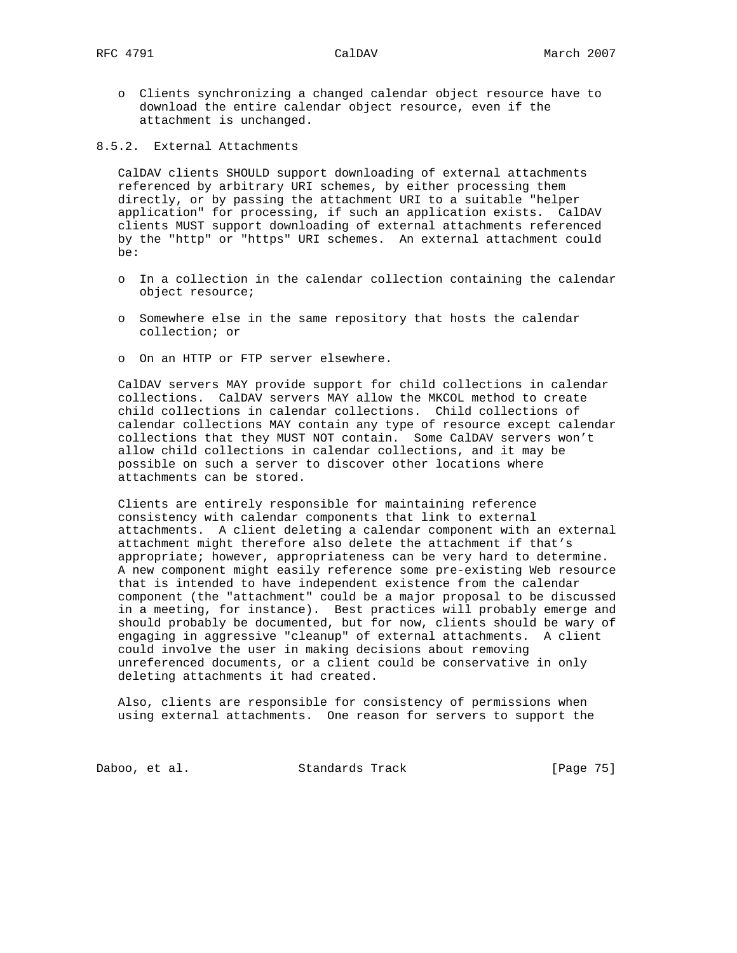o Clients synchronizing a changed calendar object resource have to download the entire calendar object resource, even if the attachment is unchanged.

8.5.2. External Attachments

 CalDAV clients SHOULD support downloading of external attachments referenced by arbitrary URI schemes, by either processing them directly, or by passing the attachment URI to a suitable "helper application" for processing, if such an application exists. CalDAV clients MUST support downloading of external attachments referenced by the "http" or "https" URI schemes. An external attachment could be:

- o In a collection in the calendar collection containing the calendar object resource;
- o Somewhere else in the same repository that hosts the calendar collection; or
- o On an HTTP or FTP server elsewhere.

 CalDAV servers MAY provide support for child collections in calendar collections. CalDAV servers MAY allow the MKCOL method to create child collections in calendar collections. Child collections of calendar collections MAY contain any type of resource except calendar collections that they MUST NOT contain. Some CalDAV servers won't allow child collections in calendar collections, and it may be possible on such a server to discover other locations where attachments can be stored.

 Clients are entirely responsible for maintaining reference consistency with calendar components that link to external attachments. A client deleting a calendar component with an external attachment might therefore also delete the attachment if that's appropriate; however, appropriateness can be very hard to determine. A new component might easily reference some pre-existing Web resource that is intended to have independent existence from the calendar component (the "attachment" could be a major proposal to be discussed in a meeting, for instance). Best practices will probably emerge and should probably be documented, but for now, clients should be wary of engaging in aggressive "cleanup" of external attachments. A client could involve the user in making decisions about removing unreferenced documents, or a client could be conservative in only deleting attachments it had created.

 Also, clients are responsible for consistency of permissions when using external attachments. One reason for servers to support the

Daboo, et al. Standards Track [Page 75]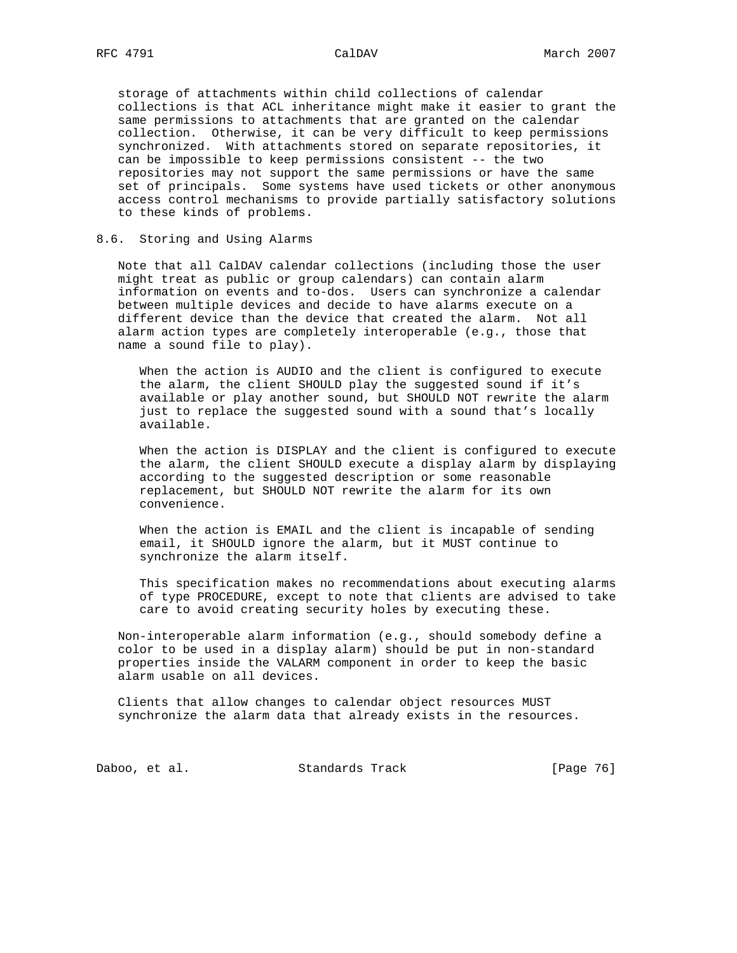storage of attachments within child collections of calendar collections is that ACL inheritance might make it easier to grant the same permissions to attachments that are granted on the calendar collection. Otherwise, it can be very difficult to keep permissions synchronized. With attachments stored on separate repositories, it can be impossible to keep permissions consistent -- the two repositories may not support the same permissions or have the same set of principals. Some systems have used tickets or other anonymous access control mechanisms to provide partially satisfactory solutions to these kinds of problems.

# 8.6. Storing and Using Alarms

 Note that all CalDAV calendar collections (including those the user might treat as public or group calendars) can contain alarm information on events and to-dos. Users can synchronize a calendar between multiple devices and decide to have alarms execute on a different device than the device that created the alarm. Not all alarm action types are completely interoperable (e.g., those that name a sound file to play).

 When the action is AUDIO and the client is configured to execute the alarm, the client SHOULD play the suggested sound if it's available or play another sound, but SHOULD NOT rewrite the alarm just to replace the suggested sound with a sound that's locally available.

 When the action is DISPLAY and the client is configured to execute the alarm, the client SHOULD execute a display alarm by displaying according to the suggested description or some reasonable replacement, but SHOULD NOT rewrite the alarm for its own convenience.

 When the action is EMAIL and the client is incapable of sending email, it SHOULD ignore the alarm, but it MUST continue to synchronize the alarm itself.

 This specification makes no recommendations about executing alarms of type PROCEDURE, except to note that clients are advised to take care to avoid creating security holes by executing these.

 Non-interoperable alarm information (e.g., should somebody define a color to be used in a display alarm) should be put in non-standard properties inside the VALARM component in order to keep the basic alarm usable on all devices.

 Clients that allow changes to calendar object resources MUST synchronize the alarm data that already exists in the resources.

Daboo, et al. Standards Track [Page 76]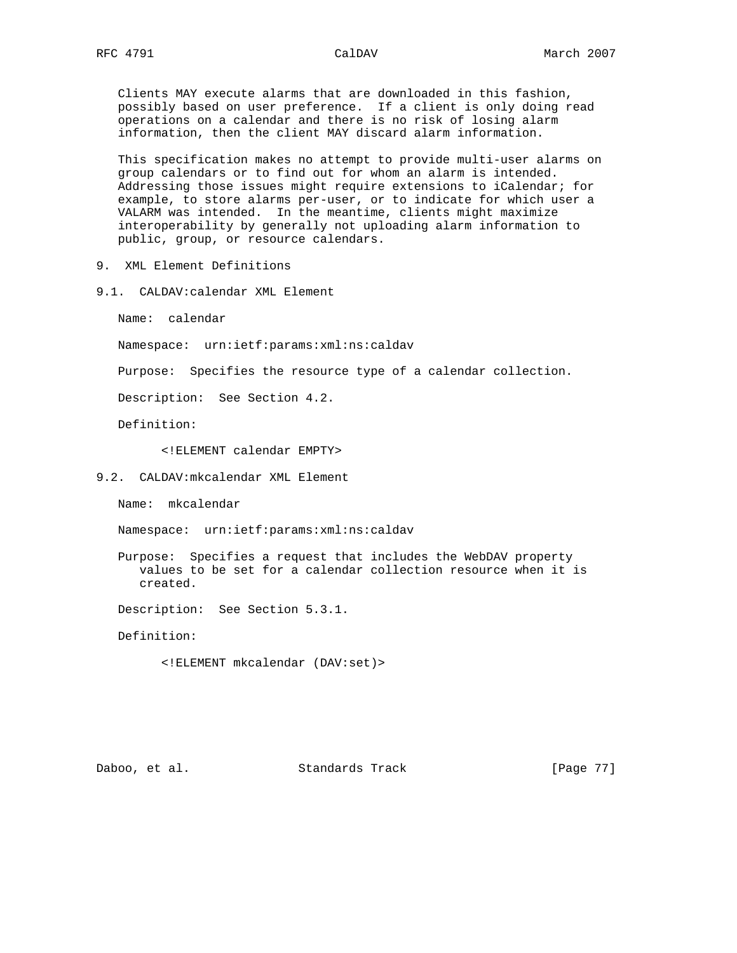Clients MAY execute alarms that are downloaded in this fashion, possibly based on user preference. If a client is only doing read operations on a calendar and there is no risk of losing alarm information, then the client MAY discard alarm information.

 This specification makes no attempt to provide multi-user alarms on group calendars or to find out for whom an alarm is intended. Addressing those issues might require extensions to iCalendar; for example, to store alarms per-user, or to indicate for which user a VALARM was intended. In the meantime, clients might maximize interoperability by generally not uploading alarm information to public, group, or resource calendars.

- 9. XML Element Definitions
- 9.1. CALDAV:calendar XML Element

Name: calendar

Namespace: urn:ietf:params:xml:ns:caldav

Purpose: Specifies the resource type of a calendar collection.

Description: See Section 4.2.

Definition:

<!ELEMENT calendar EMPTY>

9.2. CALDAV:mkcalendar XML Element

Name: mkcalendar

Namespace: urn:ietf:params:xml:ns:caldav

 Purpose: Specifies a request that includes the WebDAV property values to be set for a calendar collection resource when it is created.

Description: See Section 5.3.1.

Definition:

<!ELEMENT mkcalendar (DAV:set)>

Daboo, et al. Standards Track [Page 77]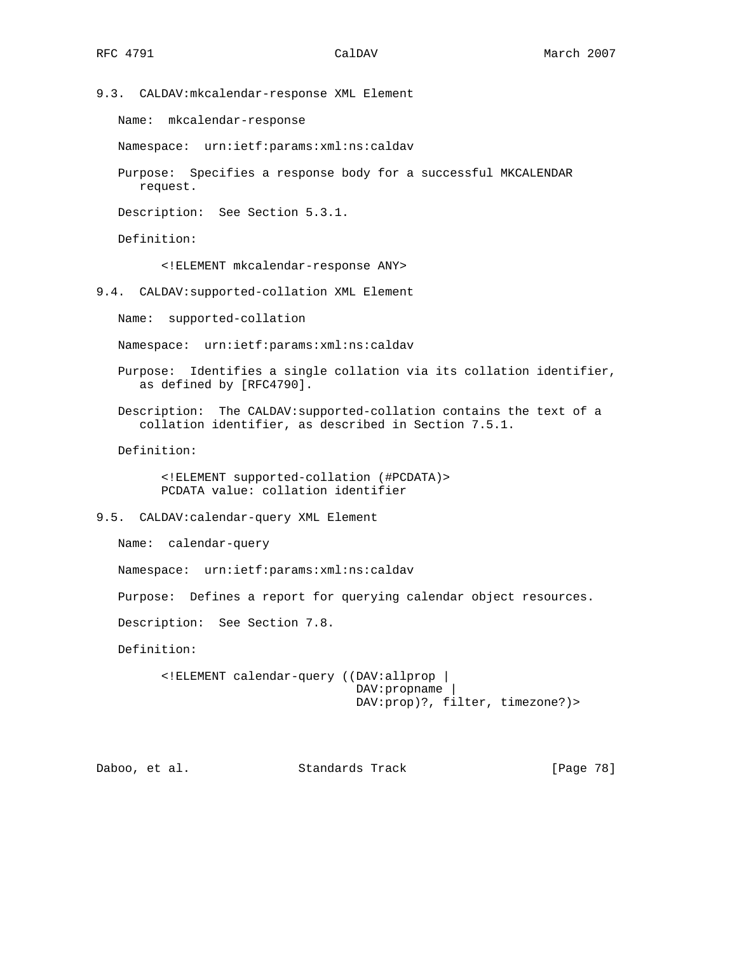9.3. CALDAV:mkcalendar-response XML Element

Name: mkcalendar-response

Namespace: urn:ietf:params:xml:ns:caldav

 Purpose: Specifies a response body for a successful MKCALENDAR request.

Description: See Section 5.3.1.

Definition:

<!ELEMENT mkcalendar-response ANY>

9.4. CALDAV:supported-collation XML Element

Name: supported-collation

Namespace: urn:ietf:params:xml:ns:caldav

 Purpose: Identifies a single collation via its collation identifier, as defined by [RFC4790].

 Description: The CALDAV:supported-collation contains the text of a collation identifier, as described in Section 7.5.1.

Definition:

 <!ELEMENT supported-collation (#PCDATA)> PCDATA value: collation identifier

9.5. CALDAV:calendar-query XML Element

Name: calendar-query

Namespace: urn:ietf:params:xml:ns:caldav

Purpose: Defines a report for querying calendar object resources.

Description: See Section 7.8.

Definition:

```
 <!ELEMENT calendar-query ((DAV:allprop |
                            DAV:propname |
                            DAV:prop)?, filter, timezone?)>
```
Daboo, et al. Standards Track [Page 78]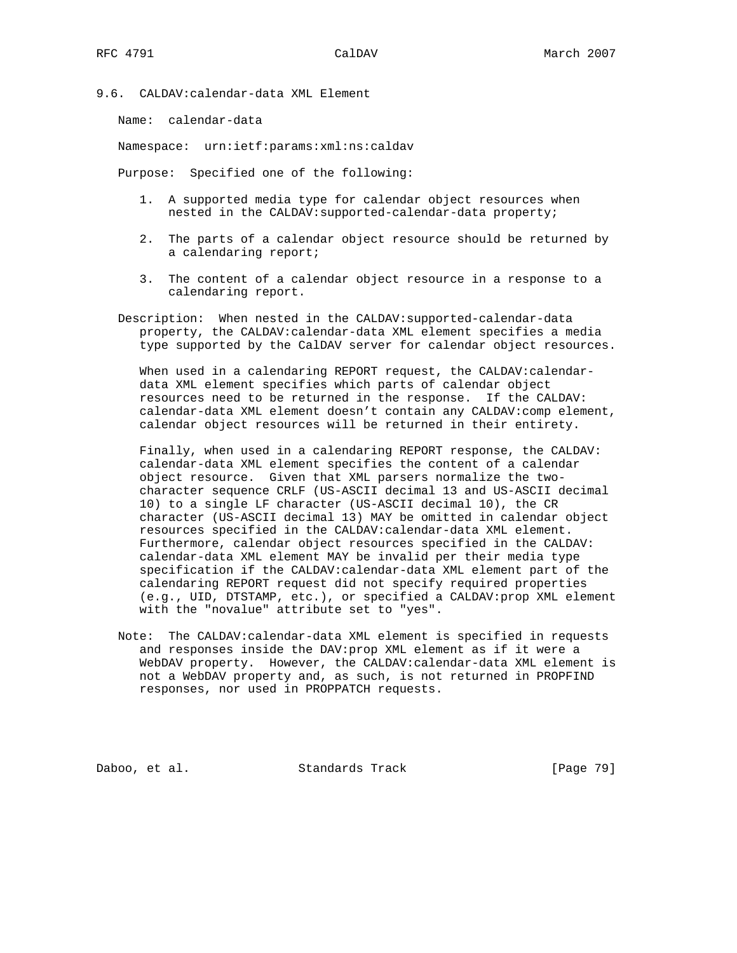9.6. CALDAV:calendar-data XML Element

Name: calendar-data

Namespace: urn:ietf:params:xml:ns:caldav

Purpose: Specified one of the following:

- 1. A supported media type for calendar object resources when nested in the CALDAV:supported-calendar-data property;
- 2. The parts of a calendar object resource should be returned by a calendaring report;
- 3. The content of a calendar object resource in a response to a calendaring report.
- Description: When nested in the CALDAV:supported-calendar-data property, the CALDAV:calendar-data XML element specifies a media type supported by the CalDAV server for calendar object resources.

When used in a calendaring REPORT request, the CALDAV: calendar data XML element specifies which parts of calendar object resources need to be returned in the response. If the CALDAV: calendar-data XML element doesn't contain any CALDAV:comp element, calendar object resources will be returned in their entirety.

 Finally, when used in a calendaring REPORT response, the CALDAV: calendar-data XML element specifies the content of a calendar object resource. Given that XML parsers normalize the two character sequence CRLF (US-ASCII decimal 13 and US-ASCII decimal 10) to a single LF character (US-ASCII decimal 10), the CR character (US-ASCII decimal 13) MAY be omitted in calendar object resources specified in the CALDAV:calendar-data XML element. Furthermore, calendar object resources specified in the CALDAV: calendar-data XML element MAY be invalid per their media type specification if the CALDAV:calendar-data XML element part of the calendaring REPORT request did not specify required properties (e.g., UID, DTSTAMP, etc.), or specified a CALDAV:prop XML element with the "novalue" attribute set to "yes".

 Note: The CALDAV:calendar-data XML element is specified in requests and responses inside the DAV:prop XML element as if it were a WebDAV property. However, the CALDAV:calendar-data XML element is not a WebDAV property and, as such, is not returned in PROPFIND responses, nor used in PROPPATCH requests.

Daboo, et al. Standards Track [Page 79]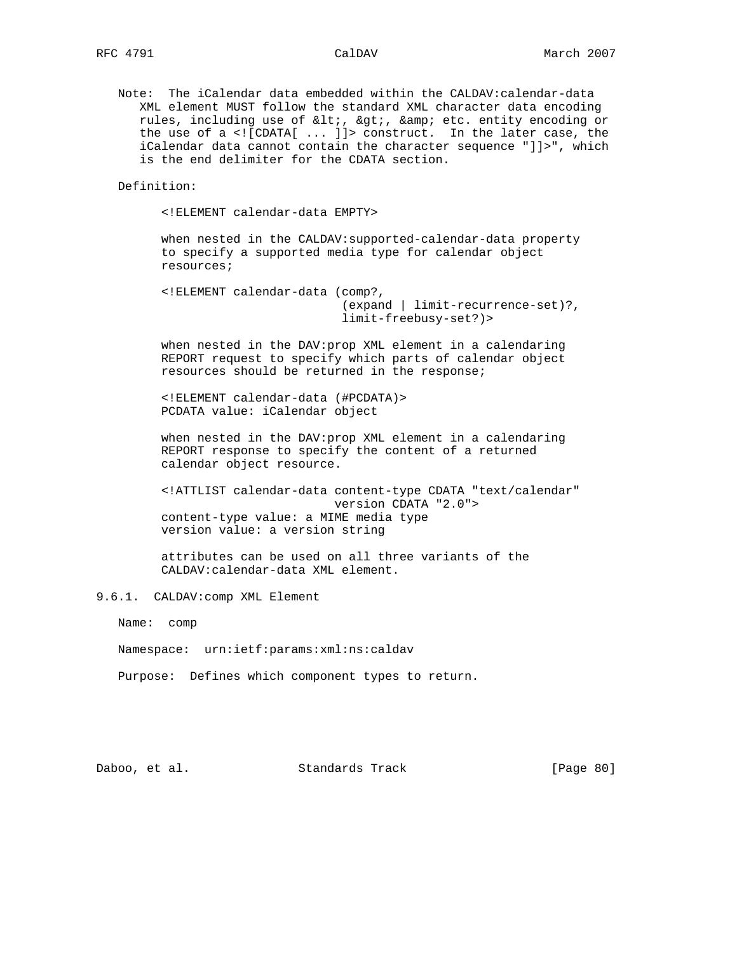Note: The iCalendar data embedded within the CALDAV:calendar-data XML element MUST follow the standard XML character data encoding rules, including use of <, &gt;, &amp; etc. entity encoding or the use of a <![CDATA[ ... ]]> construct. In the later case, the iCalendar data cannot contain the character sequence "]]>", which is the end delimiter for the CDATA section.

Definition:

<!ELEMENT calendar-data EMPTY>

 when nested in the CALDAV:supported-calendar-data property to specify a supported media type for calendar object resources;

 <!ELEMENT calendar-data (comp?, (expand | limit-recurrence-set)?, limit-freebusy-set?)>

 when nested in the DAV:prop XML element in a calendaring REPORT request to specify which parts of calendar object resources should be returned in the response;

 <!ELEMENT calendar-data (#PCDATA)> PCDATA value: iCalendar object

 when nested in the DAV:prop XML element in a calendaring REPORT response to specify the content of a returned calendar object resource.

 <!ATTLIST calendar-data content-type CDATA "text/calendar" version CDATA "2.0"> content-type value: a MIME media type version value: a version string

 attributes can be used on all three variants of the CALDAV:calendar-data XML element.

9.6.1. CALDAV:comp XML Element

Name: comp

Namespace: urn:ietf:params:xml:ns:caldav

Purpose: Defines which component types to return.

Daboo, et al. Standards Track [Page 80]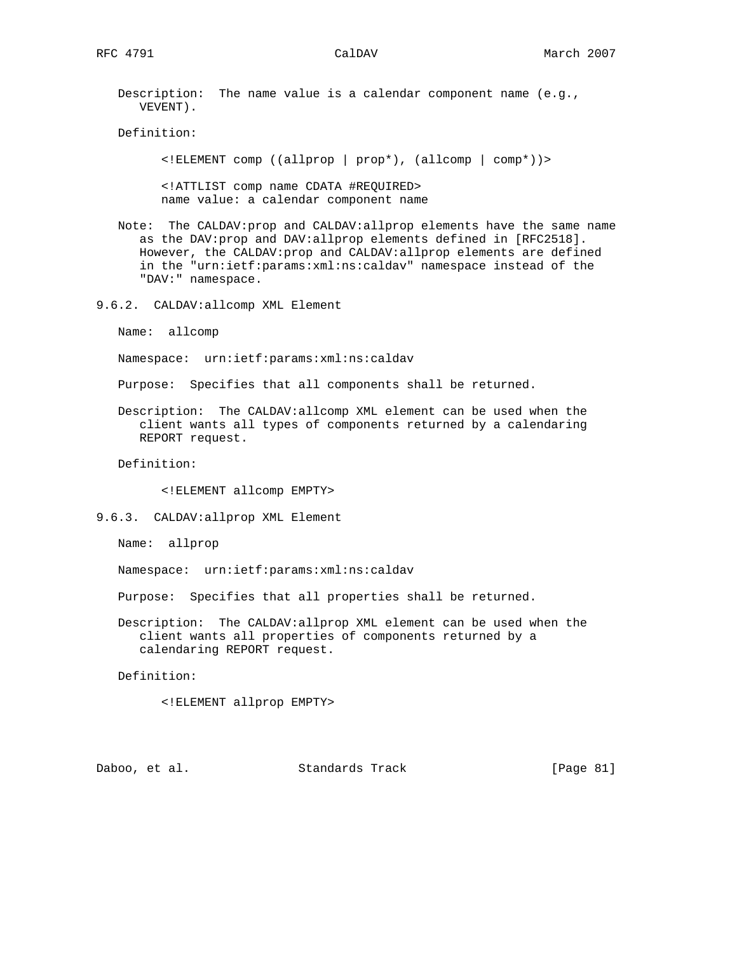Description: The name value is a calendar component name (e.g., VEVENT).

Definition:

<!ELEMENT comp ((allprop | prop\*), (allcomp | comp\*))>

 <!ATTLIST comp name CDATA #REQUIRED> name value: a calendar component name

 Note: The CALDAV:prop and CALDAV:allprop elements have the same name as the DAV:prop and DAV:allprop elements defined in [RFC2518]. However, the CALDAV:prop and CALDAV:allprop elements are defined in the "urn:ietf:params:xml:ns:caldav" namespace instead of the "DAV:" namespace.

9.6.2. CALDAV:allcomp XML Element

Name: allcomp

Namespace: urn:ietf:params:xml:ns:caldav

Purpose: Specifies that all components shall be returned.

 Description: The CALDAV:allcomp XML element can be used when the client wants all types of components returned by a calendaring REPORT request.

Definition:

<!ELEMENT allcomp EMPTY>

9.6.3. CALDAV:allprop XML Element

Name: allprop

Namespace: urn:ietf:params:xml:ns:caldav

Purpose: Specifies that all properties shall be returned.

 Description: The CALDAV:allprop XML element can be used when the client wants all properties of components returned by a calendaring REPORT request.

Definition:

<!ELEMENT allprop EMPTY>

Daboo, et al. Standards Track [Page 81]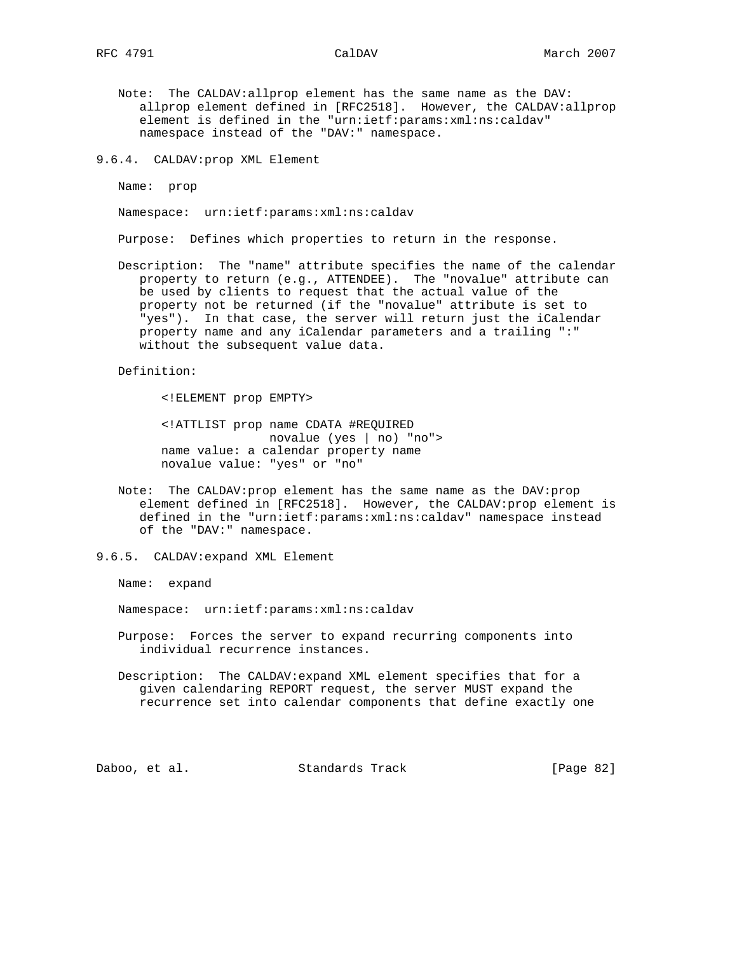- Note: The CALDAV:allprop element has the same name as the DAV: allprop element defined in [RFC2518]. However, the CALDAV:allprop element is defined in the "urn:ietf:params:xml:ns:caldav" namespace instead of the "DAV:" namespace.
- 9.6.4. CALDAV:prop XML Element

Name: prop

Namespace: urn:ietf:params:xml:ns:caldav

Purpose: Defines which properties to return in the response.

 Description: The "name" attribute specifies the name of the calendar property to return (e.g., ATTENDEE). The "novalue" attribute can be used by clients to request that the actual value of the property not be returned (if the "novalue" attribute is set to "yes"). In that case, the server will return just the iCalendar property name and any iCalendar parameters and a trailing ":" without the subsequent value data.

Definition:

<!ELEMENT prop EMPTY>

 <!ATTLIST prop name CDATA #REQUIRED novalue (yes | no) "no"> name value: a calendar property name novalue value: "yes" or "no"

- Note: The CALDAV:prop element has the same name as the DAV:prop element defined in [RFC2518]. However, the CALDAV:prop element is defined in the "urn:ietf:params:xml:ns:caldav" namespace instead of the "DAV:" namespace.
- 9.6.5. CALDAV:expand XML Element

Name: expand

Namespace: urn:ietf:params:xml:ns:caldav

- Purpose: Forces the server to expand recurring components into individual recurrence instances.
- Description: The CALDAV:expand XML element specifies that for a given calendaring REPORT request, the server MUST expand the recurrence set into calendar components that define exactly one

Daboo, et al. Standards Track [Page 82]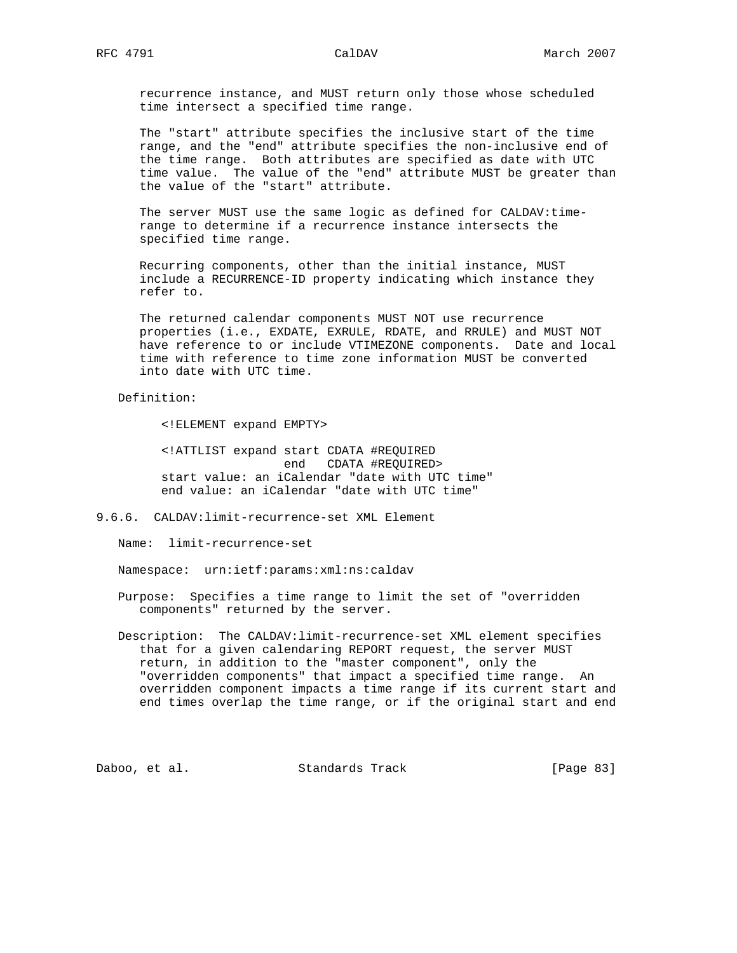recurrence instance, and MUST return only those whose scheduled time intersect a specified time range.

 The "start" attribute specifies the inclusive start of the time range, and the "end" attribute specifies the non-inclusive end of the time range. Both attributes are specified as date with UTC time value. The value of the "end" attribute MUST be greater than the value of the "start" attribute.

The server MUST use the same logic as defined for CALDAV:time range to determine if a recurrence instance intersects the specified time range.

 Recurring components, other than the initial instance, MUST include a RECURRENCE-ID property indicating which instance they refer to.

 The returned calendar components MUST NOT use recurrence properties (i.e., EXDATE, EXRULE, RDATE, and RRULE) and MUST NOT have reference to or include VTIMEZONE components. Date and local time with reference to time zone information MUST be converted into date with UTC time.

Definition:

<!ELEMENT expand EMPTY>

 <!ATTLIST expand start CDATA #REQUIRED end CDATA #REQUIRED> start value: an iCalendar "date with UTC time" end value: an iCalendar "date with UTC time"

9.6.6. CALDAV:limit-recurrence-set XML Element

Name: limit-recurrence-set

Namespace: urn:ietf:params:xml:ns:caldav

 Purpose: Specifies a time range to limit the set of "overridden components" returned by the server.

 Description: The CALDAV:limit-recurrence-set XML element specifies that for a given calendaring REPORT request, the server MUST return, in addition to the "master component", only the "overridden components" that impact a specified time range. An overridden component impacts a time range if its current start and end times overlap the time range, or if the original start and end

Daboo, et al. Standards Track [Page 83]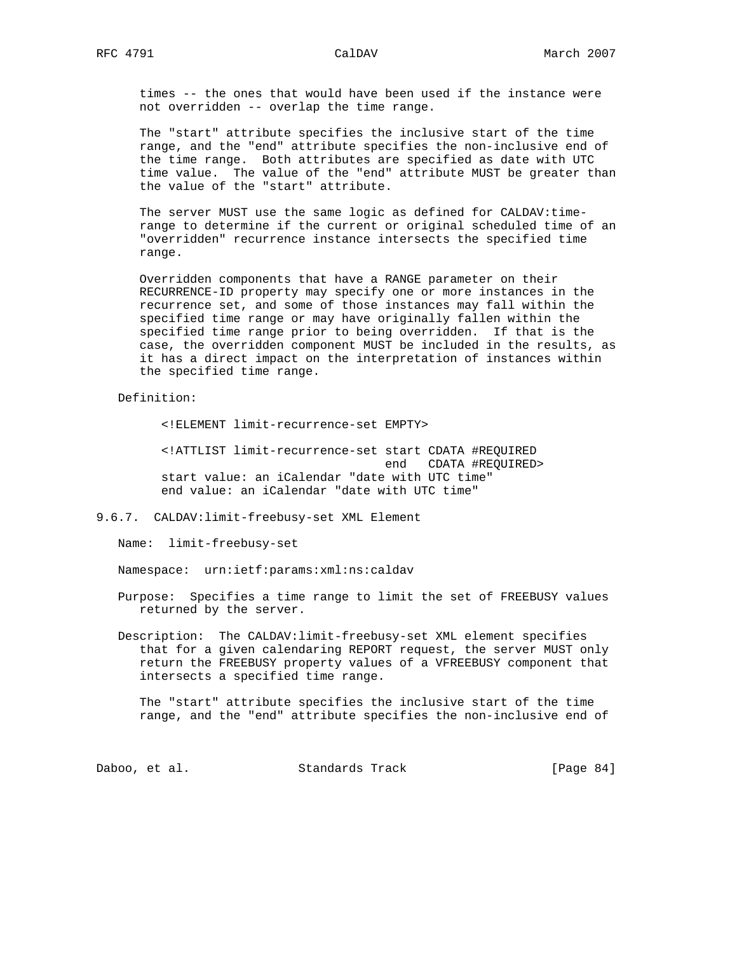times -- the ones that would have been used if the instance were not overridden -- overlap the time range.

 The "start" attribute specifies the inclusive start of the time range, and the "end" attribute specifies the non-inclusive end of the time range. Both attributes are specified as date with UTC time value. The value of the "end" attribute MUST be greater than the value of the "start" attribute.

 The server MUST use the same logic as defined for CALDAV:time range to determine if the current or original scheduled time of an "overridden" recurrence instance intersects the specified time range.

 Overridden components that have a RANGE parameter on their RECURRENCE-ID property may specify one or more instances in the recurrence set, and some of those instances may fall within the specified time range or may have originally fallen within the specified time range prior to being overridden. If that is the case, the overridden component MUST be included in the results, as it has a direct impact on the interpretation of instances within the specified time range.

Definition:

<!ELEMENT limit-recurrence-set EMPTY>

 <!ATTLIST limit-recurrence-set start CDATA #REQUIRED end CDATA #REQUIRED> start value: an iCalendar "date with UTC time" end value: an iCalendar "date with UTC time"

9.6.7. CALDAV:limit-freebusy-set XML Element

Name: limit-freebusy-set

Namespace: urn:ietf:params:xml:ns:caldav

 Purpose: Specifies a time range to limit the set of FREEBUSY values returned by the server.

 Description: The CALDAV:limit-freebusy-set XML element specifies that for a given calendaring REPORT request, the server MUST only return the FREEBUSY property values of a VFREEBUSY component that intersects a specified time range.

 The "start" attribute specifies the inclusive start of the time range, and the "end" attribute specifies the non-inclusive end of

Daboo, et al. Standards Track [Page 84]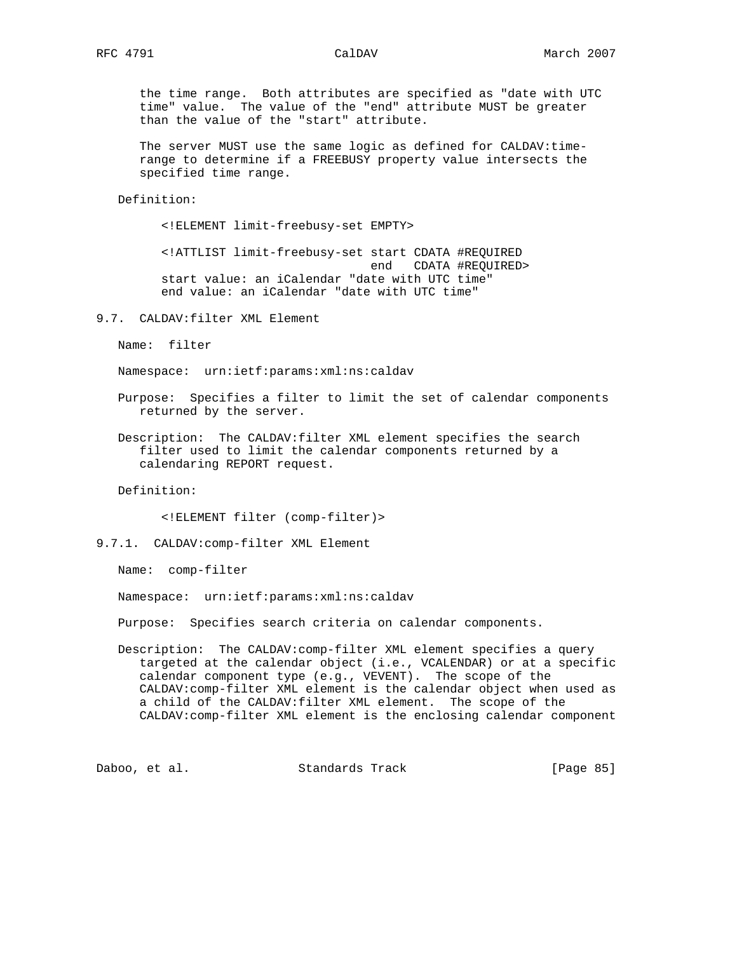the time range. Both attributes are specified as "date with UTC time" value. The value of the "end" attribute MUST be greater than the value of the "start" attribute.

The server MUST use the same logic as defined for CALDAV:time range to determine if a FREEBUSY property value intersects the specified time range.

Definition:

<!ELEMENT limit-freebusy-set EMPTY>

 <!ATTLIST limit-freebusy-set start CDATA #REQUIRED end CDATA #REQUIRED> start value: an iCalendar "date with UTC time" end value: an iCalendar "date with UTC time"

9.7. CALDAV:filter XML Element

Name: filter

Namespace: urn:ietf:params:xml:ns:caldav

 Purpose: Specifies a filter to limit the set of calendar components returned by the server.

 Description: The CALDAV:filter XML element specifies the search filter used to limit the calendar components returned by a calendaring REPORT request.

Definition:

<!ELEMENT filter (comp-filter)>

Name: comp-filter

Namespace: urn:ietf:params:xml:ns:caldav

Purpose: Specifies search criteria on calendar components.

 Description: The CALDAV:comp-filter XML element specifies a query targeted at the calendar object (i.e., VCALENDAR) or at a specific calendar component type (e.g., VEVENT). The scope of the CALDAV:comp-filter XML element is the calendar object when used as a child of the CALDAV:filter XML element. The scope of the CALDAV:comp-filter XML element is the enclosing calendar component

Daboo, et al. Standards Track [Page 85]

<sup>9.7.1.</sup> CALDAV:comp-filter XML Element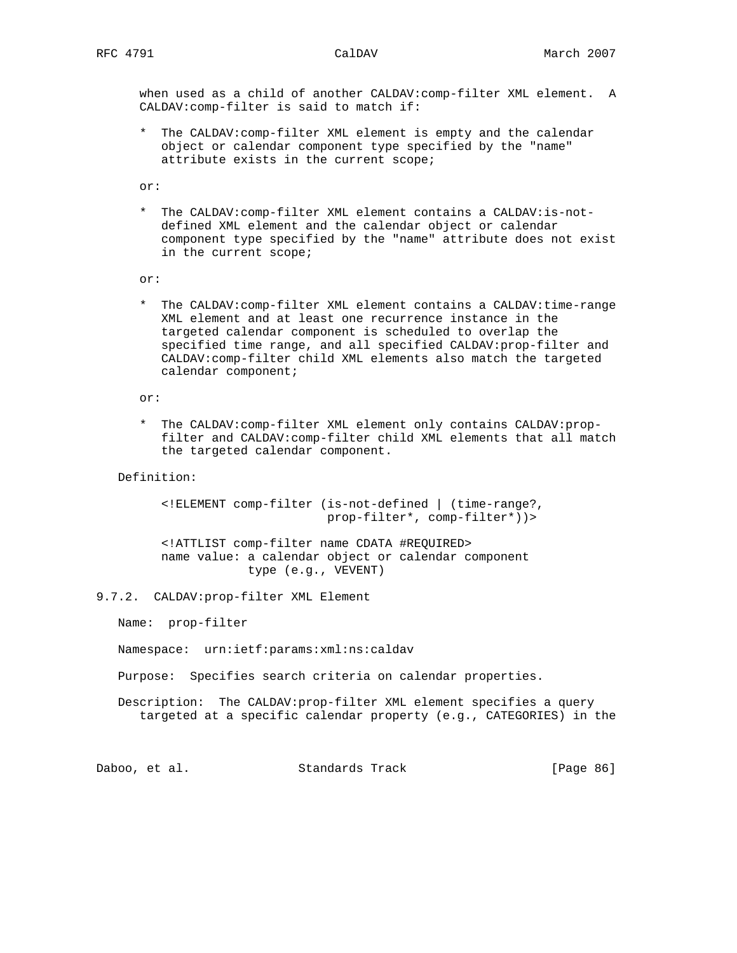when used as a child of another CALDAV:comp-filter XML element. A CALDAV:comp-filter is said to match if:

 \* The CALDAV:comp-filter XML element is empty and the calendar object or calendar component type specified by the "name" attribute exists in the current scope;

or:

 \* The CALDAV:comp-filter XML element contains a CALDAV:is-not defined XML element and the calendar object or calendar component type specified by the "name" attribute does not exist in the current scope;

or:

 \* The CALDAV:comp-filter XML element contains a CALDAV:time-range XML element and at least one recurrence instance in the targeted calendar component is scheduled to overlap the specified time range, and all specified CALDAV:prop-filter and CALDAV:comp-filter child XML elements also match the targeted calendar component;

or:

 \* The CALDAV:comp-filter XML element only contains CALDAV:prop filter and CALDAV:comp-filter child XML elements that all match the targeted calendar component.

Definition:

 <!ELEMENT comp-filter (is-not-defined | (time-range?, prop-filter\*, comp-filter\*))>

 <!ATTLIST comp-filter name CDATA #REQUIRED> name value: a calendar object or calendar component type (e.g., VEVENT)

9.7.2. CALDAV:prop-filter XML Element

Name: prop-filter

Namespace: urn:ietf:params:xml:ns:caldav

Purpose: Specifies search criteria on calendar properties.

 Description: The CALDAV:prop-filter XML element specifies a query targeted at a specific calendar property (e.g., CATEGORIES) in the

Daboo, et al. Standards Track [Page 86]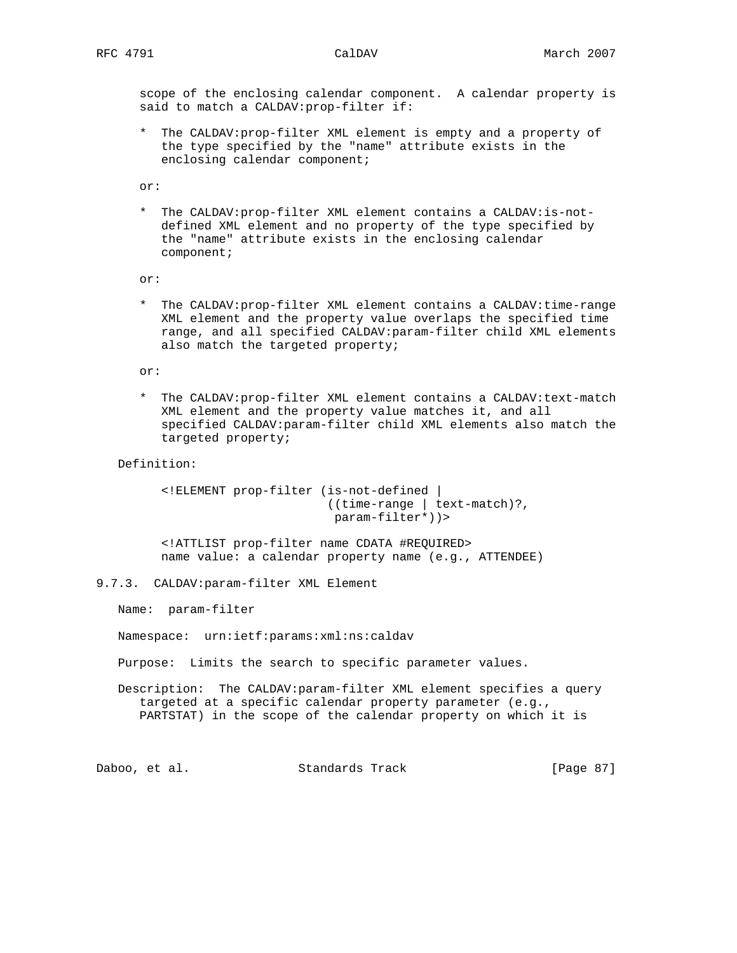scope of the enclosing calendar component. A calendar property is said to match a CALDAV:prop-filter if:

 \* The CALDAV:prop-filter XML element is empty and a property of the type specified by the "name" attribute exists in the enclosing calendar component;

or:

 \* The CALDAV:prop-filter XML element contains a CALDAV:is-not defined XML element and no property of the type specified by the "name" attribute exists in the enclosing calendar component;

or:

 \* The CALDAV:prop-filter XML element contains a CALDAV:time-range XML element and the property value overlaps the specified time range, and all specified CALDAV:param-filter child XML elements also match the targeted property;

or:

 \* The CALDAV:prop-filter XML element contains a CALDAV:text-match XML element and the property value matches it, and all specified CALDAV:param-filter child XML elements also match the targeted property;

Definition:

 <!ELEMENT prop-filter (is-not-defined | ((time-range | text-match)?, param-filter\*))>

 <!ATTLIST prop-filter name CDATA #REQUIRED> name value: a calendar property name (e.g., ATTENDEE)

9.7.3. CALDAV:param-filter XML Element

Name: param-filter

Namespace: urn:ietf:params:xml:ns:caldav

Purpose: Limits the search to specific parameter values.

 Description: The CALDAV:param-filter XML element specifies a query targeted at a specific calendar property parameter (e.g., PARTSTAT) in the scope of the calendar property on which it is

Daboo, et al. Standards Track [Page 87]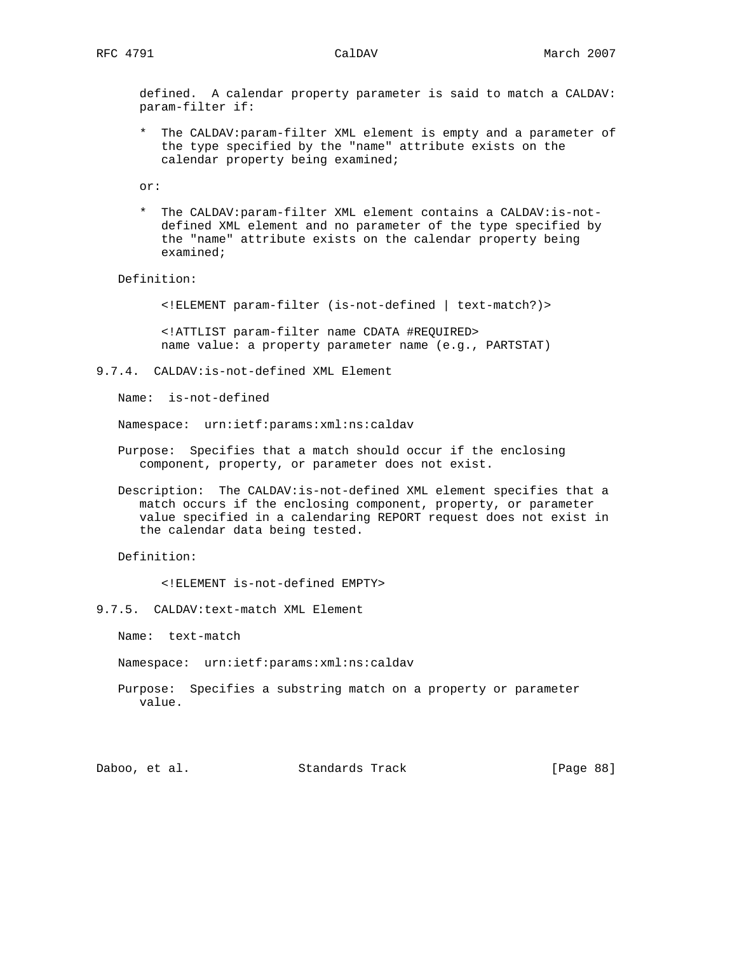defined. A calendar property parameter is said to match a CALDAV: param-filter if:

 \* The CALDAV:param-filter XML element is empty and a parameter of the type specified by the "name" attribute exists on the calendar property being examined;

or:

 \* The CALDAV:param-filter XML element contains a CALDAV:is-not defined XML element and no parameter of the type specified by the "name" attribute exists on the calendar property being examined;

Definition:

<!ELEMENT param-filter (is-not-defined | text-match?)>

 <!ATTLIST param-filter name CDATA #REQUIRED> name value: a property parameter name (e.g., PARTSTAT)

9.7.4. CALDAV:is-not-defined XML Element

Name: is-not-defined

Namespace: urn:ietf:params:xml:ns:caldav

- Purpose: Specifies that a match should occur if the enclosing component, property, or parameter does not exist.
- Description: The CALDAV:is-not-defined XML element specifies that a match occurs if the enclosing component, property, or parameter value specified in a calendaring REPORT request does not exist in the calendar data being tested.

Definition:

<!ELEMENT is-not-defined EMPTY>

9.7.5. CALDAV:text-match XML Element

Name: text-match

Namespace: urn:ietf:params:xml:ns:caldav

 Purpose: Specifies a substring match on a property or parameter value.

Daboo, et al. Standards Track [Page 88]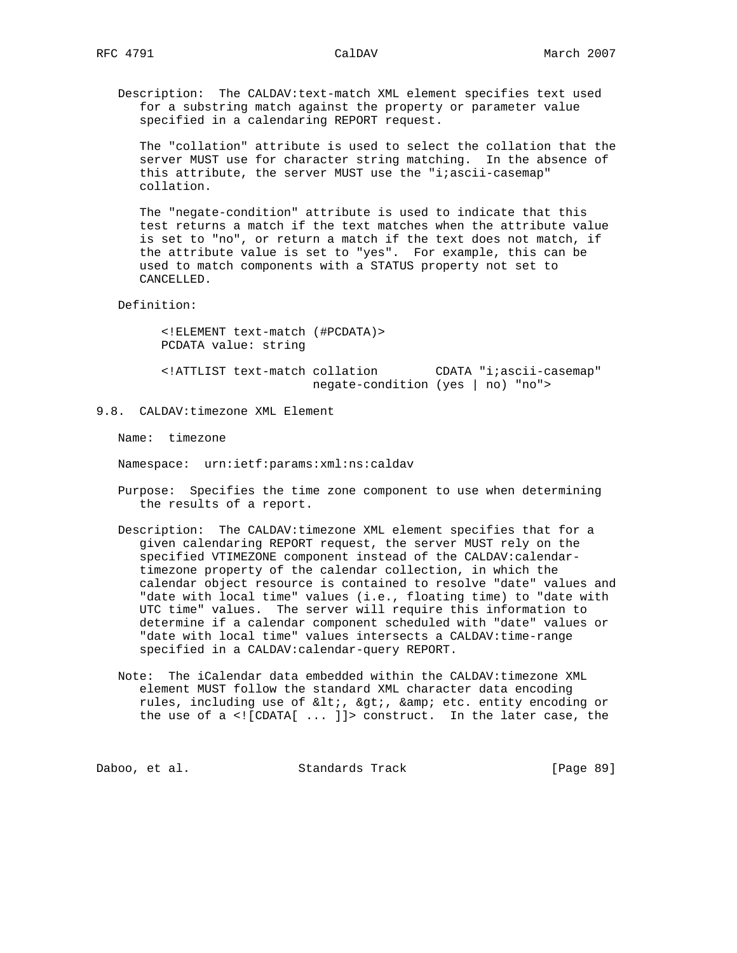Description: The CALDAV:text-match XML element specifies text used for a substring match against the property or parameter value specified in a calendaring REPORT request.

 The "collation" attribute is used to select the collation that the server MUST use for character string matching. In the absence of this attribute, the server MUST use the "i;ascii-casemap" collation.

 The "negate-condition" attribute is used to indicate that this test returns a match if the text matches when the attribute value is set to "no", or return a match if the text does not match, if the attribute value is set to "yes". For example, this can be used to match components with a STATUS property not set to CANCELLED.

Definition:

 <!ELEMENT text-match (#PCDATA)> PCDATA value: string

 <!ATTLIST text-match collation CDATA "i;ascii-casemap" negate-condition (yes | no) "no">

9.8. CALDAV:timezone XML Element

Name: timezone

Namespace: urn:ietf:params:xml:ns:caldav

- Purpose: Specifies the time zone component to use when determining the results of a report.
- Description: The CALDAV:timezone XML element specifies that for a given calendaring REPORT request, the server MUST rely on the specified VTIMEZONE component instead of the CALDAV:calendar timezone property of the calendar collection, in which the calendar object resource is contained to resolve "date" values and "date with local time" values (i.e., floating time) to "date with UTC time" values. The server will require this information to determine if a calendar component scheduled with "date" values or "date with local time" values intersects a CALDAV:time-range specified in a CALDAV:calendar-query REPORT.
- Note: The iCalendar data embedded within the CALDAV:timezone XML element MUST follow the standard XML character data encoding rules, including use of <, &gt;, &amp; etc. entity encoding or the use of a <![CDATA[ ... ]]> construct. In the later case, the

Daboo, et al. Standards Track [Page 89]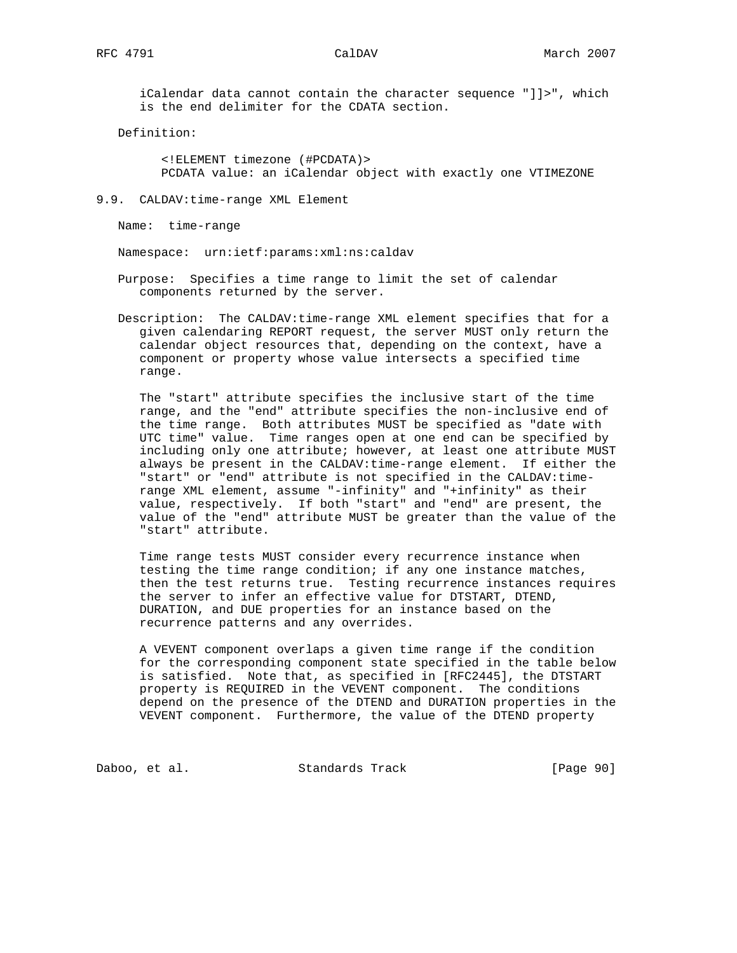iCalendar data cannot contain the character sequence "]]>", which is the end delimiter for the CDATA section.

Definition:

 <!ELEMENT timezone (#PCDATA)> PCDATA value: an iCalendar object with exactly one VTIMEZONE

9.9. CALDAV:time-range XML Element

Name: time-range

Namespace: urn:ietf:params:xml:ns:caldav

 Purpose: Specifies a time range to limit the set of calendar components returned by the server.

 Description: The CALDAV:time-range XML element specifies that for a given calendaring REPORT request, the server MUST only return the calendar object resources that, depending on the context, have a component or property whose value intersects a specified time range.

 The "start" attribute specifies the inclusive start of the time range, and the "end" attribute specifies the non-inclusive end of the time range. Both attributes MUST be specified as "date with UTC time" value. Time ranges open at one end can be specified by including only one attribute; however, at least one attribute MUST always be present in the CALDAV:time-range element. If either the "start" or "end" attribute is not specified in the CALDAV:time range XML element, assume "-infinity" and "+infinity" as their value, respectively. If both "start" and "end" are present, the value of the "end" attribute MUST be greater than the value of the "start" attribute.

 Time range tests MUST consider every recurrence instance when testing the time range condition; if any one instance matches, then the test returns true. Testing recurrence instances requires the server to infer an effective value for DTSTART, DTEND, DURATION, and DUE properties for an instance based on the recurrence patterns and any overrides.

 A VEVENT component overlaps a given time range if the condition for the corresponding component state specified in the table below is satisfied. Note that, as specified in [RFC2445], the DTSTART property is REQUIRED in the VEVENT component. The conditions depend on the presence of the DTEND and DURATION properties in the VEVENT component. Furthermore, the value of the DTEND property

Daboo, et al. Standards Track [Page 90]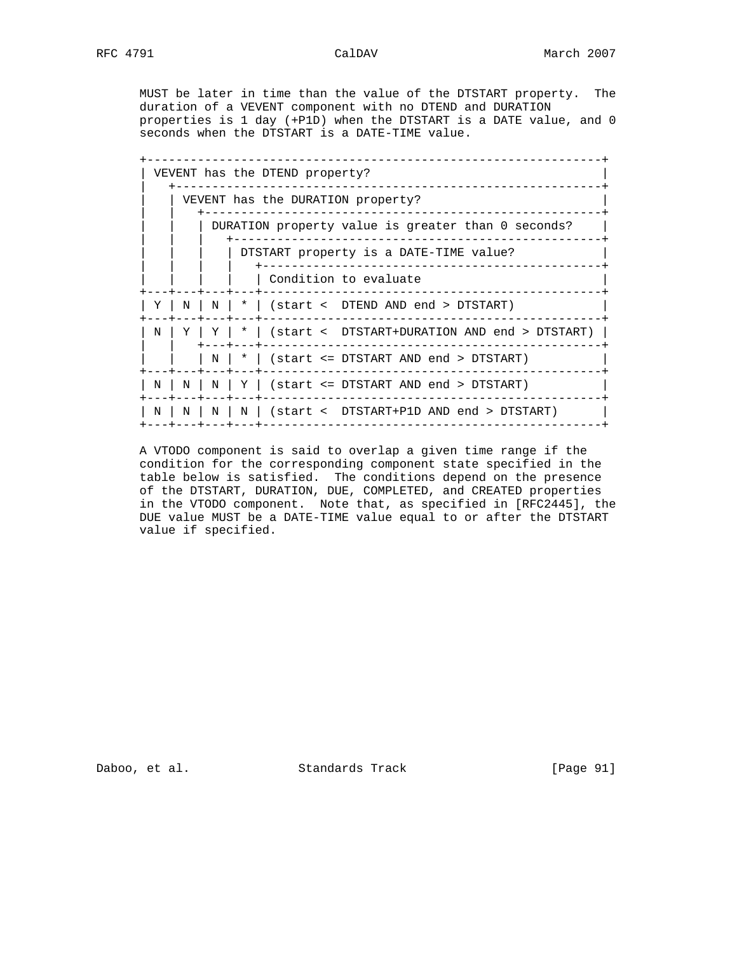MUST be later in time than the value of the DTSTART property. The duration of a VEVENT component with no DTEND and DURATION properties is 1 day (+P1D) when the DTSTART is a DATE value, and 0 seconds when the DTSTART is a DATE-TIME value.

|  | VEVENT has the DTEND property?<br>. _ _ _ _ _ _ _ _ _ _ _ _ _                                                                   |          |  |  |                                                                                                                  |  |  |  |  |
|--|---------------------------------------------------------------------------------------------------------------------------------|----------|--|--|------------------------------------------------------------------------------------------------------------------|--|--|--|--|
|  | VEVENT has the DURATION property?                                                                                               |          |  |  |                                                                                                                  |  |  |  |  |
|  | DURATION property value is greater than 0 seconds?<br>DTSTART property is a DATE-TIME value?<br>------------------------------- |          |  |  |                                                                                                                  |  |  |  |  |
|  |                                                                                                                                 |          |  |  |                                                                                                                  |  |  |  |  |
|  |                                                                                                                                 |          |  |  | Condition to evaluate                                                                                            |  |  |  |  |
|  |                                                                                                                                 |          |  |  | $Y \mid N \mid N \mid * \mid$ (start < DTEND AND end > DTSTART)<br>_________________                             |  |  |  |  |
|  | N                                                                                                                               |          |  |  | $\mid Y \mid Y \mid * \mid$ (start < DTSTART+DURATION AND end > DTSTART)<br>-------------------<br>--+---+------ |  |  |  |  |
|  |                                                                                                                                 |          |  |  | $N$   $*$   (start <= DTSTART AND end > DTSTART)                                                                 |  |  |  |  |
|  |                                                                                                                                 |          |  |  | $N$   $N$   $N$   $Y$   (start <= DTSTART AND end > DTSTART)<br>--+---+---+---+-----                             |  |  |  |  |
|  | N                                                                                                                               | $N \mid$ |  |  | N   N   (start <  DTSTART+P1D AND end > DTSTART)<br>---+---+---+-------                                          |  |  |  |  |

 A VTODO component is said to overlap a given time range if the condition for the corresponding component state specified in the table below is satisfied. The conditions depend on the presence of the DTSTART, DURATION, DUE, COMPLETED, and CREATED properties in the VTODO component. Note that, as specified in [RFC2445], the DUE value MUST be a DATE-TIME value equal to or after the DTSTART value if specified.

Daboo, et al. Standards Track [Page 91]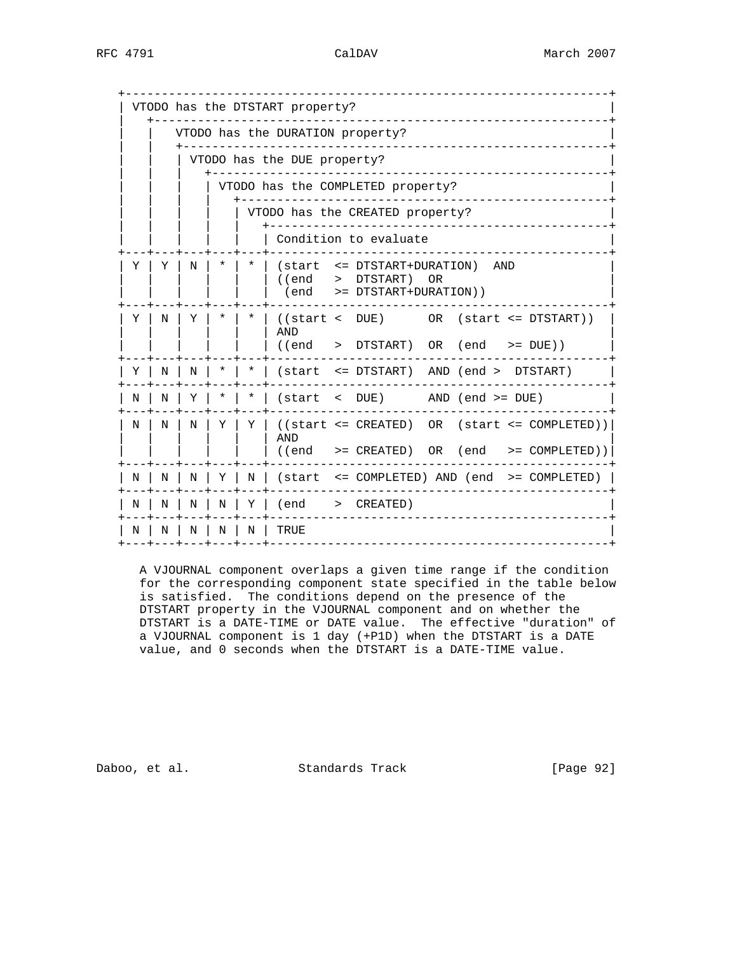|   |                                  |                                   |        |        | VTODO has the DTSTART property? |  |                                                                           |  |  |                                                                                          |
|---|----------------------------------|-----------------------------------|--------|--------|---------------------------------|--|---------------------------------------------------------------------------|--|--|------------------------------------------------------------------------------------------|
|   | VTODO has the DURATION property? |                                   |        |        |                                 |  |                                                                           |  |  |                                                                                          |
|   | VTODO has the DUE property?      |                                   |        |        |                                 |  |                                                                           |  |  |                                                                                          |
|   |                                  | VTODO has the COMPLETED property? |        |        |                                 |  |                                                                           |  |  |                                                                                          |
|   |                                  |                                   |        |        |                                 |  | VTODO has the CREATED property?                                           |  |  |                                                                                          |
|   |                                  |                                   |        |        |                                 |  | Condition to evaluate                                                     |  |  |                                                                                          |
| Y | Y                                | N                                 | $\ast$ | $\ast$ | l (end<br>end)                  |  | (start <= DTSTART+DURATION) AND<br>> DTSTART) OR<br>>= DTSTART+DURATION)) |  |  |                                                                                          |
| Y | N                                | Y                                 | *      | *      | AND<br>((end                    |  | ((start < DUE)<br>> DTSTART) OR (end >= DUE))                             |  |  | OR (start <= DTSTART))                                                                   |
| Y | Ν                                | N                                 | *      | $\ast$ |                                 |  | (start <= DTSTART) AND (end > DTSTART)                                    |  |  |                                                                                          |
| N | Ν                                | Υ                                 |        | *      |                                 |  | $(\text{start} < \text{DUE})$ AND $(\text{end} > = \text{DUE})$           |  |  |                                                                                          |
| N | N                                | N                                 | Y      | Y      | <b>AND</b><br>((end)            |  |                                                                           |  |  | $((start \leq CREATED) OR (start \leq COMPLETED))$<br>>= CREATED) OR (end >= COMPLETED)) |
| Ν | Ν                                | Ν                                 | Υ      | N      |                                 |  |                                                                           |  |  | (start <= COMPLETED) AND (end >= COMPLETED)                                              |
| Ν | Ν                                | N                                 | N      | Y      | end)                            |  | > CREATED)                                                                |  |  |                                                                                          |
| N | Ν                                | Ν                                 | Ν      | N      | TRUE                            |  |                                                                           |  |  |                                                                                          |
|   |                                  |                                   |        |        |                                 |  |                                                                           |  |  |                                                                                          |

 A VJOURNAL component overlaps a given time range if the condition for the corresponding component state specified in the table below is satisfied. The conditions depend on the presence of the DTSTART property in the VJOURNAL component and on whether the DTSTART is a DATE-TIME or DATE value. The effective "duration" of a VJOURNAL component is 1 day (+P1D) when the DTSTART is a DATE value, and 0 seconds when the DTSTART is a DATE-TIME value.

Daboo, et al. Standards Track [Page 92]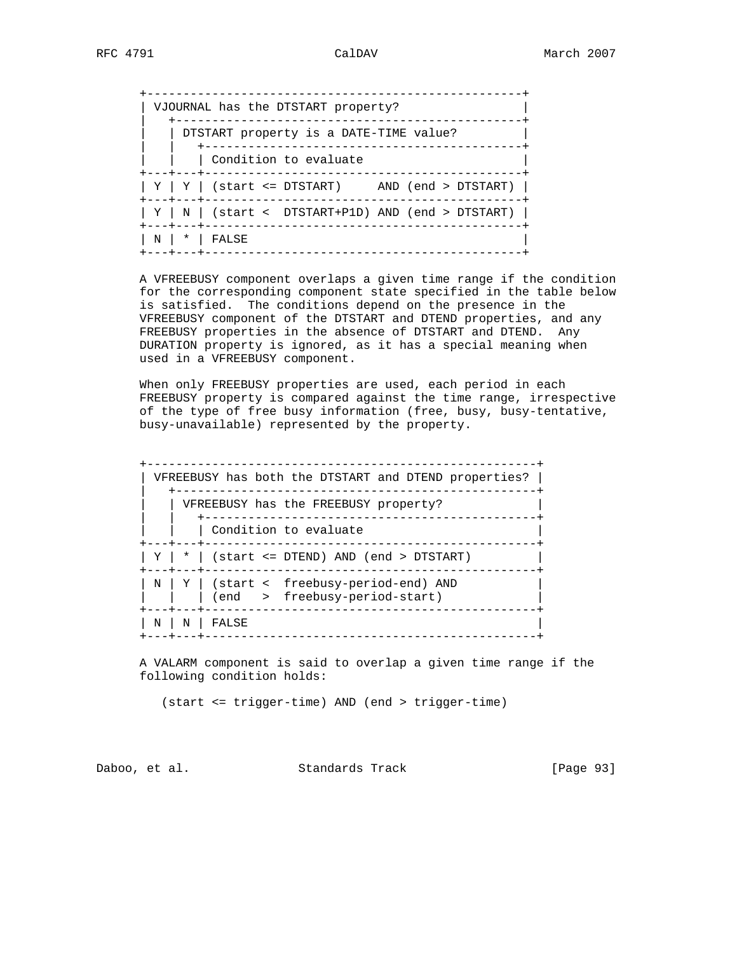|  | _____________<br>VJOURNAL has the DTSTART property?<br>------------------                |
|--|------------------------------------------------------------------------------------------|
|  | DTSTART property is a DATE-TIME value?                                                   |
|  | Condition to evaluate<br>__________________<br>$- - - - - - - -$                         |
|  | $\mid Y \mid Y \mid$ (start <= DTSTART) AND (end > DTSTART) $\mid$                       |
|  | $\mid$ Y $\mid$ N $\mid$ (start < DTSTART+P1D) AND (end > DTSTART) $\mid$<br>--+---+---- |
|  | N   *   FALSE                                                                            |

 A VFREEBUSY component overlaps a given time range if the condition for the corresponding component state specified in the table below is satisfied. The conditions depend on the presence in the VFREEBUSY component of the DTSTART and DTEND properties, and any FREEBUSY properties in the absence of DTSTART and DTEND. Any DURATION property is ignored, as it has a special meaning when used in a VFREEBUSY component.

 When only FREEBUSY properties are used, each period in each FREEBUSY property is compared against the time range, irrespective of the type of free busy information (free, busy, busy-tentative, busy-unavailable) represented by the property.

| VFREEBUSY has both the DTSTART and DTEND properties?  <br>_________________ |
|-----------------------------------------------------------------------------|
| VFREEBUSY has the FREEBUSY property?<br>---------------                     |
| Condition to evaluate<br>------------                                       |
| $Y$   $*$   (start <= DTEND) AND (end > DTSTART)                            |
| N   Y   (start < freebusy-period-end) AND<br>(end > freebusy-period-start)  |
| N   N<br>FALSE                                                              |

 A VALARM component is said to overlap a given time range if the following condition holds:

(start <= trigger-time) AND (end > trigger-time)

Daboo, et al. Standards Track [Page 93]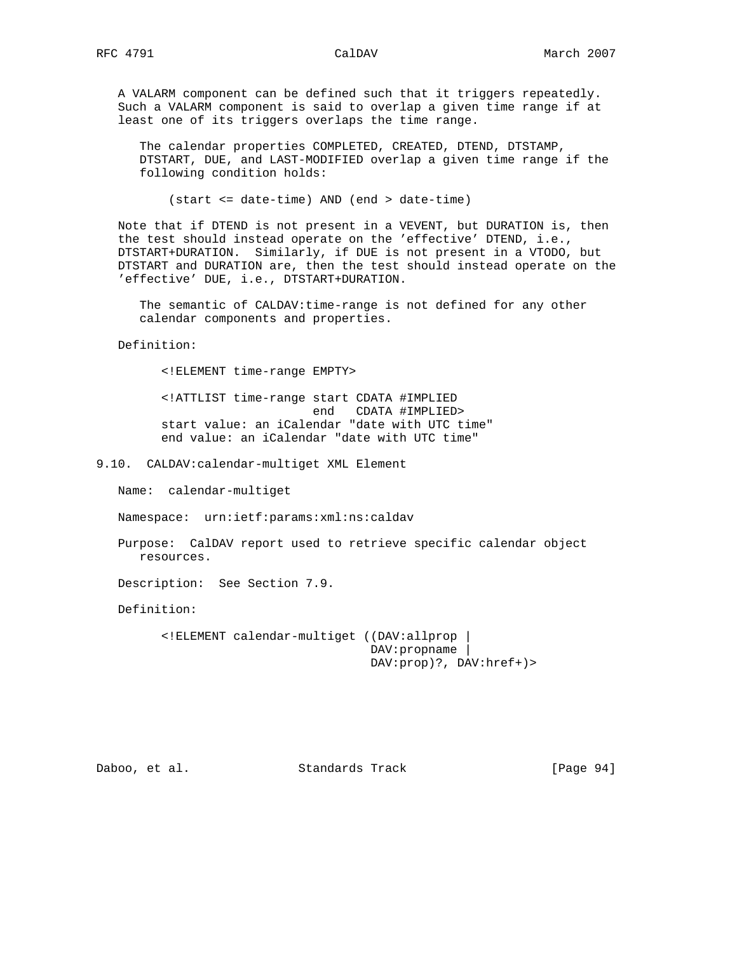A VALARM component can be defined such that it triggers repeatedly. Such a VALARM component is said to overlap a given time range if at least one of its triggers overlaps the time range.

 The calendar properties COMPLETED, CREATED, DTEND, DTSTAMP, DTSTART, DUE, and LAST-MODIFIED overlap a given time range if the following condition holds:

(start <= date-time) AND (end > date-time)

 Note that if DTEND is not present in a VEVENT, but DURATION is, then the test should instead operate on the 'effective' DTEND, i.e., DTSTART+DURATION. Similarly, if DUE is not present in a VTODO, but DTSTART and DURATION are, then the test should instead operate on the 'effective' DUE, i.e., DTSTART+DURATION.

 The semantic of CALDAV:time-range is not defined for any other calendar components and properties.

Definition:

<!ELEMENT time-range EMPTY>

 <!ATTLIST time-range start CDATA #IMPLIED end CDATA #IMPLIED> start value: an iCalendar "date with UTC time" end value: an iCalendar "date with UTC time"

9.10. CALDAV:calendar-multiget XML Element

Name: calendar-multiget

Namespace: urn:ietf:params:xml:ns:caldav

 Purpose: CalDAV report used to retrieve specific calendar object resources.

Description: See Section 7.9.

Definition:

 <!ELEMENT calendar-multiget ((DAV:allprop | DAV:propname | DAV:prop)?, DAV:href+)>

Daboo, et al. Standards Track [Page 94]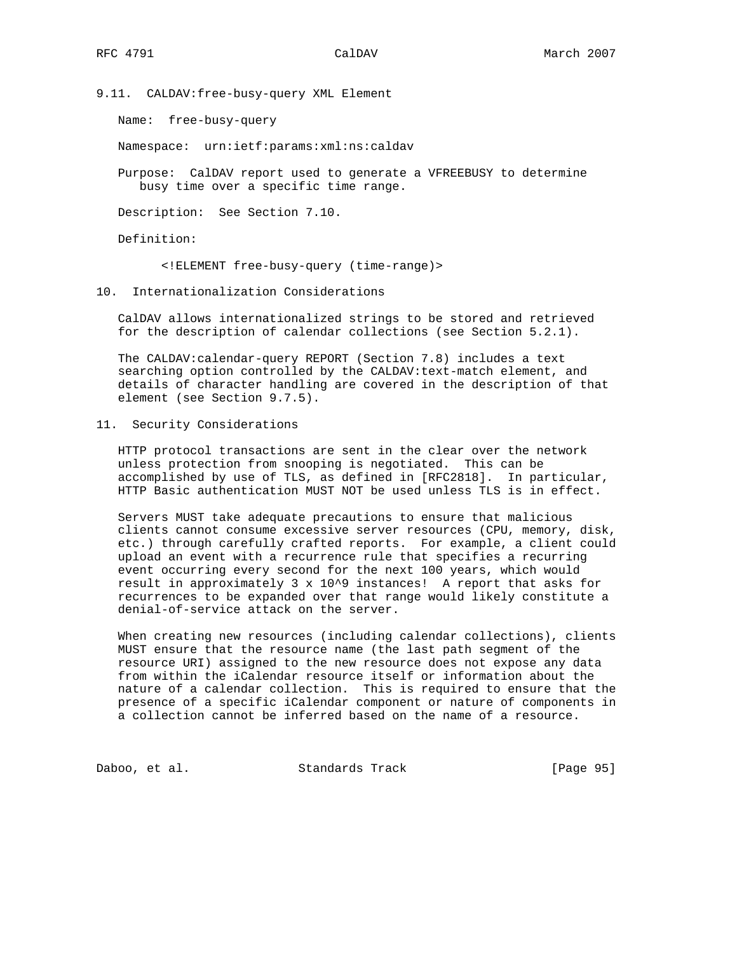9.11. CALDAV:free-busy-query XML Element

Name: free-busy-query

Namespace: urn:ietf:params:xml:ns:caldav

 Purpose: CalDAV report used to generate a VFREEBUSY to determine busy time over a specific time range.

Description: See Section 7.10.

Definition:

<!ELEMENT free-busy-query (time-range)>

10. Internationalization Considerations

 CalDAV allows internationalized strings to be stored and retrieved for the description of calendar collections (see Section 5.2.1).

 The CALDAV:calendar-query REPORT (Section 7.8) includes a text searching option controlled by the CALDAV:text-match element, and details of character handling are covered in the description of that element (see Section 9.7.5).

11. Security Considerations

 HTTP protocol transactions are sent in the clear over the network unless protection from snooping is negotiated. This can be accomplished by use of TLS, as defined in [RFC2818]. In particular, HTTP Basic authentication MUST NOT be used unless TLS is in effect.

 Servers MUST take adequate precautions to ensure that malicious clients cannot consume excessive server resources (CPU, memory, disk, etc.) through carefully crafted reports. For example, a client could upload an event with a recurrence rule that specifies a recurring event occurring every second for the next 100 years, which would result in approximately 3 x 10^9 instances! A report that asks for recurrences to be expanded over that range would likely constitute a denial-of-service attack on the server.

 When creating new resources (including calendar collections), clients MUST ensure that the resource name (the last path segment of the resource URI) assigned to the new resource does not expose any data from within the iCalendar resource itself or information about the nature of a calendar collection. This is required to ensure that the presence of a specific iCalendar component or nature of components in a collection cannot be inferred based on the name of a resource.

Daboo, et al. Standards Track [Page 95]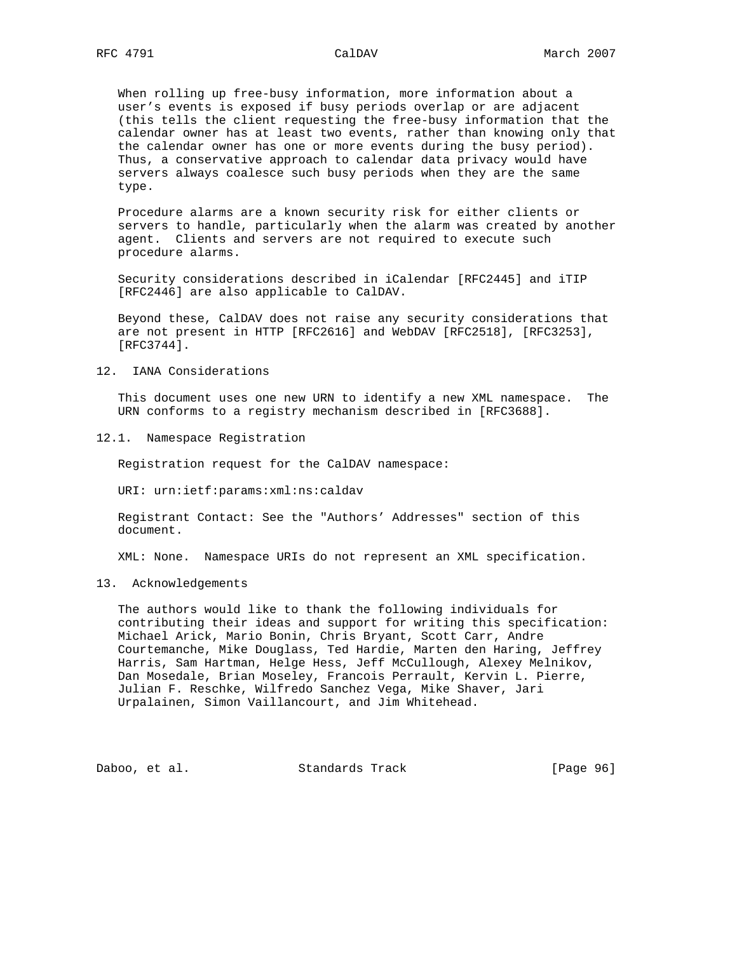When rolling up free-busy information, more information about a user's events is exposed if busy periods overlap or are adjacent (this tells the client requesting the free-busy information that the calendar owner has at least two events, rather than knowing only that the calendar owner has one or more events during the busy period). Thus, a conservative approach to calendar data privacy would have servers always coalesce such busy periods when they are the same type.

 Procedure alarms are a known security risk for either clients or servers to handle, particularly when the alarm was created by another agent. Clients and servers are not required to execute such procedure alarms.

 Security considerations described in iCalendar [RFC2445] and iTIP [RFC2446] are also applicable to CalDAV.

 Beyond these, CalDAV does not raise any security considerations that are not present in HTTP [RFC2616] and WebDAV [RFC2518], [RFC3253], [RFC3744].

12. IANA Considerations

 This document uses one new URN to identify a new XML namespace. The URN conforms to a registry mechanism described in [RFC3688].

12.1. Namespace Registration

Registration request for the CalDAV namespace:

URI: urn:ietf:params:xml:ns:caldav

 Registrant Contact: See the "Authors' Addresses" section of this document.

XML: None. Namespace URIs do not represent an XML specification.

## 13. Acknowledgements

 The authors would like to thank the following individuals for contributing their ideas and support for writing this specification: Michael Arick, Mario Bonin, Chris Bryant, Scott Carr, Andre Courtemanche, Mike Douglass, Ted Hardie, Marten den Haring, Jeffrey Harris, Sam Hartman, Helge Hess, Jeff McCullough, Alexey Melnikov, Dan Mosedale, Brian Moseley, Francois Perrault, Kervin L. Pierre, Julian F. Reschke, Wilfredo Sanchez Vega, Mike Shaver, Jari Urpalainen, Simon Vaillancourt, and Jim Whitehead.

Daboo, et al. Standards Track [Page 96]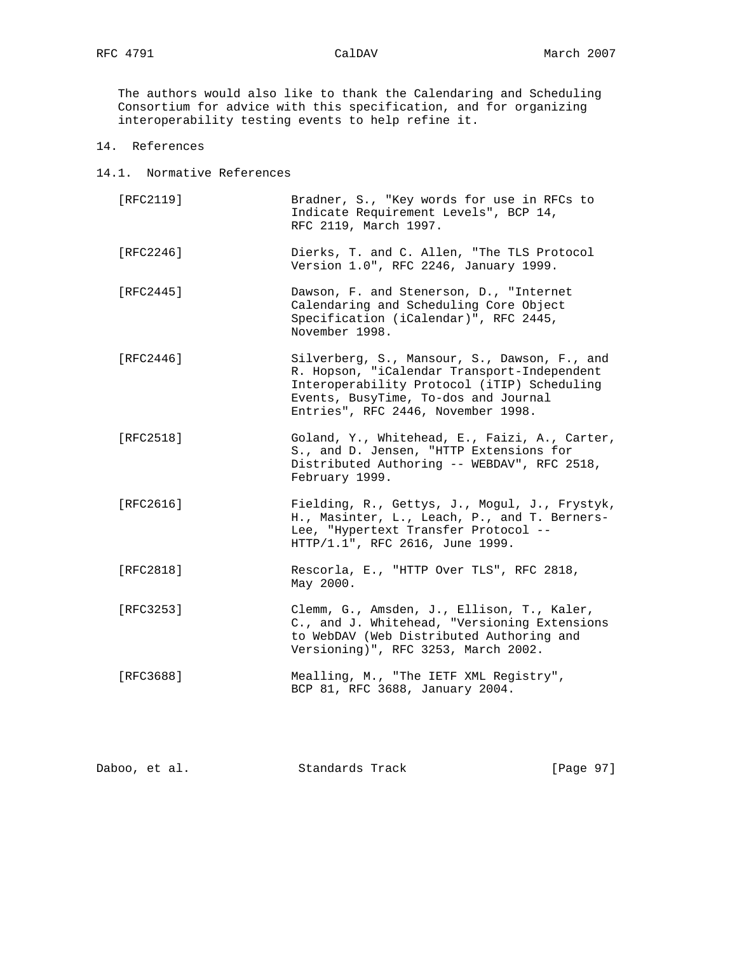The authors would also like to thank the Calendaring and Scheduling Consortium for advice with this specification, and for organizing interoperability testing events to help refine it.

- 14. References
- 14.1. Normative References
	- [RFC2119] Bradner, S., "Key words for use in RFCs to Indicate Requirement Levels", BCP 14, RFC 2119, March 1997.
	- [RFC2246] Dierks, T. and C. Allen, "The TLS Protocol Version 1.0", RFC 2246, January 1999.
	- [RFC2445] Dawson, F. and Stenerson, D., "Internet Calendaring and Scheduling Core Object Specification (iCalendar)", RFC 2445, November 1998.
	- [RFC2446] Silverberg, S., Mansour, S., Dawson, F., and R. Hopson, "iCalendar Transport-Independent Interoperability Protocol (iTIP) Scheduling Events, BusyTime, To-dos and Journal Entries", RFC 2446, November 1998.
	- [RFC2518] Goland, Y., Whitehead, E., Faizi, A., Carter, S., and D. Jensen, "HTTP Extensions for Distributed Authoring -- WEBDAV", RFC 2518, February 1999.
	- [RFC2616] Fielding, R., Gettys, J., Mogul, J., Frystyk, H., Masinter, L., Leach, P., and T. Berners- Lee, "Hypertext Transfer Protocol -- HTTP/1.1", RFC 2616, June 1999.
	- [RFC2818] Rescorla, E., "HTTP Over TLS", RFC 2818, May 2000.
	- [RFC3253] Clemm, G., Amsden, J., Ellison, T., Kaler, C., and J. Whitehead, "Versioning Extensions to WebDAV (Web Distributed Authoring and Versioning)", RFC 3253, March 2002.
	- [RFC3688] Mealling, M., "The IETF XML Registry", BCP 81, RFC 3688, January 2004.

| [Page 97]<br>Standards Track<br>Daboo, et al. |  |  |
|-----------------------------------------------|--|--|
|-----------------------------------------------|--|--|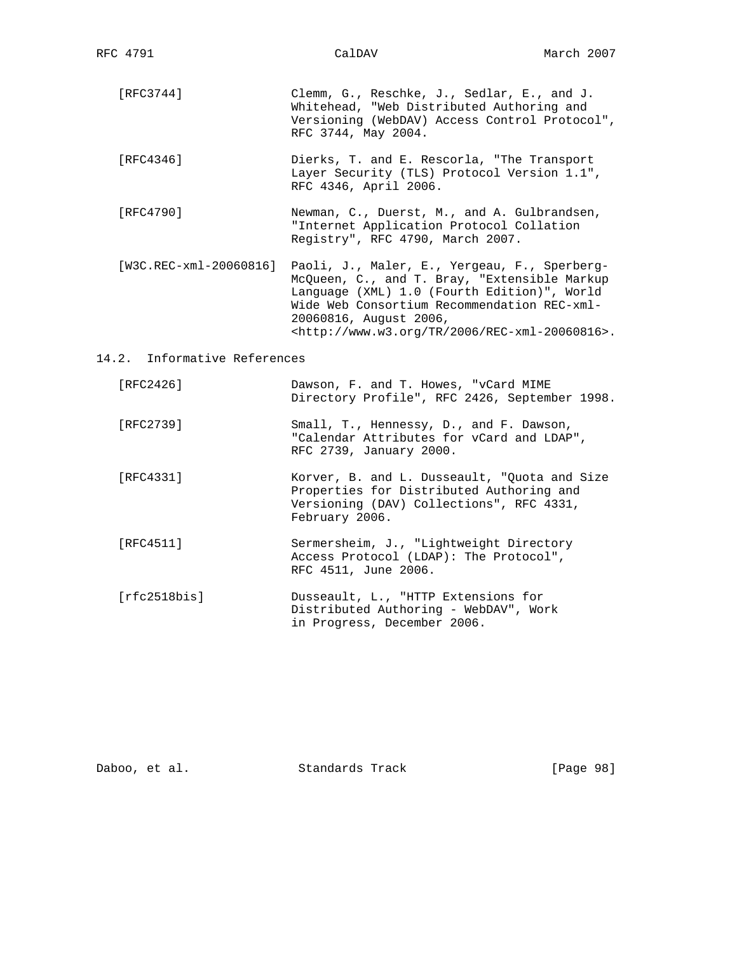- [RFC3744] Clemm, G., Reschke, J., Sedlar, E., and J. Whitehead, "Web Distributed Authoring and Versioning (WebDAV) Access Control Protocol", RFC 3744, May 2004.
- [RFC4346] Dierks, T. and E. Rescorla, "The Transport Layer Security (TLS) Protocol Version 1.1", RFC 4346, April 2006.
- [RFC4790] Newman, C., Duerst, M., and A. Gulbrandsen, "Internet Application Protocol Collation Registry", RFC 4790, March 2007.
- [W3C.REC-xml-20060816] Paoli, J., Maler, E., Yergeau, F., Sperberg- McQueen, C., and T. Bray, "Extensible Markup Language (XML) 1.0 (Fourth Edition)", World Wide Web Consortium Recommendation REC-xml- 20060816, August 2006, <http://www.w3.org/TR/2006/REC-xml-20060816>.

# 14.2. Informative References

- [RFC2426] Dawson, F. and T. Howes, "vCard MIME Directory Profile", RFC 2426, September 1998.
- [RFC2739] Small, T., Hennessy, D., and F. Dawson, "Calendar Attributes for vCard and LDAP", RFC 2739, January 2000.
- [RFC4331] Korver, B. and L. Dusseault, "Quota and Size Properties for Distributed Authoring and Versioning (DAV) Collections", RFC 4331, February 2006.
- [RFC4511] Sermersheim, J., "Lightweight Directory Access Protocol (LDAP): The Protocol", RFC 4511, June 2006.
- [rfc2518bis] Dusseault, L., "HTTP Extensions for Distributed Authoring - WebDAV", Work in Progress, December 2006.

| Daboo, et al. | Standards Track | [Page 98] |  |
|---------------|-----------------|-----------|--|
|               |                 |           |  |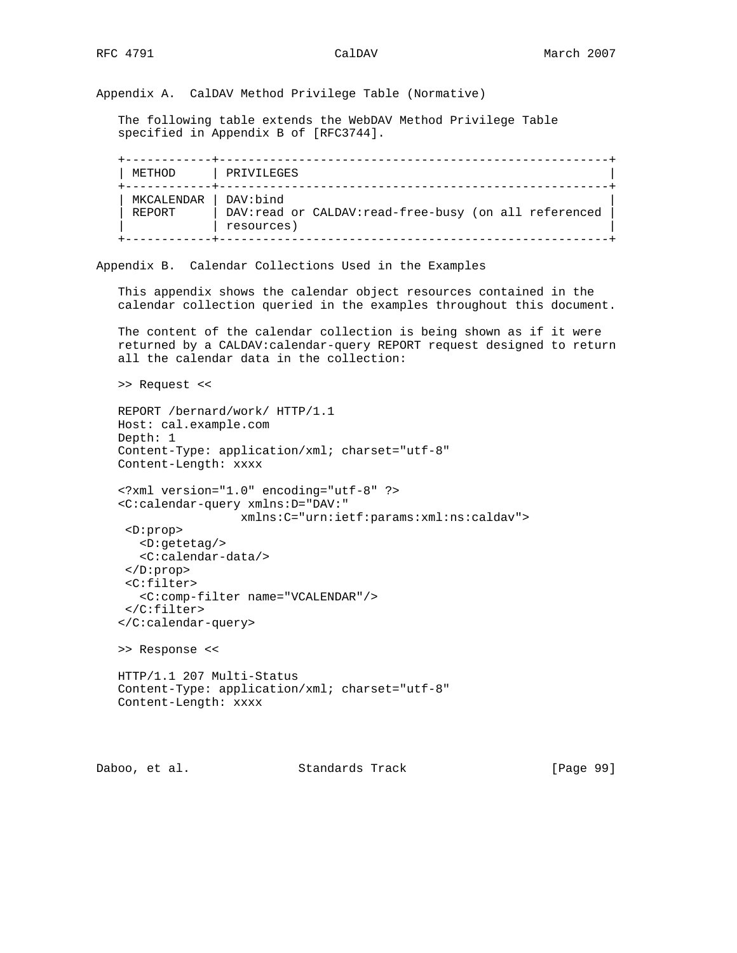Appendix A. CalDAV Method Privilege Table (Normative)

 The following table extends the WebDAV Method Privilege Table specified in Appendix B of [RFC3744].

| METHOD               | PRIVILEGES                                                                       |
|----------------------|----------------------------------------------------------------------------------|
| MKCALENDAR<br>REPORT | DAV:bind<br>DAV: read or CALDAV: read-free-busy (on all referenced<br>resources) |

Appendix B. Calendar Collections Used in the Examples

 This appendix shows the calendar object resources contained in the calendar collection queried in the examples throughout this document.

 The content of the calendar collection is being shown as if it were returned by a CALDAV:calendar-query REPORT request designed to return all the calendar data in the collection:

```
 >> Request <<
```

```
 REPORT /bernard/work/ HTTP/1.1
Host: cal.example.com
Depth: 1
Content-Type: application/xml; charset="utf-8"
Content-Length: xxxx
```

```
 <?xml version="1.0" encoding="utf-8" ?>
<C:calendar-query xmlns:D="DAV:"
                xmlns:C="urn:ietf:params:xml:ns:caldav">
```

```
 <D:prop>
 <D:getetag/>
  <C:calendar-data/>
</D:prop>
<C:filter>
  <C:comp-filter name="VCALENDAR"/>
</C:filter>
```

```
 </C:calendar-query>
```
>> Response <<

```
 HTTP/1.1 207 Multi-Status
Content-Type: application/xml; charset="utf-8"
Content-Length: xxxx
```
Daboo, et al. Standards Track [Page 99]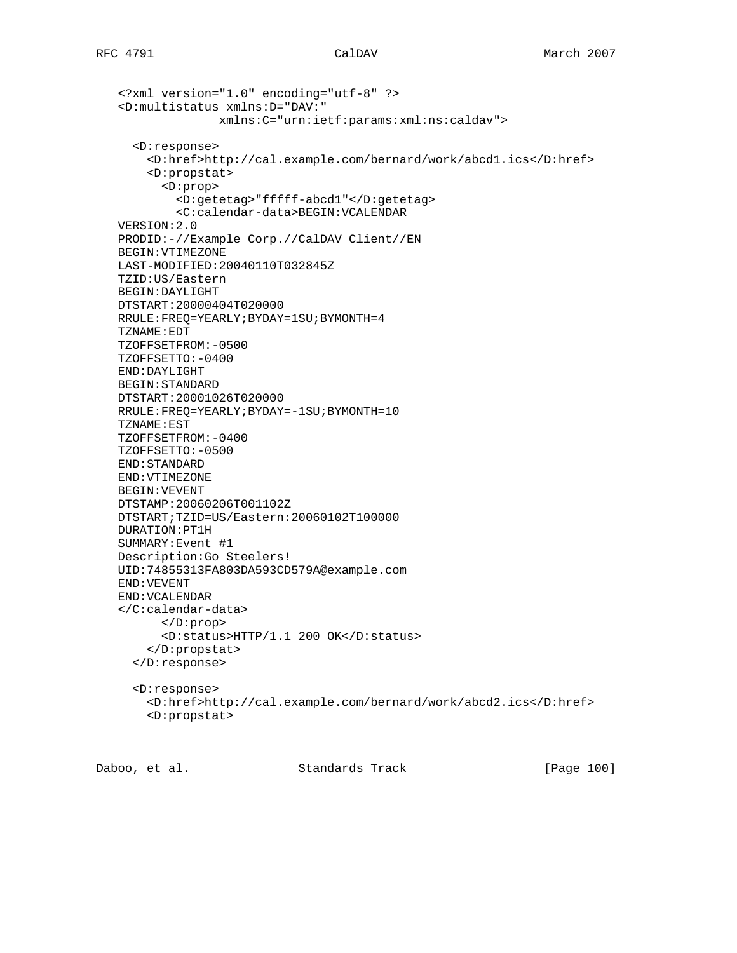```
 <?xml version="1.0" encoding="utf-8" ?>
<D:multistatus xmlns:D="DAV:"
              xmlns:C="urn:ietf:params:xml:ns:caldav">
  <D:response>
    <D:href>http://cal.example.com/bernard/work/abcd1.ics</D:href>
    <D:propstat>
      <D:prop>
        <D:getetag>"fffff-abcd1"</D:getetag>
        <C:calendar-data>BEGIN:VCALENDAR
VERSION:2.0
PRODID:-//Example Corp.//CalDAV Client//EN
BEGIN:VTIMEZONE
LAST-MODIFIED:20040110T032845Z
TZID:US/Eastern
BEGIN:DAYLIGHT
DTSTART:20000404T020000
RRULE:FREQ=YEARLY;BYDAY=1SU;BYMONTH=4
TZNAME:EDT
TZOFFSETFROM:-0500
TZOFFSETTO:-0400
END:DAYLIGHT
BEGIN:STANDARD
DTSTART:20001026T020000
RRULE:FREQ=YEARLY;BYDAY=-1SU;BYMONTH=10
TZNAME:EST
TZOFFSETFROM:-0400
TZOFFSETTO:-0500
END:STANDARD
END:VTIMEZONE
BEGIN:VEVENT
DTSTAMP:20060206T001102Z
DTSTART;TZID=US/Eastern:20060102T100000
DURATION:PT1H
SUMMARY:Event #1
Description:Go Steelers!
UID:74855313FA803DA593CD579A@example.com
END:VEVENT
END:VCALENDAR
</C:calendar-data>
      </D:prop>
      <D:status>HTTP/1.1 200 OK</D:status>
    </D:propstat>
  </D:response>
  <D:response>
    <D:href>http://cal.example.com/bernard/work/abcd2.ics</D:href>
    <D:propstat>
```
Daboo, et al. Standards Track [Page 100]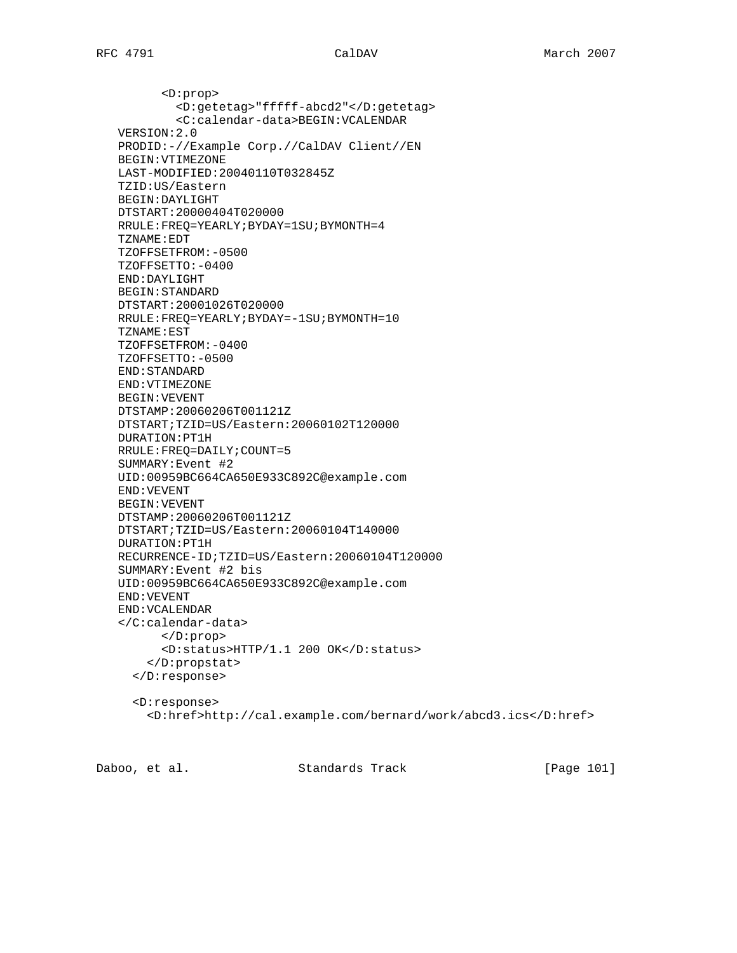<D:prop> <D:getetag>"fffff-abcd2"</D:getetag> <C:calendar-data>BEGIN:VCALENDAR VERSION:2.0 PRODID:-//Example Corp.//CalDAV Client//EN BEGIN:VTIMEZONE LAST-MODIFIED:20040110T032845Z TZID:US/Eastern BEGIN:DAYLIGHT DTSTART:20000404T020000 RRULE:FREQ=YEARLY;BYDAY=1SU;BYMONTH=4 TZNAME:EDT TZOFFSETFROM:-0500 TZOFFSETTO:-0400 END:DAYLIGHT BEGIN:STANDARD DTSTART:20001026T020000 RRULE:FREQ=YEARLY;BYDAY=-1SU;BYMONTH=10 TZNAME:EST TZOFFSETFROM:-0400 TZOFFSETTO:-0500 END:STANDARD END:VTIMEZONE BEGIN:VEVENT DTSTAMP:20060206T001121Z DTSTART;TZID=US/Eastern:20060102T120000 DURATION:PT1H RRULE:FREQ=DAILY;COUNT=5 SUMMARY:Event #2 UID:00959BC664CA650E933C892C@example.com END:VEVENT BEGIN:VEVENT DTSTAMP:20060206T001121Z DTSTART;TZID=US/Eastern:20060104T140000 DURATION:PT1H RECURRENCE-ID;TZID=US/Eastern:20060104T120000 SUMMARY:Event #2 bis UID:00959BC664CA650E933C892C@example.com END:VEVENT END:VCALENDAR </C:calendar-data> </D:prop> <D:status>HTTP/1.1 200 OK</D:status> </D:propstat> </D:response> <D:response> <D:href>http://cal.example.com/bernard/work/abcd3.ics</D:href>

Daboo, et al. Standards Track [Page 101]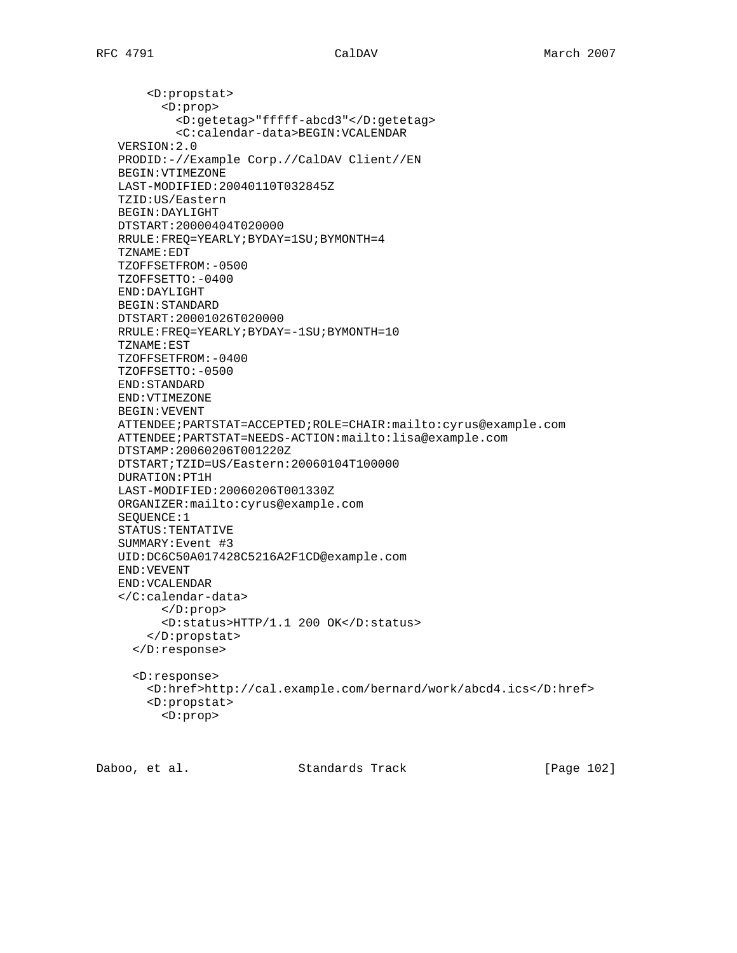<D:propstat> <D:prop> <D:getetag>"fffff-abcd3"</D:getetag> <C:calendar-data>BEGIN:VCALENDAR VERSION:2.0 PRODID:-//Example Corp.//CalDAV Client//EN BEGIN:VTIMEZONE LAST-MODIFIED:20040110T032845Z TZID:US/Eastern BEGIN:DAYLIGHT DTSTART:20000404T020000 RRULE:FREQ=YEARLY;BYDAY=1SU;BYMONTH=4 TZNAME:EDT TZOFFSETFROM:-0500 TZOFFSETTO:-0400 END:DAYLIGHT BEGIN:STANDARD DTSTART:20001026T020000 RRULE:FREQ=YEARLY;BYDAY=-1SU;BYMONTH=10 TZNAME:EST TZOFFSETFROM:-0400 TZOFFSETTO:-0500 END:STANDARD END:VTIMEZONE BEGIN:VEVENT ATTENDEE;PARTSTAT=ACCEPTED;ROLE=CHAIR:mailto:cyrus@example.com ATTENDEE;PARTSTAT=NEEDS-ACTION:mailto:lisa@example.com DTSTAMP:20060206T001220Z DTSTART;TZID=US/Eastern:20060104T100000 DURATION:PT1H LAST-MODIFIED:20060206T001330Z ORGANIZER:mailto:cyrus@example.com SEQUENCE:1 STATUS:TENTATIVE SUMMARY:Event #3 UID:DC6C50A017428C5216A2F1CD@example.com END:VEVENT END:VCALENDAR </C:calendar-data> </D:prop> <D:status>HTTP/1.1 200 OK</D:status> </D:propstat> </D:response> <D:response> <D:href>http://cal.example.com/bernard/work/abcd4.ics</D:href> <D:propstat> <D:prop>

Daboo, et al. Standards Track [Page 102]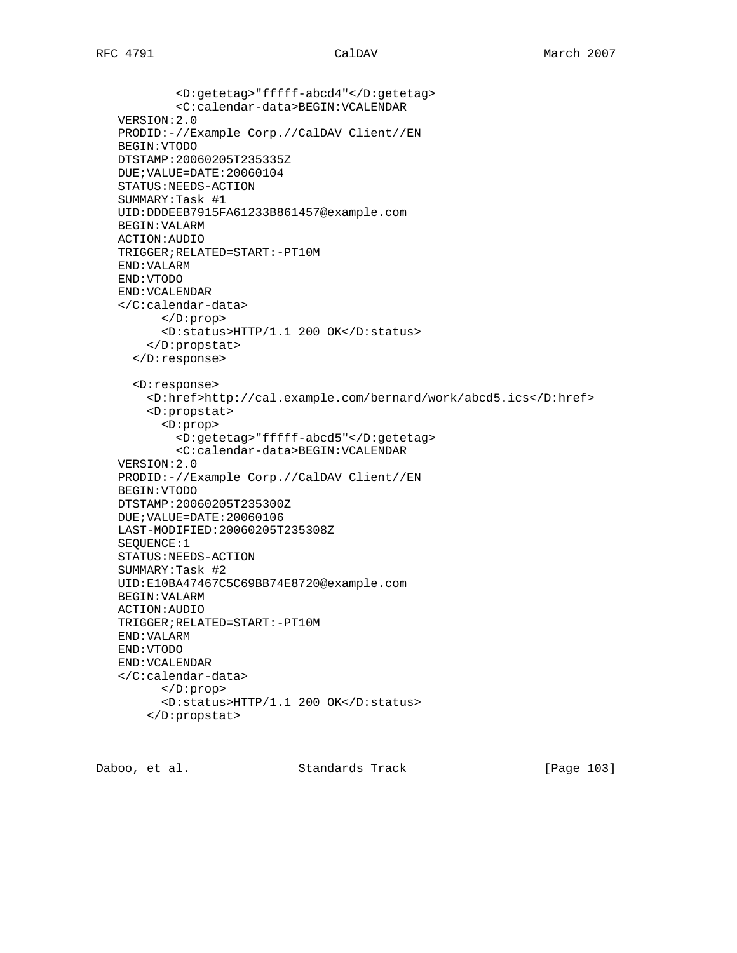<D:getetag>"fffff-abcd4"</D:getetag> <C:calendar-data>BEGIN:VCALENDAR VERSION:2.0 PRODID:-//Example Corp.//CalDAV Client//EN BEGIN:VTODO DTSTAMP:20060205T235335Z DUE;VALUE=DATE:20060104 STATUS:NEEDS-ACTION SUMMARY:Task #1 UID:DDDEEB7915FA61233B861457@example.com BEGIN:VALARM ACTION:AUDIO TRIGGER;RELATED=START:-PT10M END:VALARM END:VTODO END:VCALENDAR </C:calendar-data> </D:prop> <D:status>HTTP/1.1 200 OK</D:status> </D:propstat> </D:response> <D:response> <D:href>http://cal.example.com/bernard/work/abcd5.ics</D:href> <D:propstat> <D:prop> <D:getetag>"fffff-abcd5"</D:getetag> <C:calendar-data>BEGIN:VCALENDAR VERSION:2.0 PRODID:-//Example Corp.//CalDAV Client//EN BEGIN:VTODO DTSTAMP:20060205T235300Z DUE;VALUE=DATE:20060106 LAST-MODIFIED:20060205T235308Z SEQUENCE:1 STATUS:NEEDS-ACTION SUMMARY:Task #2 UID:E10BA47467C5C69BB74E8720@example.com BEGIN:VALARM ACTION:AUDIO TRIGGER;RELATED=START:-PT10M END:VALARM END:VTODO END:VCALENDAR </C:calendar-data> </D:prop> <D:status>HTTP/1.1 200 OK</D:status> </D:propstat>

Daboo, et al. Standards Track [Page 103]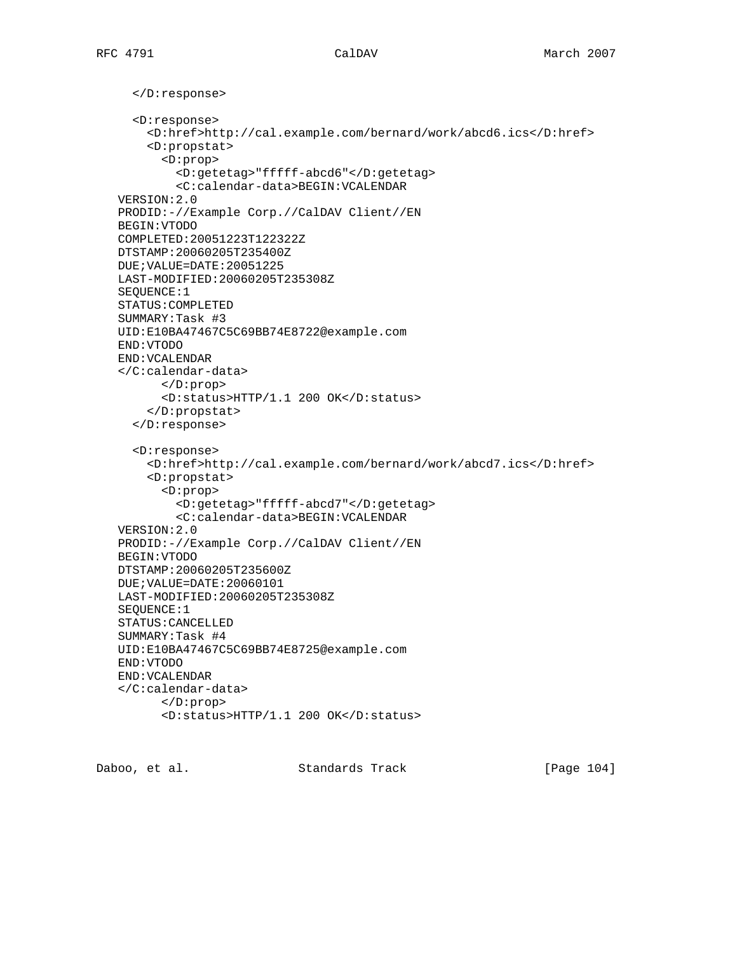</D:response> <D:response> <D:href>http://cal.example.com/bernard/work/abcd6.ics</D:href> <D:propstat> <D:prop> <D:getetag>"fffff-abcd6"</D:getetag> <C:calendar-data>BEGIN:VCALENDAR VERSION:2.0 PRODID:-//Example Corp.//CalDAV Client//EN BEGIN:VTODO COMPLETED:20051223T122322Z DTSTAMP:20060205T235400Z DUE;VALUE=DATE:20051225 LAST-MODIFIED:20060205T235308Z SEQUENCE:1 STATUS:COMPLETED SUMMARY:Task #3 UID:E10BA47467C5C69BB74E8722@example.com END:VTODO END:VCALENDAR </C:calendar-data> </D:prop> <D:status>HTTP/1.1 200 OK</D:status> </D:propstat> </D:response> <D:response> <D:href>http://cal.example.com/bernard/work/abcd7.ics</D:href> <D:propstat> <D:prop> <D:getetag>"fffff-abcd7"</D:getetag> <C:calendar-data>BEGIN:VCALENDAR VERSION:2.0 PRODID:-//Example Corp.//CalDAV Client//EN BEGIN:VTODO DTSTAMP:20060205T235600Z DUE;VALUE=DATE:20060101 LAST-MODIFIED:20060205T235308Z SEQUENCE:1 STATUS:CANCELLED SUMMARY:Task #4 UID:E10BA47467C5C69BB74E8725@example.com END:VTODO END:VCALENDAR </C:calendar-data> </D:prop> <D:status>HTTP/1.1 200 OK</D:status>

Daboo, et al. Standards Track [Page 104]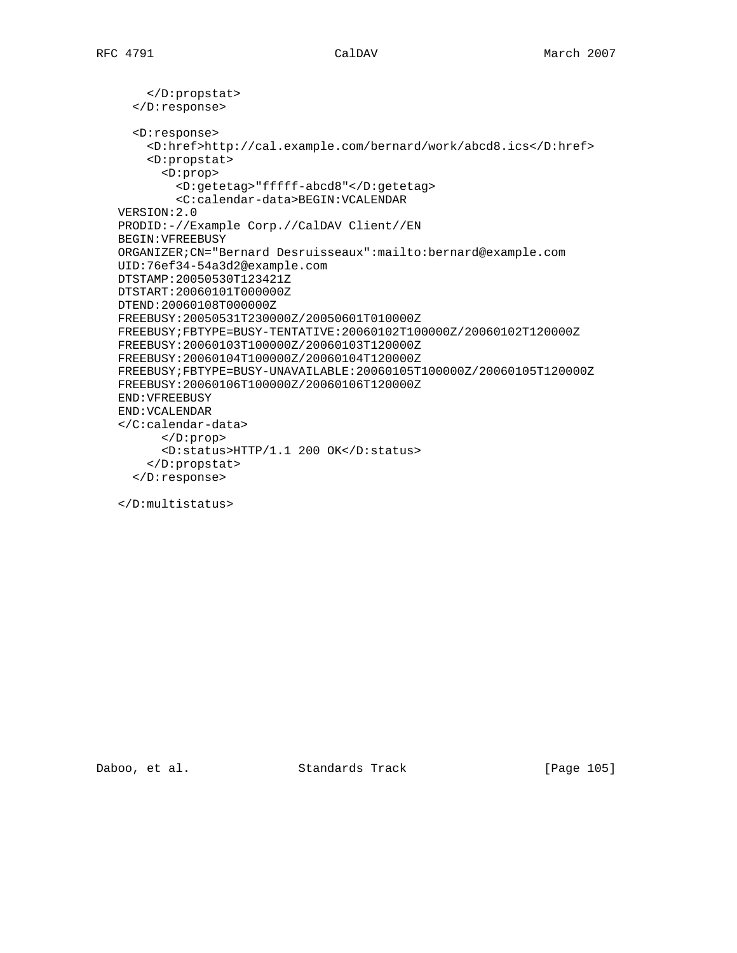```
 </D:propstat>
  </D:response>
  <D:response>
    <D:href>http://cal.example.com/bernard/work/abcd8.ics</D:href>
    <D:propstat>
      <D:prop>
        <D:getetag>"fffff-abcd8"</D:getetag>
        <C:calendar-data>BEGIN:VCALENDAR
VERSION:2.0
PRODID:-//Example Corp.//CalDAV Client//EN
BEGIN:VFREEBUSY
ORGANIZER;CN="Bernard Desruisseaux":mailto:bernard@example.com
UID:76ef34-54a3d2@example.com
DTSTAMP:20050530T123421Z
DTSTART:20060101T000000Z
DTEND:20060108T000000Z
FREEBUSY:20050531T230000Z/20050601T010000Z
FREEBUSY;FBTYPE=BUSY-TENTATIVE:20060102T100000Z/20060102T120000Z
FREEBUSY:20060103T100000Z/20060103T120000Z
FREEBUSY:20060104T100000Z/20060104T120000Z
FREEBUSY;FBTYPE=BUSY-UNAVAILABLE:20060105T100000Z/20060105T120000Z
FREEBUSY:20060106T100000Z/20060106T120000Z
END:VFREEBUSY
END:VCALENDAR
</C:calendar-data>
      </D:prop>
      <D:status>HTTP/1.1 200 OK</D:status>
    </D:propstat>
  </D:response>
```
</D:multistatus>

Daboo, et al. Standards Track [Page 105]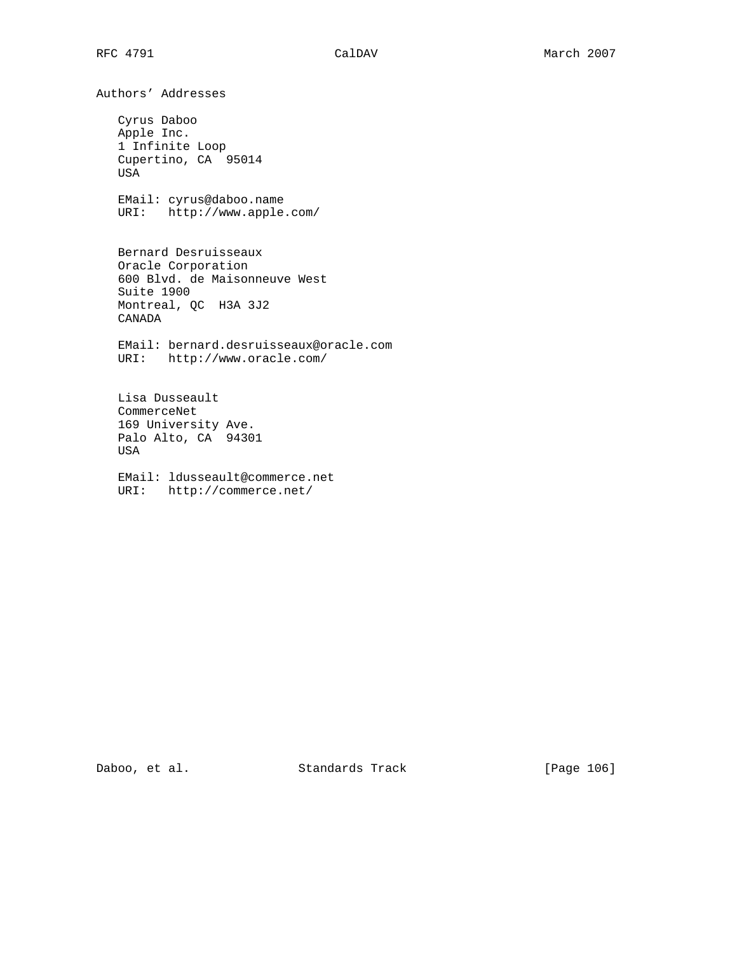Authors' Addresses Cyrus Daboo Apple Inc. 1 Infinite Loop Cupertino, CA 95014 USA EMail: cyrus@daboo.name URI: http://www.apple.com/ Bernard Desruisseaux Oracle Corporation 600 Blvd. de Maisonneuve West Suite 1900 Montreal, QC H3A 3J2 CANADA EMail: bernard.desruisseaux@oracle.com URI: http://www.oracle.com/ Lisa Dusseault CommerceNet 169 University Ave. Palo Alto, CA 94301 USA EMail: ldusseault@commerce.net URI: http://commerce.net/

Daboo, et al. Standards Track [Page 106]